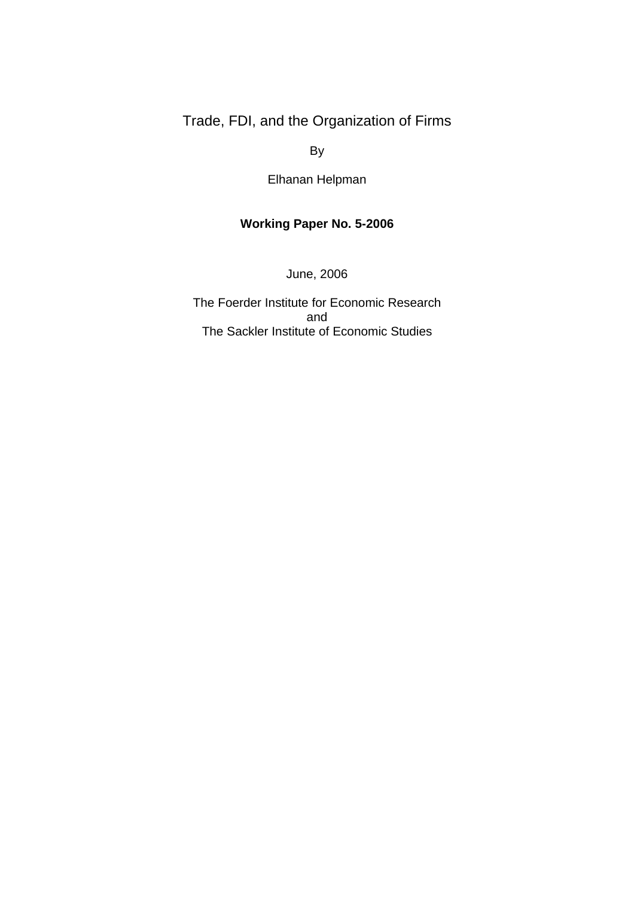Trade, FDI, and the Organization of Firms

By

Elhanan Helpman

# **Working Paper No. 5-2006**

June, 2006

The Foerder Institute for Economic Research and The Sackler Institute of Economic Studies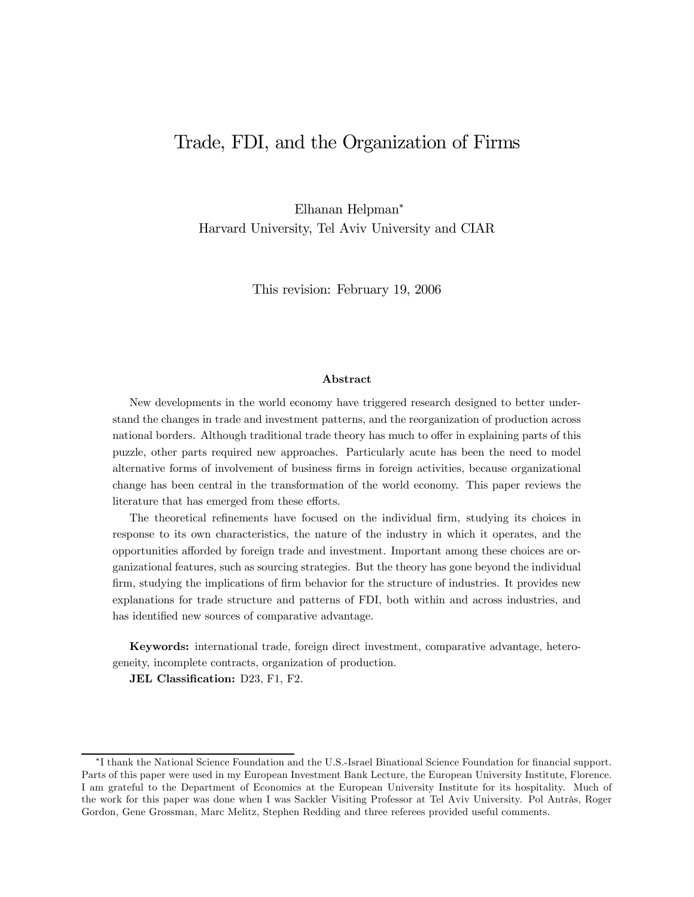# Trade, FDI, and the Organization of Firms

Elhanan Helpman<sup>∗</sup> Harvard University, Tel Aviv University and CIAR

This revision: February 19, 2006

#### Abstract

New developments in the world economy have triggered research designed to better understand the changes in trade and investment patterns, and the reorganization of production across national borders. Although traditional trade theory has much to offer in explaining parts of this puzzle, other parts required new approaches. Particularly acute has been the need to model alternative forms of involvement of business firms in foreign activities, because organizational change has been central in the transformation of the world economy. This paper reviews the literature that has emerged from these efforts.

The theoretical refinements have focused on the individual firm, studying its choices in response to its own characteristics, the nature of the industry in which it operates, and the opportunities afforded by foreign trade and investment. Important among these choices are organizational features, such as sourcing strategies. But the theory has gone beyond the individual firm, studying the implications of firm behavior for the structure of industries. It provides new explanations for trade structure and patterns of FDI, both within and across industries, and has identified new sources of comparative advantage.

Keywords: international trade, foreign direct investment, comparative advantage, heterogeneity, incomplete contracts, organization of production.

JEL Classification: D23, F1, F2.

<sup>∗</sup>I thank the National Science Foundation and the U.S.-Israel Binational Science Foundation for financial support. Parts of this paper were used in my European Investment Bank Lecture, the European University Institute, Florence. I am grateful to the Department of Economics at the European University Institute for its hospitality. Much of the work for this paper was done when I was Sackler Visiting Professor at Tel Aviv University. Pol Antràs, Roger Gordon, Gene Grossman, Marc Melitz, Stephen Redding and three referees provided useful comments.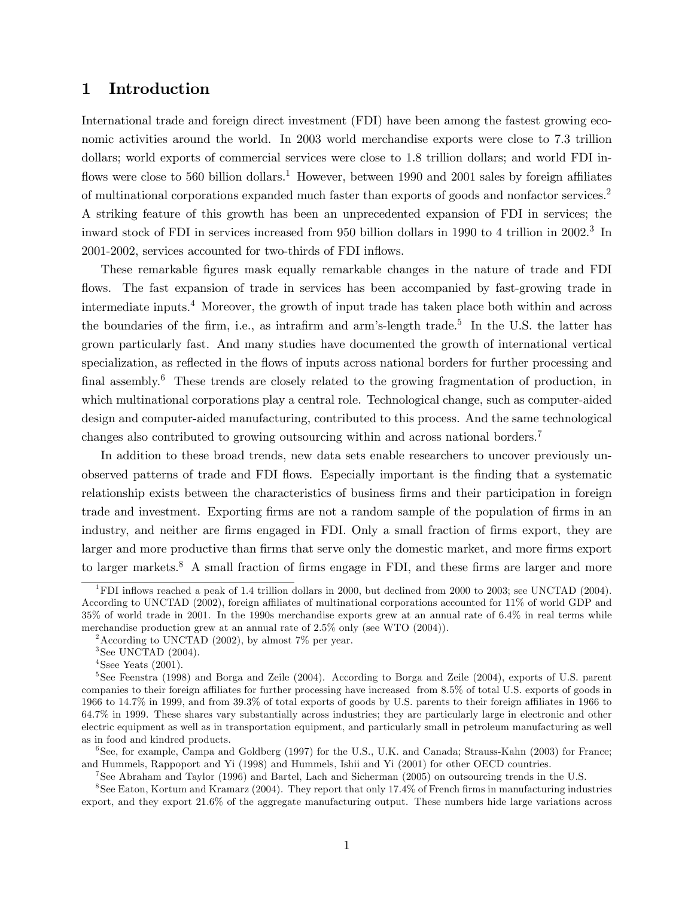## 1 Introduction

International trade and foreign direct investment (FDI) have been among the fastest growing economic activities around the world. In 2003 world merchandise exports were close to 7.3 trillion dollars; world exports of commercial services were close to 1.8 trillion dollars; and world FDI inflows were close to 560 billion dollars.<sup>1</sup> However, between 1990 and 2001 sales by foreign affiliates of multinational corporations expanded much faster than exports of goods and nonfactor services.2 A striking feature of this growth has been an unprecedented expansion of FDI in services; the inward stock of FDI in services increased from 950 billion dollars in 1990 to 4 trillion in 2002.<sup>3</sup> In 2001-2002, services accounted for two-thirds of FDI inflows.

These remarkable figures mask equally remarkable changes in the nature of trade and FDI flows. The fast expansion of trade in services has been accompanied by fast-growing trade in intermediate inputs.4 Moreover, the growth of input trade has taken place both within and across the boundaries of the firm, i.e., as intrafirm and arm's-length trade.<sup>5</sup> In the U.S. the latter has grown particularly fast. And many studies have documented the growth of international vertical specialization, as reflected in the flows of inputs across national borders for further processing and final assembly.<sup>6</sup> These trends are closely related to the growing fragmentation of production, in which multinational corporations play a central role. Technological change, such as computer-aided design and computer-aided manufacturing, contributed to this process. And the same technological changes also contributed to growing outsourcing within and across national borders.7

In addition to these broad trends, new data sets enable researchers to uncover previously unobserved patterns of trade and FDI flows. Especially important is the finding that a systematic relationship exists between the characteristics of business firms and their participation in foreign trade and investment. Exporting firms are not a random sample of the population of firms in an industry, and neither are firms engaged in FDI. Only a small fraction of firms export, they are larger and more productive than firms that serve only the domestic market, and more firms export to larger markets.<sup>8</sup> A small fraction of firms engage in FDI, and these firms are larger and more

 $6$ See, for example, Campa and Goldberg (1997) for the U.S., U.K. and Canada; Strauss-Kahn (2003) for France; and Hummels, Rappoport and Yi (1998) and Hummels, Ishii and Yi (2001) for other OECD countries.

7See Abraham and Taylor (1996) and Bartel, Lach and Sicherman (2005) on outsourcing trends in the U.S.

8See Eaton, Kortum and Kramarz (2004). They report that only 17.4% of French firms in manufacturing industries export, and they export 21.6% of the aggregate manufacturing output. These numbers hide large variations across

<sup>&</sup>lt;sup>1</sup>FDI inflows reached a peak of 1.4 trillion dollars in 2000, but declined from 2000 to 2003; see UNCTAD (2004). According to UNCTAD (2002), foreign affiliates of multinational corporations accounted for 11% of world GDP and 35% of world trade in 2001. In the 1990s merchandise exports grew at an annual rate of 6.4% in real terms while merchandise production grew at an annual rate of 2.5% only (see WTO (2004)).

<sup>&</sup>lt;sup>2</sup> According to UNCTAD (2002), by almost 7\% per year.

 $3$ See UNCTAD  $(2004)$ .

<sup>&</sup>lt;sup>4</sup>Ssee Yeats  $(2001)$ .

<sup>5</sup>See Feenstra (1998) and Borga and Zeile (2004). According to Borga and Zeile (2004), exports of U.S. parent companies to their foreign affiliates for further processing have increased from 8.5% of total U.S. exports of goods in 1966 to 14.7% in 1999, and from 39.3% of total exports of goods by U.S. parents to their foreign affiliates in 1966 to 64.7% in 1999. These shares vary substantially across industries; they are particularly large in electronic and other electric equipment as well as in transportation equipment, and particularly small in petroleum manufacturing as well as in food and kindred products.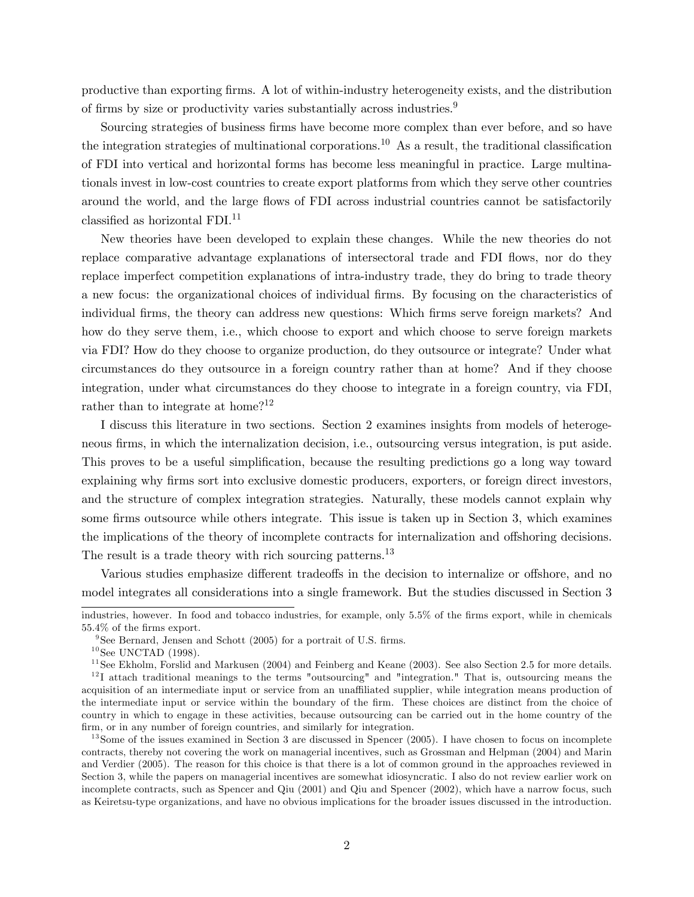productive than exporting firms. A lot of within-industry heterogeneity exists, and the distribution of firms by size or productivity varies substantially across industries.9

Sourcing strategies of business firms have become more complex than ever before, and so have the integration strategies of multinational corporations.<sup>10</sup> As a result, the traditional classification of FDI into vertical and horizontal forms has become less meaningful in practice. Large multinationals invest in low-cost countries to create export platforms from which they serve other countries around the world, and the large flows of FDI across industrial countries cannot be satisfactorily classified as horizontal FDI.11

New theories have been developed to explain these changes. While the new theories do not replace comparative advantage explanations of intersectoral trade and FDI flows, nor do they replace imperfect competition explanations of intra-industry trade, they do bring to trade theory a new focus: the organizational choices of individual firms. By focusing on the characteristics of individual firms, the theory can address new questions: Which firms serve foreign markets? And how do they serve them, i.e., which choose to export and which choose to serve foreign markets via FDI? How do they choose to organize production, do they outsource or integrate? Under what circumstances do they outsource in a foreign country rather than at home? And if they choose integration, under what circumstances do they choose to integrate in a foreign country, via FDI, rather than to integrate at home?<sup>12</sup>

I discuss this literature in two sections. Section 2 examines insights from models of heterogeneous firms, in which the internalization decision, i.e., outsourcing versus integration, is put aside. This proves to be a useful simplification, because the resulting predictions go a long way toward explaining why firms sort into exclusive domestic producers, exporters, or foreign direct investors, and the structure of complex integration strategies. Naturally, these models cannot explain why some firms outsource while others integrate. This issue is taken up in Section 3, which examines the implications of the theory of incomplete contracts for internalization and offshoring decisions. The result is a trade theory with rich sourcing patterns.<sup>13</sup>

Various studies emphasize different tradeoffs in the decision to internalize or offshore, and no model integrates all considerations into a single framework. But the studies discussed in Section 3

industries, however. In food and tobacco industries, for example, only 5.5% of the firms export, while in chemicals 55.4% of the firms export.

<sup>&</sup>lt;sup>9</sup>See Bernard, Jensen and Schott  $(2005)$  for a portrait of U.S. firms.

 $10$  See UNCTAD (1998).

<sup>&</sup>lt;sup>11</sup> See Ekholm, Forslid and Markusen  $(2004)$  and Feinberg and Keane  $(2003)$ . See also Section 2.5 for more details.

 $12$ I attach traditional meanings to the terms "outsourcing" and "integration." That is, outsourcing means the acquisition of an intermediate input or service from an unaffiliated supplier, while integration means production of the intermediate input or service within the boundary of the firm. These choices are distinct from the choice of country in which to engage in these activities, because outsourcing can be carried out in the home country of the firm, or in any number of foreign countries, and similarly for integration.

 $13$  Some of the issues examined in Section 3 are discussed in Spencer (2005). I have chosen to focus on incomplete contracts, thereby not covering the work on managerial incentives, such as Grossman and Helpman (2004) and Marin and Verdier (2005). The reason for this choice is that there is a lot of common ground in the approaches reviewed in Section 3, while the papers on managerial incentives are somewhat idiosyncratic. I also do not review earlier work on incomplete contracts, such as Spencer and Qiu (2001) and Qiu and Spencer (2002), which have a narrow focus, such as Keiretsu-type organizations, and have no obvious implications for the broader issues discussed in the introduction.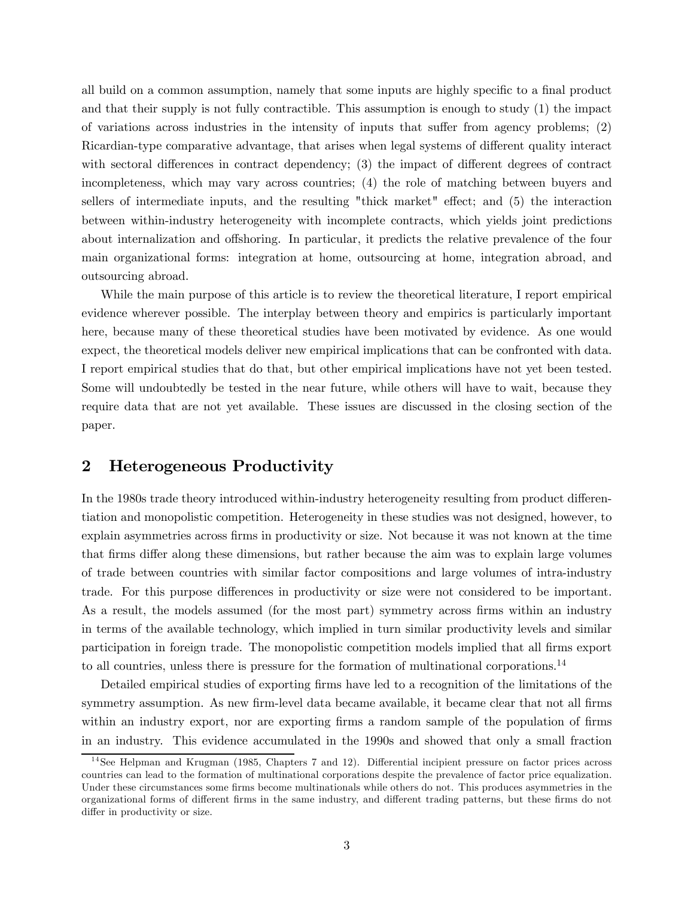all build on a common assumption, namely that some inputs are highly specific to a final product and that their supply is not fully contractible. This assumption is enough to study (1) the impact of variations across industries in the intensity of inputs that suffer from agency problems; (2) Ricardian-type comparative advantage, that arises when legal systems of different quality interact with sectoral differences in contract dependency; (3) the impact of different degrees of contract incompleteness, which may vary across countries; (4) the role of matching between buyers and sellers of intermediate inputs, and the resulting "thick market" effect; and (5) the interaction between within-industry heterogeneity with incomplete contracts, which yields joint predictions about internalization and offshoring. In particular, it predicts the relative prevalence of the four main organizational forms: integration at home, outsourcing at home, integration abroad, and outsourcing abroad.

While the main purpose of this article is to review the theoretical literature, I report empirical evidence wherever possible. The interplay between theory and empirics is particularly important here, because many of these theoretical studies have been motivated by evidence. As one would expect, the theoretical models deliver new empirical implications that can be confronted with data. I report empirical studies that do that, but other empirical implications have not yet been tested. Some will undoubtedly be tested in the near future, while others will have to wait, because they require data that are not yet available. These issues are discussed in the closing section of the paper.

## 2 Heterogeneous Productivity

In the 1980s trade theory introduced within-industry heterogeneity resulting from product differentiation and monopolistic competition. Heterogeneity in these studies was not designed, however, to explain asymmetries across firms in productivity or size. Not because it was not known at the time that firms differ along these dimensions, but rather because the aim was to explain large volumes of trade between countries with similar factor compositions and large volumes of intra-industry trade. For this purpose differences in productivity or size were not considered to be important. As a result, the models assumed (for the most part) symmetry across firms within an industry in terms of the available technology, which implied in turn similar productivity levels and similar participation in foreign trade. The monopolistic competition models implied that all firms export to all countries, unless there is pressure for the formation of multinational corporations.<sup>14</sup>

Detailed empirical studies of exporting firms have led to a recognition of the limitations of the symmetry assumption. As new firm-level data became available, it became clear that not all firms within an industry export, nor are exporting firms a random sample of the population of firms in an industry. This evidence accumulated in the 1990s and showed that only a small fraction

 $14$ See Helpman and Krugman (1985, Chapters 7 and 12). Differential incipient pressure on factor prices across countries can lead to the formation of multinational corporations despite the prevalence of factor price equalization. Under these circumstances some firms become multinationals while others do not. This produces asymmetries in the organizational forms of different firms in the same industry, and different trading patterns, but these firms do not differ in productivity or size.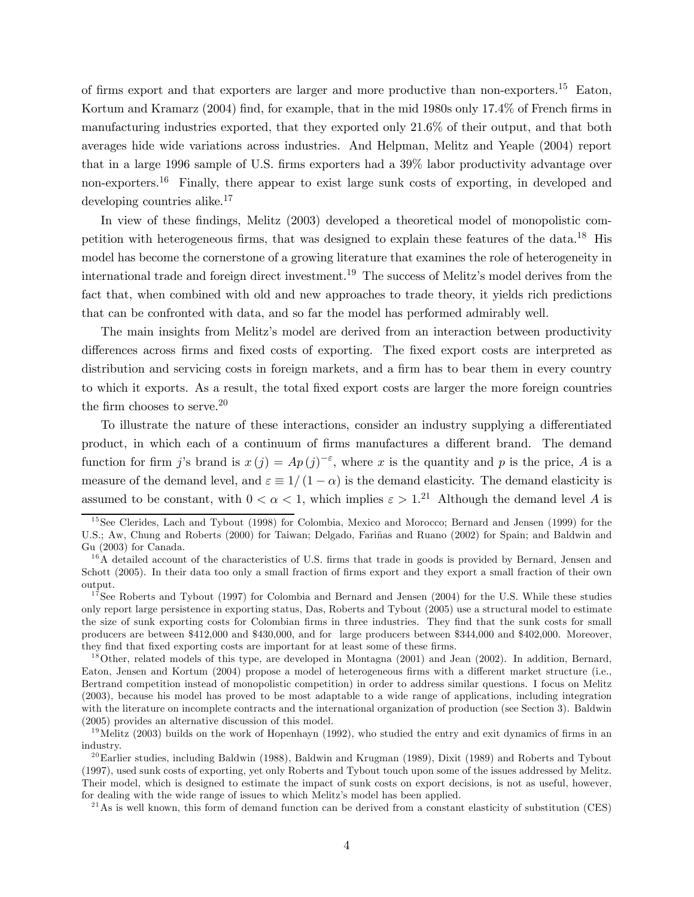of firms export and that exporters are larger and more productive than non-exporters.<sup>15</sup> Eaton, Kortum and Kramarz (2004) find, for example, that in the mid 1980s only 17.4% of French firms in manufacturing industries exported, that they exported only 21.6% of their output, and that both averages hide wide variations across industries. And Helpman, Melitz and Yeaple (2004) report that in a large 1996 sample of U.S. firms exporters had a 39% labor productivity advantage over non-exporters.<sup>16</sup> Finally, there appear to exist large sunk costs of exporting, in developed and developing countries alike.<sup>17</sup>

In view of these findings, Melitz (2003) developed a theoretical model of monopolistic competition with heterogeneous firms, that was designed to explain these features of the data.18 His model has become the cornerstone of a growing literature that examines the role of heterogeneity in international trade and foreign direct investment.19 The success of Melitz's model derives from the fact that, when combined with old and new approaches to trade theory, it yields rich predictions that can be confronted with data, and so far the model has performed admirably well.

The main insights from Melitz's model are derived from an interaction between productivity differences across firms and fixed costs of exporting. The fixed export costs are interpreted as distribution and servicing costs in foreign markets, and a firm has to bear them in every country to which it exports. As a result, the total fixed export costs are larger the more foreign countries the firm chooses to serve.<sup>20</sup>

To illustrate the nature of these interactions, consider an industry supplying a differentiated product, in which each of a continuum of firms manufactures a different brand. The demand function for firm j's brand is  $x(j) = Ap(j)^{-\epsilon}$ , where x is the quantity and p is the price, A is a measure of the demand level, and  $\varepsilon \equiv 1/(1-\alpha)$  is the demand elasticity. The demand elasticity is assumed to be constant, with  $0 < \alpha < 1$ , which implies  $\varepsilon > 1$ .<sup>21</sup> Although the demand level A is

 $15$ See Clerides, Lach and Tybout (1998) for Colombia, Mexico and Morocco; Bernard and Jensen (1999) for the U.S.; Aw, Chung and Roberts (2000) for Taiwan; Delgado, Fariñas and Ruano (2002) for Spain; and Baldwin and Gu (2003) for Canada.

 $16$ A detailed account of the characteristics of U.S. firms that trade in goods is provided by Bernard, Jensen and Schott (2005). In their data too only a small fraction of firms export and they export a small fraction of their own output.

 $17$ See Roberts and Tybout (1997) for Colombia and Bernard and Jensen (2004) for the U.S. While these studies only report large persistence in exporting status, Das, Roberts and Tybout (2005) use a structural model to estimate the size of sunk exporting costs for Colombian firms in three industries. They find that the sunk costs for small producers are between \$412,000 and \$430,000, and for large producers between \$344,000 and \$402,000. Moreover, they find that fixed exporting costs are important for at least some of these firms.

<sup>&</sup>lt;sup>18</sup>Other, related models of this type, are developed in Montagna (2001) and Jean (2002). In addition, Bernard, Eaton, Jensen and Kortum (2004) propose a model of heterogeneous firms with a different market structure (i.e., Bertrand competition instead of monopolistic competition) in order to address similar questions. I focus on Melitz (2003), because his model has proved to be most adaptable to a wide range of applications, including integration with the literature on incomplete contracts and the international organization of production (see Section 3). Baldwin (2005) provides an alternative discussion of this model.

<sup>&</sup>lt;sup>19</sup>Melitz (2003) builds on the work of Hopenhayn (1992), who studied the entry and exit dynamics of firms in an industry.

 $^{20}$ Earlier studies, including Baldwin (1988), Baldwin and Krugman (1989), Dixit (1989) and Roberts and Tybout (1997), used sunk costs of exporting, yet only Roberts and Tybout touch upon some of the issues addressed by Melitz. Their model, which is designed to estimate the impact of sunk costs on export decisions, is not as useful, however, for dealing with the wide range of issues to which Melitz's model has been applied.

 $^{21}$ As is well known, this form of demand function can be derived from a constant elasticity of substitution (CES)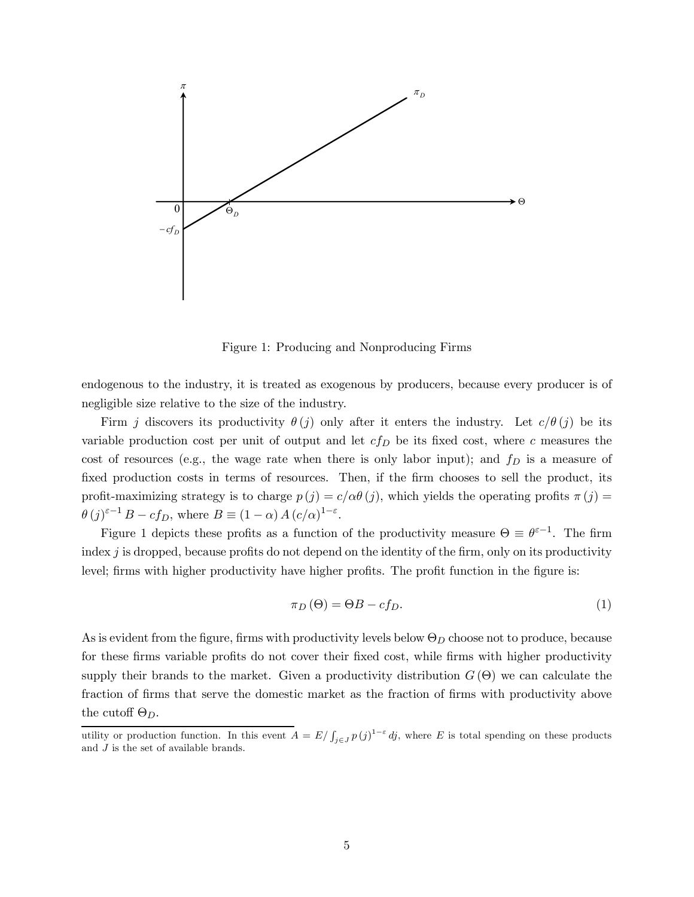

Figure 1: Producing and Nonproducing Firms

endogenous to the industry, it is treated as exogenous by producers, because every producer is of negligible size relative to the size of the industry.

Firm j discovers its productivity  $\theta(j)$  only after it enters the industry. Let  $c/\theta(j)$  be its variable production cost per unit of output and let  $cf_D$  be its fixed cost, where c measures the cost of resources (e.g., the wage rate when there is only labor input); and  $f<sub>D</sub>$  is a measure of fixed production costs in terms of resources. Then, if the firm chooses to sell the product, its profit-maximizing strategy is to charge  $p(j) = c/\alpha\theta(j)$ , which yields the operating profits  $\pi(j)$  $\theta(j)^{\varepsilon-1} B - cf_D$ , where  $B \equiv (1 - \alpha) A (c/\alpha)^{1 - \varepsilon}$ .

Figure 1 depicts these profits as a function of the productivity measure  $\Theta \equiv \theta^{\epsilon-1}$ . The firm index  $j$  is dropped, because profits do not depend on the identity of the firm, only on its productivity level; firms with higher productivity have higher profits. The profit function in the figure is:

$$
\pi_D(\Theta) = \Theta B - cf_D. \tag{1}
$$

As is evident from the figure, firms with productivity levels below  $\Theta_D$  choose not to produce, because for these firms variable profits do not cover their fixed cost, while firms with higher productivity supply their brands to the market. Given a productivity distribution  $G(\Theta)$  we can calculate the fraction of firms that serve the domestic market as the fraction of firms with productivity above the cutoff  $\Theta_D$ .

utility or production function. In this event  $A = E/\int_{j\in J} p(j)^{1-\varepsilon} dj$ , where E is total spending on these products and  $J$  is the set of available brands.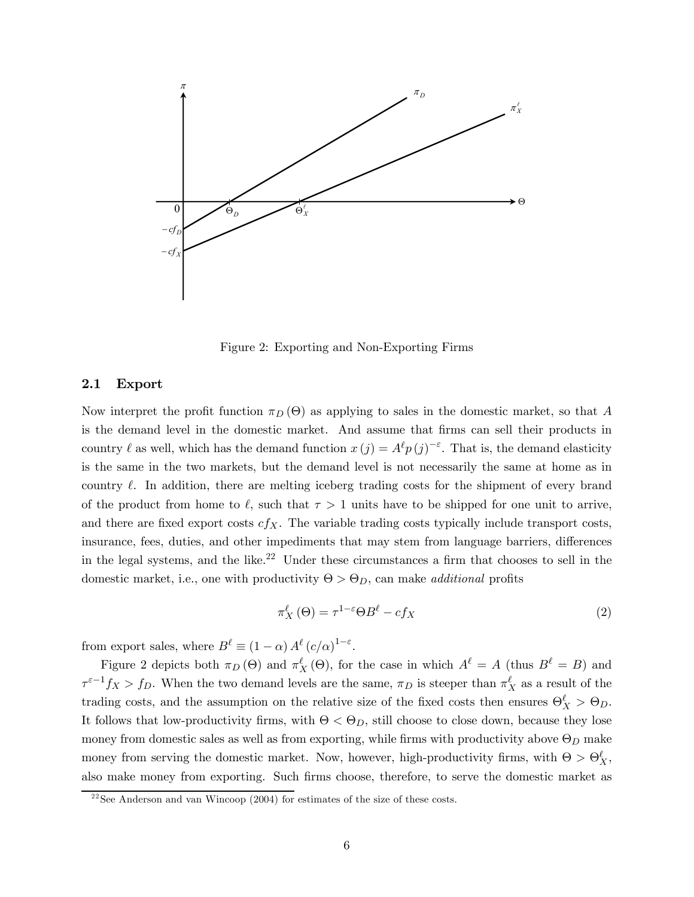

Figure 2: Exporting and Non-Exporting Firms

#### 2.1 Export

Now interpret the profit function  $\pi_D(\Theta)$  as applying to sales in the domestic market, so that A is the demand level in the domestic market. And assume that firms can sell their products in country  $\ell$  as well, which has the demand function  $x(j) = A^{\ell} p(j)^{-\epsilon}$ . That is, the demand elasticity is the same in the two markets, but the demand level is not necessarily the same at home as in country  $\ell$ . In addition, there are melting iceberg trading costs for the shipment of every brand of the product from home to  $\ell$ , such that  $\tau > 1$  units have to be shipped for one unit to arrive, and there are fixed export costs  $cf_X$ . The variable trading costs typically include transport costs, insurance, fees, duties, and other impediments that may stem from language barriers, differences in the legal systems, and the like.<sup>22</sup> Under these circumstances a firm that chooses to sell in the domestic market, i.e., one with productivity  $\Theta > \Theta_D$ , can make *additional* profits

$$
\pi_X^{\ell}(\Theta) = \tau^{1-\varepsilon} \Theta B^{\ell} - cf_X \tag{2}
$$

from export sales, where  $B^{\ell} \equiv (1 - \alpha) A^{\ell} (c/\alpha)^{1 - \varepsilon}$ .

Figure 2 depicts both  $\pi_D(\Theta)$  and  $\pi_X^{\ell}(\Theta)$ , for the case in which  $A^{\ell} = A$  (thus  $B^{\ell} = B$ ) and  $\tau^{\varepsilon-1} f_X > f_D$ . When the two demand levels are the same,  $\pi_D$  is steeper than  $\pi_X^{\ell}$  as a result of the trading costs, and the assumption on the relative size of the fixed costs then ensures  $\Theta_X^{\ell} > \Theta_D$ . It follows that low-productivity firms, with  $\Theta < \Theta_D$ , still choose to close down, because they lose money from domestic sales as well as from exporting, while firms with productivity above  $\Theta_D$  make money from serving the domestic market. Now, however, high-productivity firms, with  $\Theta > \Theta_X^{\ell}$ , also make money from exporting. Such firms choose, therefore, to serve the domestic market as

 $2^{22}$ See Anderson and van Wincoop (2004) for estimates of the size of these costs.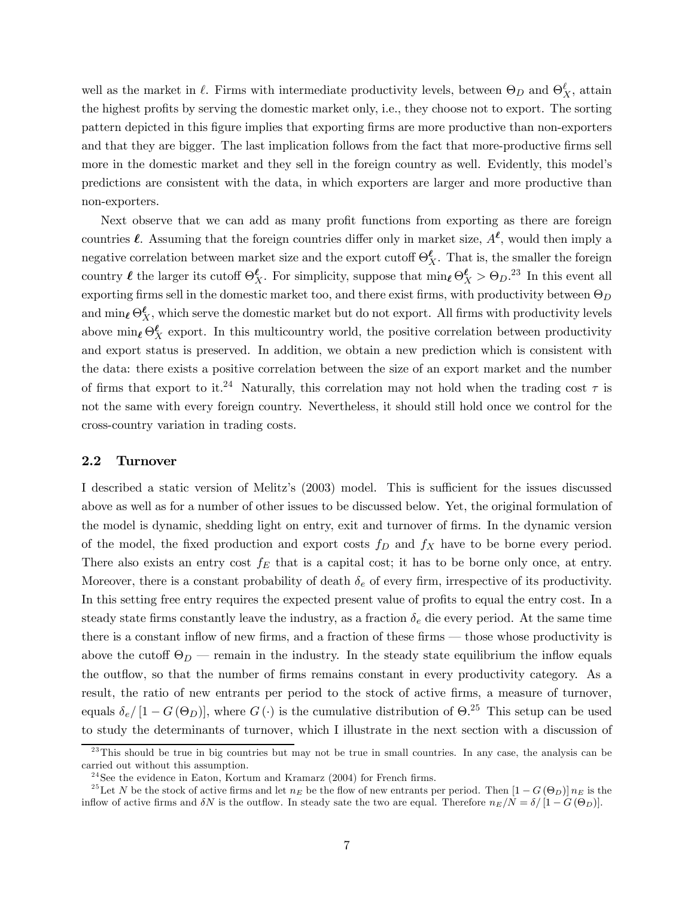well as the market in  $\ell$ . Firms with intermediate productivity levels, between  $\Theta_D$  and  $\Theta_X^{\ell}$ , attain the highest profits by serving the domestic market only, i.e., they choose not to export. The sorting pattern depicted in this figure implies that exporting firms are more productive than non-exporters and that they are bigger. The last implication follows from the fact that more-productive firms sell more in the domestic market and they sell in the foreign country as well. Evidently, this model's predictions are consistent with the data, in which exporters are larger and more productive than non-exporters.

Next observe that we can add as many profit functions from exporting as there are foreign countries  $\ell$ . Assuming that the foreign countries differ only in market size,  $A^{\ell}$ , would then imply a negative correlation between market size and the export cutoff  $\Theta_X^{\ell}$ . That is, the smaller the foreign country  $\ell$  the larger its cutoff  $\Theta_X^{\ell}$ . For simplicity, suppose that  $\min_{\ell} \Theta_X^{\ell} > \Theta_D$ .<sup>23</sup> In this event all exporting firms sell in the domestic market too, and there exist firms, with productivity between  $\Theta_D$ and  $\min_{\ell} \Theta_X^{\ell}$ , which serve the domestic market but do not export. All firms with productivity levels above  $\min_{\ell} \Theta_{X}^{\ell}$  export. In this multicountry world, the positive correlation between productivity and export status is preserved. In addition, we obtain a new prediction which is consistent with the data: there exists a positive correlation between the size of an export market and the number of firms that export to it.<sup>24</sup> Naturally, this correlation may not hold when the trading cost  $\tau$  is not the same with every foreign country. Nevertheless, it should still hold once we control for the cross-country variation in trading costs.

## 2.2 Turnover

I described a static version of Melitz's (2003) model. This is sufficient for the issues discussed above as well as for a number of other issues to be discussed below. Yet, the original formulation of the model is dynamic, shedding light on entry, exit and turnover of firms. In the dynamic version of the model, the fixed production and export costs  $f_D$  and  $f_X$  have to be borne every period. There also exists an entry cost  $f_E$  that is a capital cost; it has to be borne only once, at entry. Moreover, there is a constant probability of death  $\delta_e$  of every firm, irrespective of its productivity. In this setting free entry requires the expected present value of profits to equal the entry cost. In a steady state firms constantly leave the industry, as a fraction  $\delta_e$  die every period. At the same time there is a constant inflow of new firms, and a fraction of these firms – those whose productivity is above the cutoff  $\Theta_D$  – remain in the industry. In the steady state equilibrium the inflow equals the outflow, so that the number of firms remains constant in every productivity category. As a result, the ratio of new entrants per period to the stock of active firms, a measure of turnover, equals  $\delta_e/[1-G(\Theta_D)]$ , where  $G(\cdot)$  is the cumulative distribution of  $\Theta^{25}$ . This setup can be used to study the determinants of turnover, which I illustrate in the next section with a discussion of

 $^{23}$ This should be true in big countries but may not be true in small countries. In any case, the analysis can be carried out without this assumption.

 $24$ See the evidence in Eaton, Kortum and Kramarz (2004) for French firms.

<sup>&</sup>lt;sup>25</sup>Let N be the stock of active firms and let  $n_E$  be the flow of new entrants per period. Then  $[1-G(\Theta_D)]n_E$  is the inflow of active firms and  $\delta N$  is the outflow. In steady sate the two are equal. Therefore  $n_E/N = \delta/[1 - G(\Theta_D)]$ .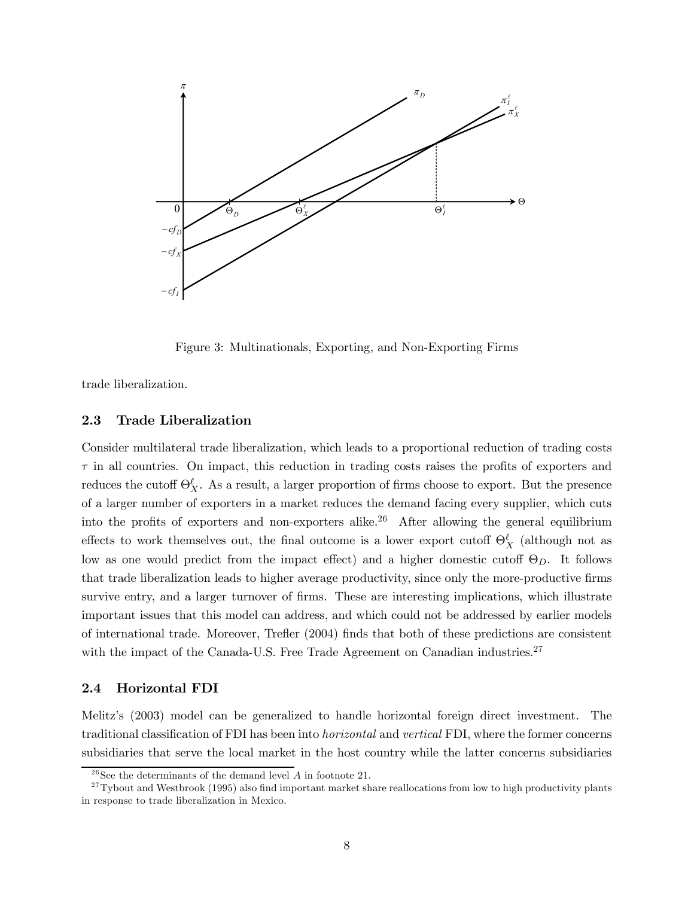

Figure 3: Multinationals, Exporting, and Non-Exporting Firms

trade liberalization.

## 2.3 Trade Liberalization

Consider multilateral trade liberalization, which leads to a proportional reduction of trading costs  $\tau$  in all countries. On impact, this reduction in trading costs raises the profits of exporters and reduces the cutoff  $\Theta_X^{\ell}$ . As a result, a larger proportion of firms choose to export. But the presence of a larger number of exporters in a market reduces the demand facing every supplier, which cuts into the profits of exporters and non-exporters alike.<sup>26</sup> After allowing the general equilibrium effects to work themselves out, the final outcome is a lower export cutoff  $\Theta_X^{\ell}$  (although not as low as one would predict from the impact effect) and a higher domestic cutoff  $\Theta_D$ . It follows that trade liberalization leads to higher average productivity, since only the more-productive firms survive entry, and a larger turnover of firms. These are interesting implications, which illustrate important issues that this model can address, and which could not be addressed by earlier models of international trade. Moreover, Trefler (2004) finds that both of these predictions are consistent with the impact of the Canada-U.S. Free Trade Agreement on Canadian industries.<sup>27</sup>

### 2.4 Horizontal FDI

Melitz's (2003) model can be generalized to handle horizontal foreign direct investment. The traditional classification of FDI has been into horizontal and vertical FDI, where the former concerns subsidiaries that serve the local market in the host country while the latter concerns subsidiaries

<sup>&</sup>lt;sup>26</sup>See the determinants of the demand level  $A$  in footnote 21.

 $27$ Tybout and Westbrook (1995) also find important market share reallocations from low to high productivity plants in response to trade liberalization in Mexico.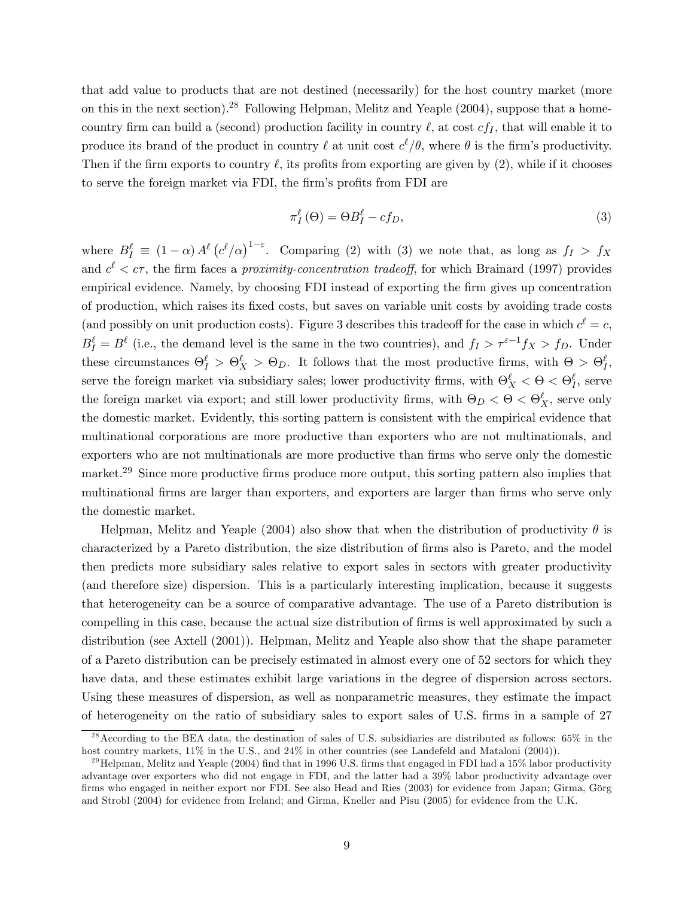that add value to products that are not destined (necessarily) for the host country market (more on this in the next section).28 Following Helpman, Melitz and Yeaple (2004), suppose that a homecountry firm can build a (second) production facility in country  $\ell$ , at cost  $cf_I$ , that will enable it to produce its brand of the product in country  $\ell$  at unit cost  $c^{\ell}/\theta$ , where  $\theta$  is the firm's productivity. Then if the firm exports to country  $\ell$ , its profits from exporting are given by (2), while if it chooses to serve the foreign market via FDI, the firm's profits from FDI are

$$
\pi_I^{\ell}(\Theta) = \Theta B_I^{\ell} - cf_D,
$$
\n(3)

where  $B_I^{\ell} \equiv (1-\alpha) A^{\ell} (c^{\ell}/\alpha)^{1-\epsilon}$ . Comparing (2) with (3) we note that, as long as  $f_I > f_X$ and  $c^{\ell} < \epsilon \tau$ , the firm faces a *proximity-concentration tradeoff*, for which Brainard (1997) provides empirical evidence. Namely, by choosing FDI instead of exporting the firm gives up concentration of production, which raises its fixed costs, but saves on variable unit costs by avoiding trade costs (and possibly on unit production costs). Figure 3 describes this tradeoff for the case in which  $c^{\ell} = c$ ,  $B_I^{\ell} = B^{\ell}$  (i.e., the demand level is the same in the two countries), and  $f_I > \tau^{\varepsilon-1} f_X > f_D$ . Under these circumstances  $\Theta_I^{\ell} > \Theta_X^{\ell} > \Theta_D$ . It follows that the most productive firms, with  $\Theta > \Theta_I^{\ell}$ , serve the foreign market via subsidiary sales; lower productivity firms, with  $\Theta_X^{\ell} < \Theta < \Theta_I^{\ell}$ , serve the foreign market via export; and still lower productivity firms, with  $\Theta_D < \Theta < \Theta_X^{\ell}$ , serve only the domestic market. Evidently, this sorting pattern is consistent with the empirical evidence that multinational corporations are more productive than exporters who are not multinationals, and exporters who are not multinationals are more productive than firms who serve only the domestic market.<sup>29</sup> Since more productive firms produce more output, this sorting pattern also implies that multinational firms are larger than exporters, and exporters are larger than firms who serve only the domestic market.

Helpman, Melitz and Yeaple (2004) also show that when the distribution of productivity  $\theta$  is characterized by a Pareto distribution, the size distribution of firms also is Pareto, and the model then predicts more subsidiary sales relative to export sales in sectors with greater productivity (and therefore size) dispersion. This is a particularly interesting implication, because it suggests that heterogeneity can be a source of comparative advantage. The use of a Pareto distribution is compelling in this case, because the actual size distribution of firms is well approximated by such a distribution (see Axtell (2001)). Helpman, Melitz and Yeaple also show that the shape parameter of a Pareto distribution can be precisely estimated in almost every one of 52 sectors for which they have data, and these estimates exhibit large variations in the degree of dispersion across sectors. Using these measures of dispersion, as well as nonparametric measures, they estimate the impact of heterogeneity on the ratio of subsidiary sales to export sales of U.S. firms in a sample of 27

 $^{28}$  According to the BEA data, the destination of sales of U.S. subsidiaries are distributed as follows: 65% in the host country markets,  $11\%$  in the U.S., and  $24\%$  in other countries (see Landefeld and Mataloni (2004)).

<sup>&</sup>lt;sup>29</sup>Helpman, Melitz and Yeaple (2004) find that in 1996 U.S. firms that engaged in FDI had a 15% labor productivity advantage over exporters who did not engage in FDI, and the latter had a 39% labor productivity advantage over firms who engaged in neither export nor FDI. See also Head and Ries (2003) for evidence from Japan; Girma, Görg and Strobl (2004) for evidence from Ireland; and Girma, Kneller and Pisu (2005) for evidence from the U.K.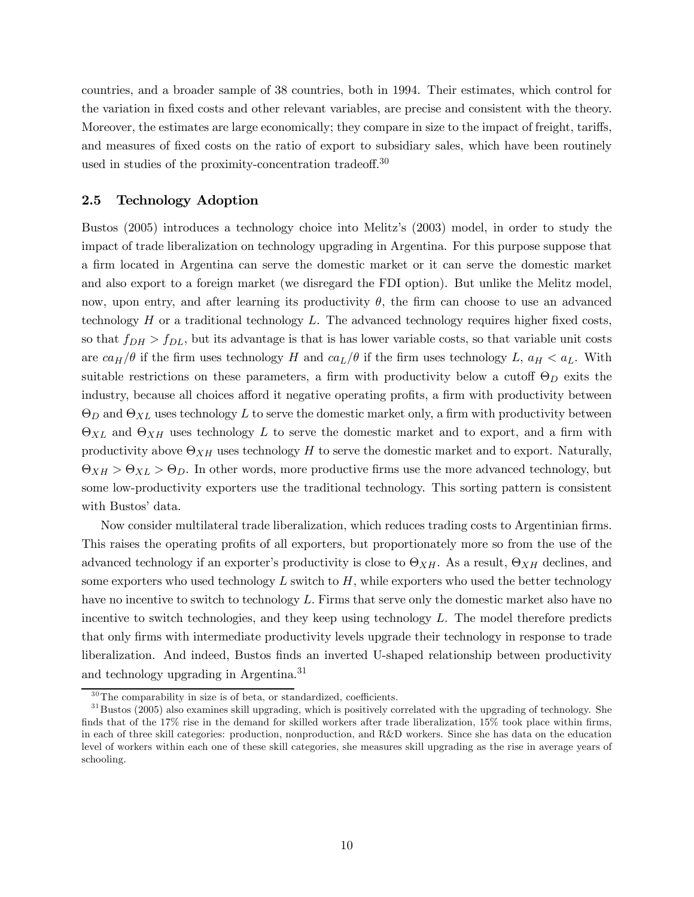countries, and a broader sample of 38 countries, both in 1994. Their estimates, which control for the variation in fixed costs and other relevant variables, are precise and consistent with the theory. Moreover, the estimates are large economically; they compare in size to the impact of freight, tariffs, and measures of fixed costs on the ratio of export to subsidiary sales, which have been routinely used in studies of the proximity-concentration tradeoff. 30

## 2.5 Technology Adoption

Bustos (2005) introduces a technology choice into Melitz's (2003) model, in order to study the impact of trade liberalization on technology upgrading in Argentina. For this purpose suppose that a firm located in Argentina can serve the domestic market or it can serve the domestic market and also export to a foreign market (we disregard the FDI option). But unlike the Melitz model, now, upon entry, and after learning its productivity  $\theta$ , the firm can choose to use an advanced technology  $H$  or a traditional technology  $L$ . The advanced technology requires higher fixed costs, so that  $f_{DH} > f_{DL}$ , but its advantage is that is has lower variable costs, so that variable unit costs are  $ca_H/\theta$  if the firm uses technology H and  $ca_L/\theta$  if the firm uses technology L,  $a_H < a_L$ . With suitable restrictions on these parameters, a firm with productivity below a cutoff  $\Theta_D$  exits the industry, because all choices afford it negative operating profits, a firm with productivity between  $\Theta_D$  and  $\Theta_{XL}$  uses technology L to serve the domestic market only, a firm with productivity between  $\Theta_{XL}$  and  $\Theta_{XH}$  uses technology L to serve the domestic market and to export, and a firm with productivity above  $\Theta_{XH}$  uses technology H to serve the domestic market and to export. Naturally,  $\Theta_{XH} > \Theta_{XL} > \Theta_D$ . In other words, more productive firms use the more advanced technology, but some low-productivity exporters use the traditional technology. This sorting pattern is consistent with Bustos' data.

Now consider multilateral trade liberalization, which reduces trading costs to Argentinian firms. This raises the operating profits of all exporters, but proportionately more so from the use of the advanced technology if an exporter's productivity is close to  $\Theta_{XH}$ . As a result,  $\Theta_{XH}$  declines, and some exporters who used technology  $L$  switch to  $H$ , while exporters who used the better technology have no incentive to switch to technology L. Firms that serve only the domestic market also have no incentive to switch technologies, and they keep using technology  $L$ . The model therefore predicts that only firms with intermediate productivity levels upgrade their technology in response to trade liberalization. And indeed, Bustos finds an inverted U-shaped relationship between productivity and technology upgrading in Argentina.<sup>31</sup>

 $30$ The comparability in size is of beta, or standardized, coefficients.

 $31$ Bustos (2005) also examines skill upgrading, which is positively correlated with the upgrading of technology. She finds that of the 17% rise in the demand for skilled workers after trade liberalization, 15% took place within firms, in each of three skill categories: production, nonproduction, and R&D workers. Since she has data on the education level of workers within each one of these skill categories, she measures skill upgrading as the rise in average years of schooling.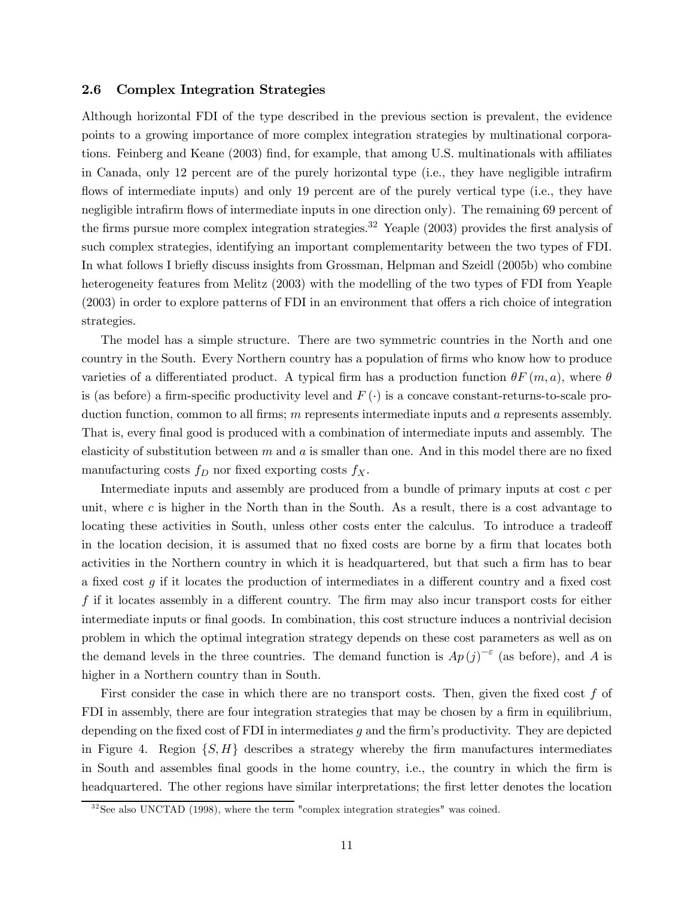## 2.6 Complex Integration Strategies

Although horizontal FDI of the type described in the previous section is prevalent, the evidence points to a growing importance of more complex integration strategies by multinational corporations. Feinberg and Keane (2003) find, for example, that among U.S. multinationals with affiliates in Canada, only 12 percent are of the purely horizontal type (i.e., they have negligible intrafirm flows of intermediate inputs) and only 19 percent are of the purely vertical type (i.e., they have negligible intrafirm flows of intermediate inputs in one direction only). The remaining 69 percent of the firms pursue more complex integration strategies.<sup>32</sup> Yeaple (2003) provides the first analysis of such complex strategies, identifying an important complementarity between the two types of FDI. In what follows I briefly discuss insights from Grossman, Helpman and Szeidl (2005b) who combine heterogeneity features from Melitz (2003) with the modelling of the two types of FDI from Yeaple (2003) in order to explore patterns of FDI in an environment that offers a rich choice of integration strategies.

The model has a simple structure. There are two symmetric countries in the North and one country in the South. Every Northern country has a population of firms who know how to produce varieties of a differentiated product. A typical firm has a production function  $\theta F(m, a)$ , where  $\theta$ is (as before) a firm-specific productivity level and  $F(\cdot)$  is a concave constant-returns-to-scale production function, common to all firms;  $m$  represents intermediate inputs and  $a$  represents assembly. That is, every final good is produced with a combination of intermediate inputs and assembly. The elasticity of substitution between  $m$  and  $a$  is smaller than one. And in this model there are no fixed manufacturing costs  $f_D$  nor fixed exporting costs  $f_X$ .

Intermediate inputs and assembly are produced from a bundle of primary inputs at cost c per unit, where  $c$  is higher in the North than in the South. As a result, there is a cost advantage to locating these activities in South, unless other costs enter the calculus. To introduce a tradeoff in the location decision, it is assumed that no fixed costs are borne by a firm that locates both activities in the Northern country in which it is headquartered, but that such a firm has to bear a fixed cost  $g$  if it locates the production of intermediates in a different country and a fixed cost f if it locates assembly in a different country. The firm may also incur transport costs for either intermediate inputs or final goods. In combination, this cost structure induces a nontrivial decision problem in which the optimal integration strategy depends on these cost parameters as well as on the demand levels in the three countries. The demand function is  $Ap(j)^{-\epsilon}$  (as before), and A is higher in a Northern country than in South.

First consider the case in which there are no transport costs. Then, given the fixed cost  $f$  of FDI in assembly, there are four integration strategies that may be chosen by a firm in equilibrium, depending on the fixed cost of FDI in intermediates  $g$  and the firm's productivity. They are depicted in Figure 4. Region  $\{S, H\}$  describes a strategy whereby the firm manufactures intermediates in South and assembles final goods in the home country, i.e., the country in which the firm is headquartered. The other regions have similar interpretations; the first letter denotes the location

 $32$ See also UNCTAD (1998), where the term "complex integration strategies" was coined.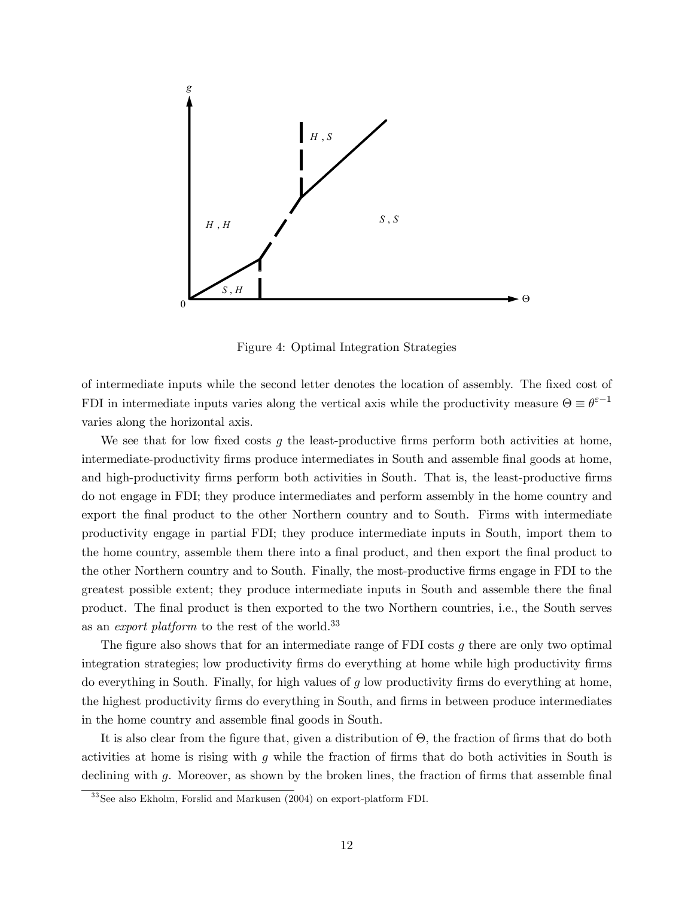

Figure 4: Optimal Integration Strategies

of intermediate inputs while the second letter denotes the location of assembly. The fixed cost of FDI in intermediate inputs varies along the vertical axis while the productivity measure  $\Theta \equiv \theta^{\epsilon-1}$ varies along the horizontal axis.

We see that for low fixed costs g the least-productive firms perform both activities at home, intermediate-productivity firms produce intermediates in South and assemble final goods at home, and high-productivity firms perform both activities in South. That is, the least-productive firms do not engage in FDI; they produce intermediates and perform assembly in the home country and export the final product to the other Northern country and to South. Firms with intermediate productivity engage in partial FDI; they produce intermediate inputs in South, import them to the home country, assemble them there into a final product, and then export the final product to the other Northern country and to South. Finally, the most-productive firms engage in FDI to the greatest possible extent; they produce intermediate inputs in South and assemble there the final product. The final product is then exported to the two Northern countries, i.e., the South serves as an *export platform* to the rest of the world.<sup>33</sup>

The figure also shows that for an intermediate range of FDI costs  $g$  there are only two optimal integration strategies; low productivity firms do everything at home while high productivity firms do everything in South. Finally, for high values of  $g$  low productivity firms do everything at home, the highest productivity firms do everything in South, and firms in between produce intermediates in the home country and assemble final goods in South.

It is also clear from the figure that, given a distribution of Θ, the fraction of firms that do both activities at home is rising with g while the fraction of firms that do both activities in South is declining with g. Moreover, as shown by the broken lines, the fraction of firms that assemble final

<sup>&</sup>lt;sup>33</sup> See also Ekholm, Forslid and Markusen (2004) on export-platform FDI.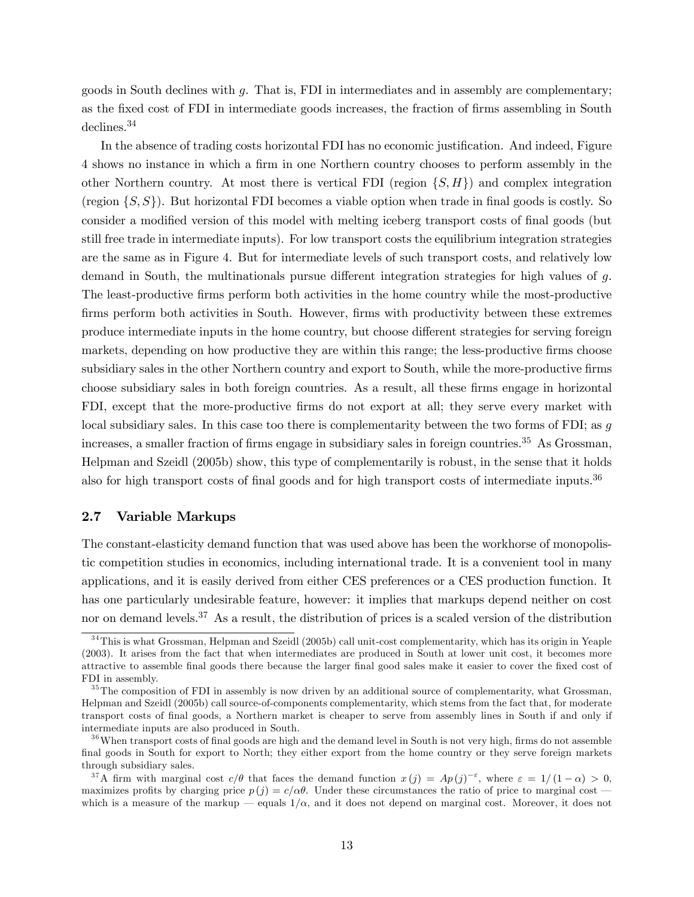goods in South declines with g. That is, FDI in intermediates and in assembly are complementary; as the fixed cost of FDI in intermediate goods increases, the fraction of firms assembling in South declines.<sup>34</sup>

In the absence of trading costs horizontal FDI has no economic justification. And indeed, Figure 4 shows no instance in which a firm in one Northern country chooses to perform assembly in the other Northern country. At most there is vertical FDI (region  $\{S, H\}$ ) and complex integration (region  $\{S, S\}$ ). But horizontal FDI becomes a viable option when trade in final goods is costly. So consider a modified version of this model with melting iceberg transport costs of final goods (but still free trade in intermediate inputs). For low transport costs the equilibrium integration strategies are the same as in Figure 4. But for intermediate levels of such transport costs, and relatively low demand in South, the multinationals pursue different integration strategies for high values of g. The least-productive firms perform both activities in the home country while the most-productive firms perform both activities in South. However, firms with productivity between these extremes produce intermediate inputs in the home country, but choose different strategies for serving foreign markets, depending on how productive they are within this range; the less-productive firms choose subsidiary sales in the other Northern country and export to South, while the more-productive firms choose subsidiary sales in both foreign countries. As a result, all these firms engage in horizontal FDI, except that the more-productive firms do not export at all; they serve every market with local subsidiary sales. In this case too there is complementarity between the two forms of FDI; as  $q$ increases, a smaller fraction of firms engage in subsidiary sales in foreign countries.<sup>35</sup> As Grossman, Helpman and Szeidl (2005b) show, this type of complementarily is robust, in the sense that it holds also for high transport costs of final goods and for high transport costs of intermediate inputs.<sup>36</sup>

### 2.7 Variable Markups

The constant-elasticity demand function that was used above has been the workhorse of monopolistic competition studies in economics, including international trade. It is a convenient tool in many applications, and it is easily derived from either CES preferences or a CES production function. It has one particularly undesirable feature, however: it implies that markups depend neither on cost nor on demand levels.<sup>37</sup> As a result, the distribution of prices is a scaled version of the distribution

 $34$ This is what Grossman, Helpman and Szeidl (2005b) call unit-cost complementarity, which has its origin in Yeaple (2003). It arises from the fact that when intermediates are produced in South at lower unit cost, it becomes more attractive to assemble final goods there because the larger final good sales make it easier to cover the fixed cost of FDI in assembly.

 $35$  The composition of FDI in assembly is now driven by an additional source of complementarity, what Grossman, Helpman and Szeidl (2005b) call source-of-components complementarity, which stems from the fact that, for moderate transport costs of final goods, a Northern market is cheaper to serve from assembly lines in South if and only if intermediate inputs are also produced in South.

<sup>&</sup>lt;sup>36</sup> When transport costs of final goods are high and the demand level in South is not very high, firms do not assemble final goods in South for export to North; they either export from the home country or they serve foreign markets through subsidiary sales.

<sup>&</sup>lt;sup>37</sup>A firm with marginal cost  $c/\theta$  that faces the demand function  $x(j) = Ap(j)^{-\varepsilon}$ , where  $\varepsilon = 1/(1-\alpha) > 0$ , maximizes profits by charging price  $p(j) = c/\alpha\theta$ . Under these circumstances the ratio of price to marginal cost – which is a measure of the markup – equals  $1/\alpha$ , and it does not depend on marginal cost. Moreover, it does not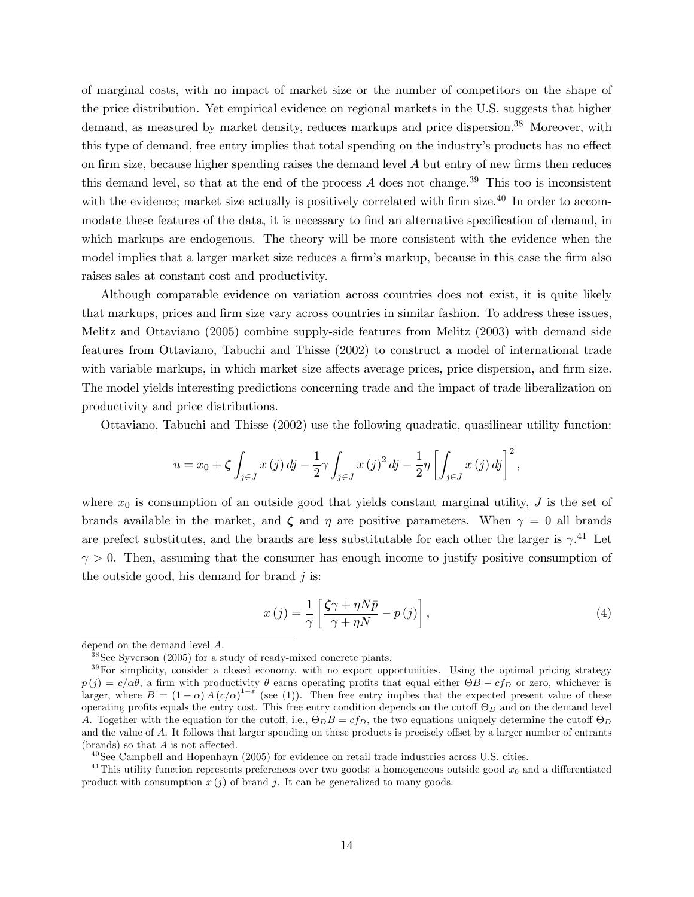of marginal costs, with no impact of market size or the number of competitors on the shape of the price distribution. Yet empirical evidence on regional markets in the U.S. suggests that higher demand, as measured by market density, reduces markups and price dispersion.<sup>38</sup> Moreover, with this type of demand, free entry implies that total spending on the industry's products has no effect on firm size, because higher spending raises the demand level  $A$  but entry of new firms then reduces this demand level, so that at the end of the process  $A$  does not change.<sup>39</sup> This too is inconsistent with the evidence; market size actually is positively correlated with firm size.<sup>40</sup> In order to accommodate these features of the data, it is necessary to find an alternative specification of demand, in which markups are endogenous. The theory will be more consistent with the evidence when the model implies that a larger market size reduces a firm's markup, because in this case the firm also raises sales at constant cost and productivity.

Although comparable evidence on variation across countries does not exist, it is quite likely that markups, prices and firm size vary across countries in similar fashion. To address these issues, Melitz and Ottaviano (2005) combine supply-side features from Melitz (2003) with demand side features from Ottaviano, Tabuchi and Thisse (2002) to construct a model of international trade with variable markups, in which market size affects average prices, price dispersion, and firm size. The model yields interesting predictions concerning trade and the impact of trade liberalization on productivity and price distributions.

Ottaviano, Tabuchi and Thisse (2002) use the following quadratic, quasilinear utility function:

$$
u = x_0 + \zeta \int_{j \in J} x(j) \, dj - \frac{1}{2} \gamma \int_{j \in J} x(j)^2 \, dj - \frac{1}{2} \eta \left[ \int_{j \in J} x(j) \, dj \right]^2,
$$

where  $x_0$  is consumption of an outside good that yields constant marginal utility, J is the set of brands available in the market, and  $\zeta$  and  $\eta$  are positive parameters. When  $\gamma = 0$  all brands are prefect substitutes, and the brands are less substitutable for each other the larger is  $\gamma$ .<sup>41</sup> Let  $\gamma > 0$ . Then, assuming that the consumer has enough income to justify positive consumption of the outside good, his demand for brand  $j$  is:

$$
x(j) = \frac{1}{\gamma} \left[ \frac{\zeta \gamma + \eta N \bar{p}}{\gamma + \eta N} - p(j) \right],
$$
\n(4)

 $^{40}$ See Campbell and Hopenhayn (2005) for evidence on retail trade industries across U.S. cities.

<sup>41</sup>This utility function represents preferences over two goods: a homogeneous outside good  $x_0$  and a differentiated product with consumption  $x(j)$  of brand j. It can be generalized to many goods.

depend on the demand level A.

 $38$ See Syverson (2005) for a study of ready-mixed concrete plants.

<sup>&</sup>lt;sup>39</sup>For simplicity, consider a closed economy, with no export opportunities. Using the optimal pricing strategy  $p(j) = c/\alpha\theta$ , a firm with productivity  $\theta$  earns operating profits that equal either  $\Theta B - c f_D$  or zero, whichever is larger, where  $B = (1 - \alpha) A (c/\alpha)^{1-\epsilon}$  (see (1)). Then free entry implies that the expected present value of these operating profits equals the entry cost. This free entry condition depends on the cutoff  $\Theta_D$  and on the demand level A. Together with the equation for the cutoff, i.e.,  $\Theta_D B = c f_D$ , the two equations uniquely determine the cutoff  $\Theta_D$ and the value of A. It follows that larger spending on these products is precisely offset by a larger number of entrants (brands) so that A is not affected.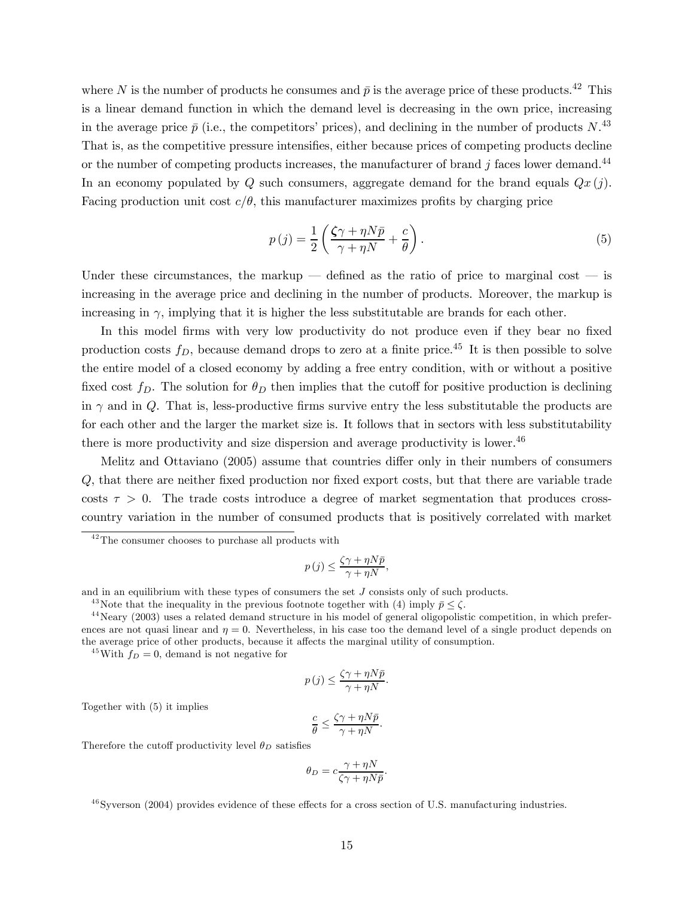where N is the number of products he consumes and  $\bar{p}$  is the average price of these products.<sup>42</sup> This is a linear demand function in which the demand level is decreasing in the own price, increasing in the average price  $\bar{p}$  (i.e., the competitors' prices), and declining in the number of products N.<sup>43</sup> That is, as the competitive pressure intensifies, either because prices of competing products decline or the number of competing products increases, the manufacturer of brand  $j$  faces lower demand.<sup>44</sup> In an economy populated by Q such consumers, aggregate demand for the brand equals  $Qx(j)$ . Facing production unit cost  $c/\theta$ , this manufacturer maximizes profits by charging price

$$
p(j) = \frac{1}{2} \left( \frac{\zeta \gamma + \eta N \bar{p}}{\gamma + \eta N} + \frac{c}{\theta} \right).
$$
\n(5)

Under these circumstances, the markup  $-$  defined as the ratio of price to marginal cost  $-$  is increasing in the average price and declining in the number of products. Moreover, the markup is increasing in  $\gamma$ , implying that it is higher the less substitutable are brands for each other.

In this model firms with very low productivity do not produce even if they bear no fixed production costs  $f_D$ , because demand drops to zero at a finite price.<sup>45</sup> It is then possible to solve the entire model of a closed economy by adding a free entry condition, with or without a positive fixed cost  $f_D$ . The solution for  $\theta_D$  then implies that the cutoff for positive production is declining in  $\gamma$  and in Q. That is, less-productive firms survive entry the less substitutable the products are for each other and the larger the market size is. It follows that in sectors with less substitutability there is more productivity and size dispersion and average productivity is lower. $46$ 

Melitz and Ottaviano (2005) assume that countries differ only in their numbers of consumers Q, that there are neither fixed production nor fixed export costs, but that there are variable trade costs  $\tau > 0$ . The trade costs introduce a degree of market segmentation that produces crosscountry variation in the number of consumed products that is positively correlated with market

$$
p(j) \le \frac{\zeta \gamma + \eta N \bar{p}}{\gamma + \eta N},
$$

and in an equilibrium with these types of consumers the set  $J$  consists only of such products.

<sup>43</sup>Note that the inequality in the previous footnote together with (4) imply  $\bar{p} \leq \zeta$ .<br><sup>44</sup>Neary (2003) uses a related demand structure in his model of general oligopolistic competition, in which preferences are not quasi linear and  $\eta = 0$ . Nevertheless, in his case too the demand level of a single product depends on the average price of other products, because it affects the marginal utility of consumption.

<sup>45</sup>With  $f_D = 0$ , demand is not negative for

$$
p(j) \le \frac{\zeta \gamma + \eta N \bar{p}}{\gamma + \eta N}.
$$

Together with (5) it implies

$$
\frac{c}{\theta} \le \frac{\zeta \gamma + \eta N \bar{p}}{\gamma + \eta N}.
$$

Therefore the cutoff productivity level  $\theta_D$  satisfies

$$
\theta_D = c \frac{\gamma + \eta N}{\zeta \gamma + \eta N \bar{p}}.
$$

 $^{46}$ Syverson (2004) provides evidence of these effects for a cross section of U.S. manufacturing industries.

 $42$ The consumer chooses to purchase all products with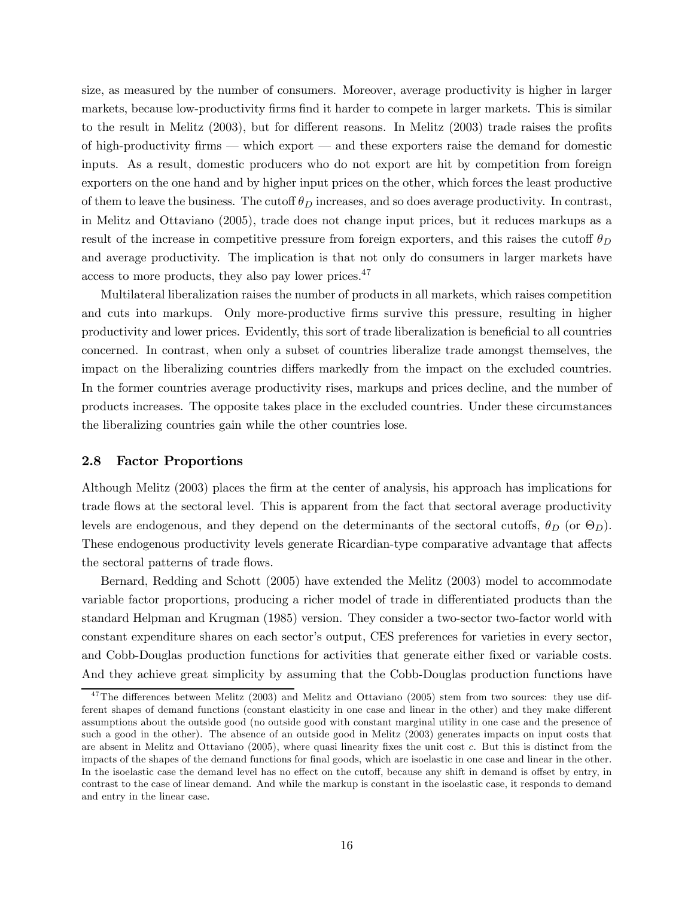size, as measured by the number of consumers. Moreover, average productivity is higher in larger markets, because low-productivity firms find it harder to compete in larger markets. This is similar to the result in Melitz (2003), but for different reasons. In Melitz (2003) trade raises the profits of high-productivity firms – which export – and these exporters raise the demand for domestic inputs. As a result, domestic producers who do not export are hit by competition from foreign exporters on the one hand and by higher input prices on the other, which forces the least productive of them to leave the business. The cutoff  $\theta_D$  increases, and so does average productivity. In contrast, in Melitz and Ottaviano (2005), trade does not change input prices, but it reduces markups as a result of the increase in competitive pressure from foreign exporters, and this raises the cutoff  $\theta_D$ and average productivity. The implication is that not only do consumers in larger markets have access to more products, they also pay lower prices.47

Multilateral liberalization raises the number of products in all markets, which raises competition and cuts into markups. Only more-productive firms survive this pressure, resulting in higher productivity and lower prices. Evidently, this sort of trade liberalization is beneficial to all countries concerned. In contrast, when only a subset of countries liberalize trade amongst themselves, the impact on the liberalizing countries differs markedly from the impact on the excluded countries. In the former countries average productivity rises, markups and prices decline, and the number of products increases. The opposite takes place in the excluded countries. Under these circumstances the liberalizing countries gain while the other countries lose.

### 2.8 Factor Proportions

Although Melitz (2003) places the firm at the center of analysis, his approach has implications for trade flows at the sectoral level. This is apparent from the fact that sectoral average productivity levels are endogenous, and they depend on the determinants of the sectoral cutoffs,  $\theta_D$  (or  $\Theta_D$ ). These endogenous productivity levels generate Ricardian-type comparative advantage that affects the sectoral patterns of trade flows.

Bernard, Redding and Schott (2005) have extended the Melitz (2003) model to accommodate variable factor proportions, producing a richer model of trade in differentiated products than the standard Helpman and Krugman (1985) version. They consider a two-sector two-factor world with constant expenditure shares on each sector's output, CES preferences for varieties in every sector, and Cobb-Douglas production functions for activities that generate either fixed or variable costs. And they achieve great simplicity by assuming that the Cobb-Douglas production functions have

<sup>&</sup>lt;sup>47</sup>The differences between Melitz (2003) and Melitz and Ottaviano (2005) stem from two sources: they use different shapes of demand functions (constant elasticity in one case and linear in the other) and they make different assumptions about the outside good (no outside good with constant marginal utility in one case and the presence of such a good in the other). The absence of an outside good in Melitz (2003) generates impacts on input costs that are absent in Melitz and Ottaviano (2005), where quasi linearity fixes the unit cost c. But this is distinct from the impacts of the shapes of the demand functions for final goods, which are isoelastic in one case and linear in the other. In the isoelastic case the demand level has no effect on the cutoff, because any shift in demand is offset by entry, in contrast to the case of linear demand. And while the markup is constant in the isoelastic case, it responds to demand and entry in the linear case.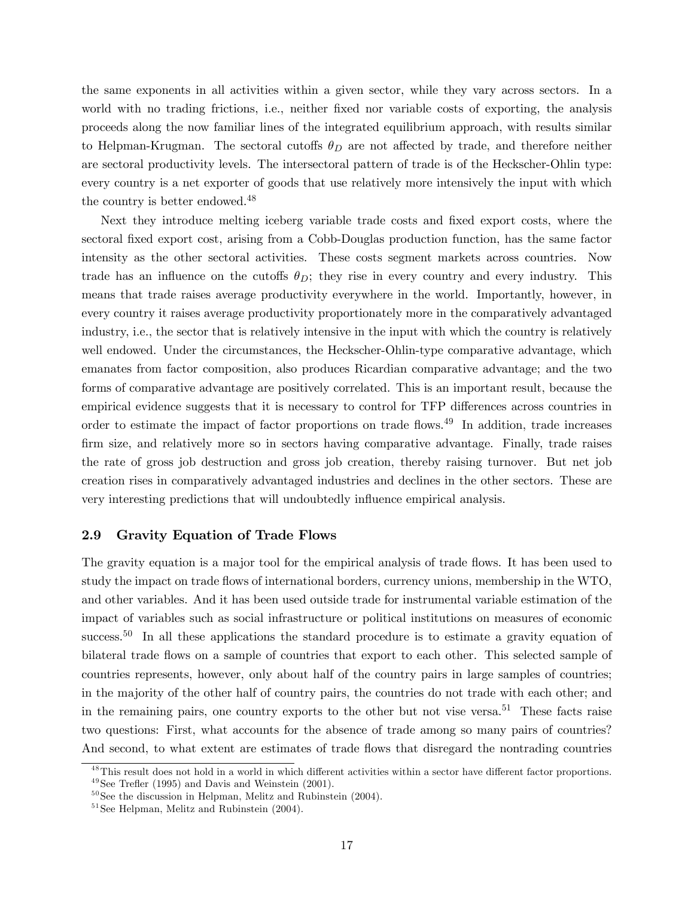the same exponents in all activities within a given sector, while they vary across sectors. In a world with no trading frictions, i.e., neither fixed nor variable costs of exporting, the analysis proceeds along the now familiar lines of the integrated equilibrium approach, with results similar to Helpman-Krugman. The sectoral cutoffs  $\theta_D$  are not affected by trade, and therefore neither are sectoral productivity levels. The intersectoral pattern of trade is of the Heckscher-Ohlin type: every country is a net exporter of goods that use relatively more intensively the input with which the country is better endowed.<sup>48</sup>

Next they introduce melting iceberg variable trade costs and fixed export costs, where the sectoral fixed export cost, arising from a Cobb-Douglas production function, has the same factor intensity as the other sectoral activities. These costs segment markets across countries. Now trade has an influence on the cutoffs  $\theta_D$ ; they rise in every country and every industry. This means that trade raises average productivity everywhere in the world. Importantly, however, in every country it raises average productivity proportionately more in the comparatively advantaged industry, i.e., the sector that is relatively intensive in the input with which the country is relatively well endowed. Under the circumstances, the Heckscher-Ohlin-type comparative advantage, which emanates from factor composition, also produces Ricardian comparative advantage; and the two forms of comparative advantage are positively correlated. This is an important result, because the empirical evidence suggests that it is necessary to control for TFP differences across countries in order to estimate the impact of factor proportions on trade flows.<sup>49</sup> In addition, trade increases firm size, and relatively more so in sectors having comparative advantage. Finally, trade raises the rate of gross job destruction and gross job creation, thereby raising turnover. But net job creation rises in comparatively advantaged industries and declines in the other sectors. These are very interesting predictions that will undoubtedly influence empirical analysis.

## 2.9 Gravity Equation of Trade Flows

The gravity equation is a major tool for the empirical analysis of trade flows. It has been used to study the impact on trade flows of international borders, currency unions, membership in the WTO, and other variables. And it has been used outside trade for instrumental variable estimation of the impact of variables such as social infrastructure or political institutions on measures of economic success.<sup>50</sup> In all these applications the standard procedure is to estimate a gravity equation of bilateral trade flows on a sample of countries that export to each other. This selected sample of countries represents, however, only about half of the country pairs in large samples of countries; in the majority of the other half of country pairs, the countries do not trade with each other; and in the remaining pairs, one country exports to the other but not vise versa.<sup>51</sup> These facts raise two questions: First, what accounts for the absence of trade among so many pairs of countries? And second, to what extent are estimates of trade flows that disregard the nontrading countries

<sup>&</sup>lt;sup>48</sup>This result does not hold in a world in which different activities within a sector have different factor proportions.  $49$  See Trefler (1995) and Davis and Weinstein (2001).

 $50$  See the discussion in Helpman, Melitz and Rubinstein (2004).

 $51$  See Helpman, Melitz and Rubinstein  $(2004)$ .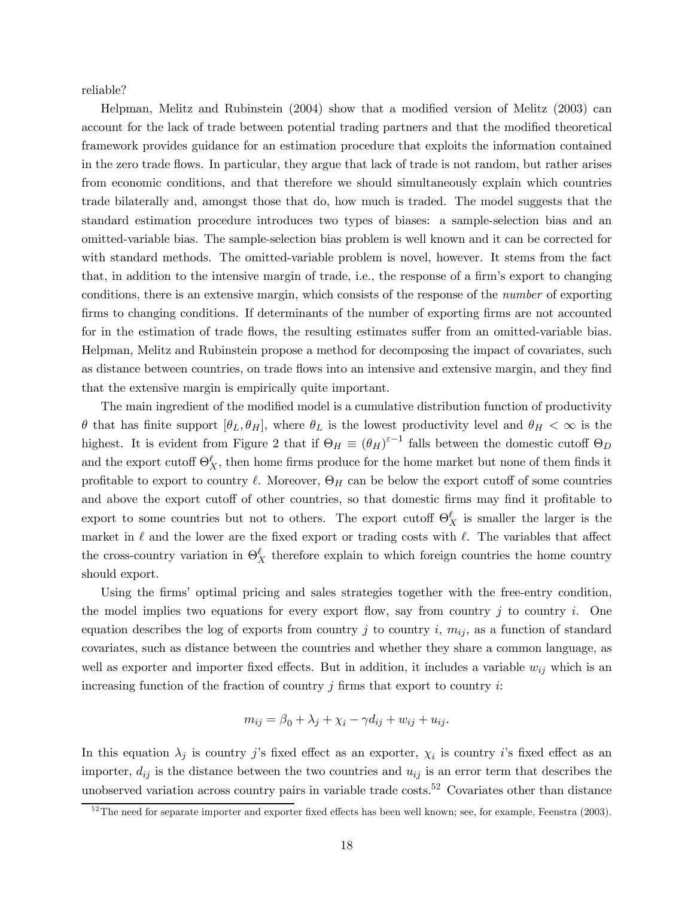reliable?

Helpman, Melitz and Rubinstein (2004) show that a modified version of Melitz (2003) can account for the lack of trade between potential trading partners and that the modified theoretical framework provides guidance for an estimation procedure that exploits the information contained in the zero trade flows. In particular, they argue that lack of trade is not random, but rather arises from economic conditions, and that therefore we should simultaneously explain which countries trade bilaterally and, amongst those that do, how much is traded. The model suggests that the standard estimation procedure introduces two types of biases: a sample-selection bias and an omitted-variable bias. The sample-selection bias problem is well known and it can be corrected for with standard methods. The omitted-variable problem is novel, however. It stems from the fact that, in addition to the intensive margin of trade, i.e., the response of a firm's export to changing conditions, there is an extensive margin, which consists of the response of the number of exporting firms to changing conditions. If determinants of the number of exporting firms are not accounted for in the estimation of trade flows, the resulting estimates suffer from an omitted-variable bias. Helpman, Melitz and Rubinstein propose a method for decomposing the impact of covariates, such as distance between countries, on trade flows into an intensive and extensive margin, and they find that the extensive margin is empirically quite important.

The main ingredient of the modified model is a cumulative distribution function of productivity  $θ$  that has finite support  $[θ<sub>L</sub>, θ<sub>H</sub>]$ , where  $θ<sub>L</sub>$  is the lowest productivity level and  $θ<sub>H</sub> < ∞$  is the highest. It is evident from Figure 2 that if  $\Theta_H \equiv (\theta_H)^{\varepsilon-1}$  falls between the domestic cutoff  $\Theta_D$ and the export cutoff  $\Theta_X^{\ell}$ , then home firms produce for the home market but none of them finds it profitable to export to country  $\ell$ . Moreover,  $\Theta_H$  can be below the export cutoff of some countries and above the export cutoff of other countries, so that domestic firms may find it profitable to export to some countries but not to others. The export cutoff  $\Theta_X^{\ell}$  is smaller the larger is the market in  $\ell$  and the lower are the fixed export or trading costs with  $\ell$ . The variables that affect the cross-country variation in  $\Theta_X^{\ell}$  therefore explain to which foreign countries the home country should export.

Using the firms' optimal pricing and sales strategies together with the free-entry condition, the model implies two equations for every export flow, say from country j to country i. One equation describes the log of exports from country j to country i,  $m_{ij}$ , as a function of standard covariates, such as distance between the countries and whether they share a common language, as well as exporter and importer fixed effects. But in addition, it includes a variable  $w_{ij}$  which is an increasing function of the fraction of country  $j$  firms that export to country  $i$ :

$$
m_{ij} = \beta_0 + \lambda_j + \chi_i - \gamma d_{ij} + w_{ij} + u_{ij}.
$$

In this equation  $\lambda_j$  is country j's fixed effect as an exporter,  $\chi_i$  is country i's fixed effect as an importer,  $d_{ij}$  is the distance between the two countries and  $u_{ij}$  is an error term that describes the unobserved variation across country pairs in variable trade costs.<sup>52</sup> Covariates other than distance

 $\frac{52}{2}$ The need for separate importer and exporter fixed effects has been well known; see, for example, Feenstra (2003).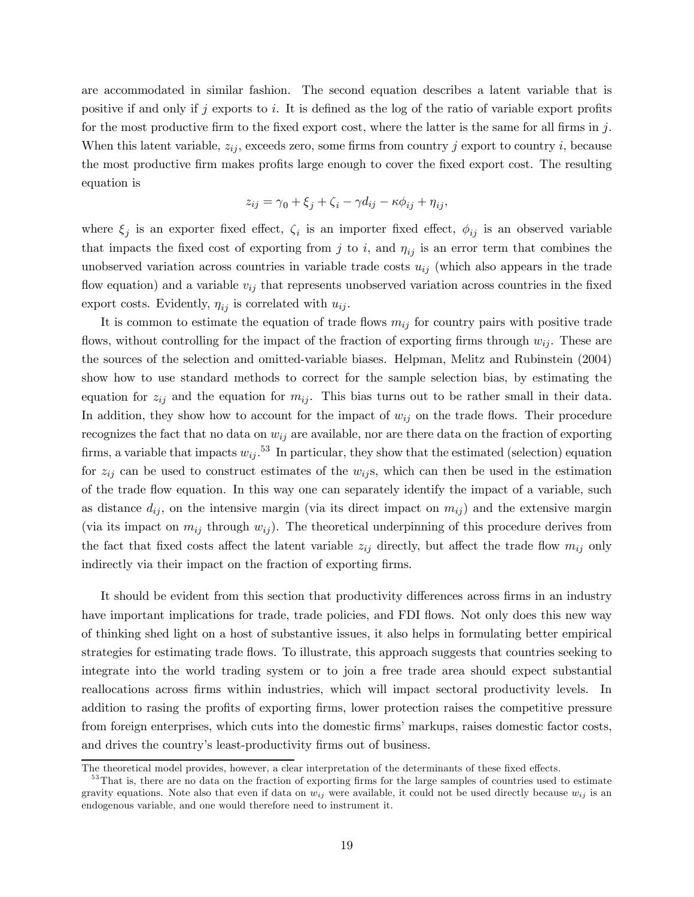are accommodated in similar fashion. The second equation describes a latent variable that is positive if and only if j exports to i. It is defined as the log of the ratio of variable export profits for the most productive firm to the fixed export cost, where the latter is the same for all firms in j. When this latent variable,  $z_{ij}$ , exceeds zero, some firms from country j export to country i, because the most productive firm makes profits large enough to cover the fixed export cost. The resulting equation is

$$
z_{ij} = \gamma_0 + \xi_j + \zeta_i - \gamma d_{ij} - \kappa \phi_{ij} + \eta_{ij},
$$

where  $\xi_i$  is an exporter fixed effect,  $\zeta_i$  is an importer fixed effect,  $\phi_{ij}$  is an observed variable that impacts the fixed cost of exporting from j to i, and  $\eta_{ij}$  is an error term that combines the unobserved variation across countries in variable trade costs  $u_{ij}$  (which also appears in the trade flow equation) and a variable  $v_{ij}$  that represents unobserved variation across countries in the fixed export costs. Evidently,  $\eta_{ij}$  is correlated with  $u_{ij}$ .

It is common to estimate the equation of trade flows  $m_{ij}$  for country pairs with positive trade flows, without controlling for the impact of the fraction of exporting firms through  $w_{ij}$ . These are the sources of the selection and omitted-variable biases. Helpman, Melitz and Rubinstein (2004) show how to use standard methods to correct for the sample selection bias, by estimating the equation for  $z_{ij}$  and the equation for  $m_{ij}$ . This bias turns out to be rather small in their data. In addition, they show how to account for the impact of  $w_{ij}$  on the trade flows. Their procedure recognizes the fact that no data on  $w_{ij}$  are available, nor are there data on the fraction of exporting firms, a variable that impacts  $w_{ij}$ .<sup>53</sup> In particular, they show that the estimated (selection) equation for  $z_{ij}$  can be used to construct estimates of the  $w_{ij}$ s, which can then be used in the estimation of the trade flow equation. In this way one can separately identify the impact of a variable, such as distance  $d_{ij}$ , on the intensive margin (via its direct impact on  $m_{ij}$ ) and the extensive margin (via its impact on  $m_{ij}$  through  $w_{ij}$ ). The theoretical underpinning of this procedure derives from the fact that fixed costs affect the latent variable  $z_{ij}$  directly, but affect the trade flow  $m_{ij}$  only indirectly via their impact on the fraction of exporting firms.

It should be evident from this section that productivity differences across firms in an industry have important implications for trade, trade policies, and FDI flows. Not only does this new way of thinking shed light on a host of substantive issues, it also helps in formulating better empirical strategies for estimating trade flows. To illustrate, this approach suggests that countries seeking to integrate into the world trading system or to join a free trade area should expect substantial reallocations across firms within industries, which will impact sectoral productivity levels. In addition to rasing the profits of exporting firms, lower protection raises the competitive pressure from foreign enterprises, which cuts into the domestic firms' markups, raises domestic factor costs, and drives the country's least-productivity firms out of business.

The theoretical model provides, however, a clear interpretation of the determinants of these fixed effects.

<sup>&</sup>lt;sup>53</sup>That is, there are no data on the fraction of exporting firms for the large samples of countries used to estimate gravity equations. Note also that even if data on  $w_{ij}$  were available, it could not be used directly because  $w_{ij}$  is an endogenous variable, and one would therefore need to instrument it.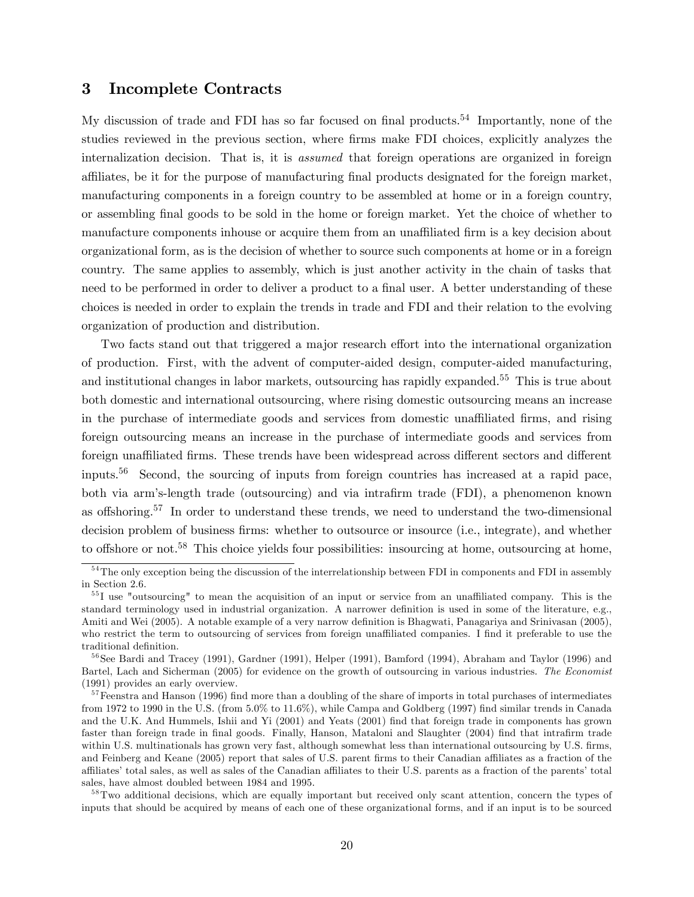## 3 Incomplete Contracts

My discussion of trade and FDI has so far focused on final products.<sup>54</sup> Importantly, none of the studies reviewed in the previous section, where firms make FDI choices, explicitly analyzes the internalization decision. That is, it is *assumed* that foreign operations are organized in foreign affiliates, be it for the purpose of manufacturing final products designated for the foreign market, manufacturing components in a foreign country to be assembled at home or in a foreign country, or assembling final goods to be sold in the home or foreign market. Yet the choice of whether to manufacture components inhouse or acquire them from an unaffiliated firm is a key decision about organizational form, as is the decision of whether to source such components at home or in a foreign country. The same applies to assembly, which is just another activity in the chain of tasks that need to be performed in order to deliver a product to a final user. A better understanding of these choices is needed in order to explain the trends in trade and FDI and their relation to the evolving organization of production and distribution.

Two facts stand out that triggered a major research effort into the international organization of production. First, with the advent of computer-aided design, computer-aided manufacturing, and institutional changes in labor markets, outsourcing has rapidly expanded.<sup>55</sup> This is true about both domestic and international outsourcing, where rising domestic outsourcing means an increase in the purchase of intermediate goods and services from domestic unaffiliated firms, and rising foreign outsourcing means an increase in the purchase of intermediate goods and services from foreign unaffiliated firms. These trends have been widespread across different sectors and different inputs.56 Second, the sourcing of inputs from foreign countries has increased at a rapid pace, both via arm's-length trade (outsourcing) and via intrafirm trade (FDI), a phenomenon known as offshoring.57 In order to understand these trends, we need to understand the two-dimensional decision problem of business firms: whether to outsource or insource (i.e., integrate), and whether to offshore or not.<sup>58</sup> This choice yields four possibilities: insourcing at home, outsourcing at home,

<sup>&</sup>lt;sup>54</sup>The only exception being the discussion of the interrelationship between FDI in components and FDI in assembly in Section 2.6.

<sup>&</sup>lt;sup>55</sup>I use "outsourcing" to mean the acquisition of an input or service from an unaffiliated company. This is the standard terminology used in industrial organization. A narrower definition is used in some of the literature, e.g., Amiti and Wei (2005). A notable example of a very narrow definition is Bhagwati, Panagariya and Srinivasan (2005), who restrict the term to outsourcing of services from foreign unaffiliated companies. I find it preferable to use the traditional definition.

 $56$ See Bardi and Tracey (1991), Gardner (1991), Helper (1991), Bamford (1994), Abraham and Taylor (1996) and Bartel, Lach and Sicherman (2005) for evidence on the growth of outsourcing in various industries. The Economist (1991) provides an early overview.

 $57$  Feenstra and Hanson (1996) find more than a doubling of the share of imports in total purchases of intermediates from 1972 to 1990 in the U.S. (from 5.0% to 11.6%), while Campa and Goldberg (1997) find similar trends in Canada and the U.K. And Hummels, Ishii and Yi (2001) and Yeats (2001) find that foreign trade in components has grown faster than foreign trade in final goods. Finally, Hanson, Mataloni and Slaughter (2004) find that intrafirm trade within U.S. multinationals has grown very fast, although somewhat less than international outsourcing by U.S. firms, and Feinberg and Keane (2005) report that sales of U.S. parent firms to their Canadian affiliates as a fraction of the affiliates' total sales, as well as sales of the Canadian affiliates to their U.S. parents as a fraction of the parents' total sales, have almost doubled between 1984 and 1995.

<sup>&</sup>lt;sup>58</sup>Two additional decisions, which are equally important but received only scant attention, concern the types of inputs that should be acquired by means of each one of these organizational forms, and if an input is to be sourced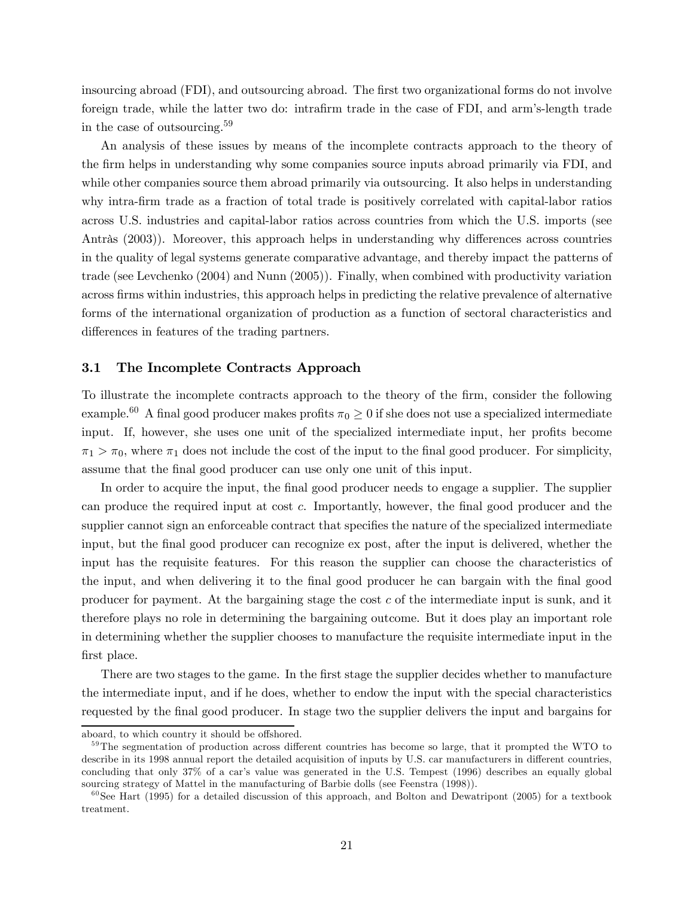insourcing abroad (FDI), and outsourcing abroad. The first two organizational forms do not involve foreign trade, while the latter two do: intrafirm trade in the case of FDI, and arm's-length trade in the case of outsourcing.<sup>59</sup>

An analysis of these issues by means of the incomplete contracts approach to the theory of the firm helps in understanding why some companies source inputs abroad primarily via FDI, and while other companies source them abroad primarily via outsourcing. It also helps in understanding why intra-firm trade as a fraction of total trade is positively correlated with capital-labor ratios across U.S. industries and capital-labor ratios across countries from which the U.S. imports (see Antràs (2003)). Moreover, this approach helps in understanding why differences across countries in the quality of legal systems generate comparative advantage, and thereby impact the patterns of trade (see Levchenko (2004) and Nunn (2005)). Finally, when combined with productivity variation across firms within industries, this approach helps in predicting the relative prevalence of alternative forms of the international organization of production as a function of sectoral characteristics and differences in features of the trading partners.

## 3.1 The Incomplete Contracts Approach

To illustrate the incomplete contracts approach to the theory of the firm, consider the following example.<sup>60</sup> A final good producer makes profits  $\pi_0 \geq 0$  if she does not use a specialized intermediate input. If, however, she uses one unit of the specialized intermediate input, her profits become  $\pi_1 > \pi_0$ , where  $\pi_1$  does not include the cost of the input to the final good producer. For simplicity, assume that the final good producer can use only one unit of this input.

In order to acquire the input, the final good producer needs to engage a supplier. The supplier can produce the required input at cost c. Importantly, however, the final good producer and the supplier cannot sign an enforceable contract that specifies the nature of the specialized intermediate input, but the final good producer can recognize ex post, after the input is delivered, whether the input has the requisite features. For this reason the supplier can choose the characteristics of the input, and when delivering it to the final good producer he can bargain with the final good producer for payment. At the bargaining stage the cost c of the intermediate input is sunk, and it therefore plays no role in determining the bargaining outcome. But it does play an important role in determining whether the supplier chooses to manufacture the requisite intermediate input in the first place.

There are two stages to the game. In the first stage the supplier decides whether to manufacture the intermediate input, and if he does, whether to endow the input with the special characteristics requested by the final good producer. In stage two the supplier delivers the input and bargains for

aboard, to which country it should be offshored.

<sup>&</sup>lt;sup>59</sup>The segmentation of production across different countries has become so large, that it prompted the WTO to describe in its 1998 annual report the detailed acquisition of inputs by U.S. car manufacturers in different countries, concluding that only 37% of a car's value was generated in the U.S. Tempest (1996) describes an equally global sourcing strategy of Mattel in the manufacturing of Barbie dolls (see Feenstra (1998)).

 $60$ See Hart (1995) for a detailed discussion of this approach, and Bolton and Dewatripont (2005) for a textbook treatment.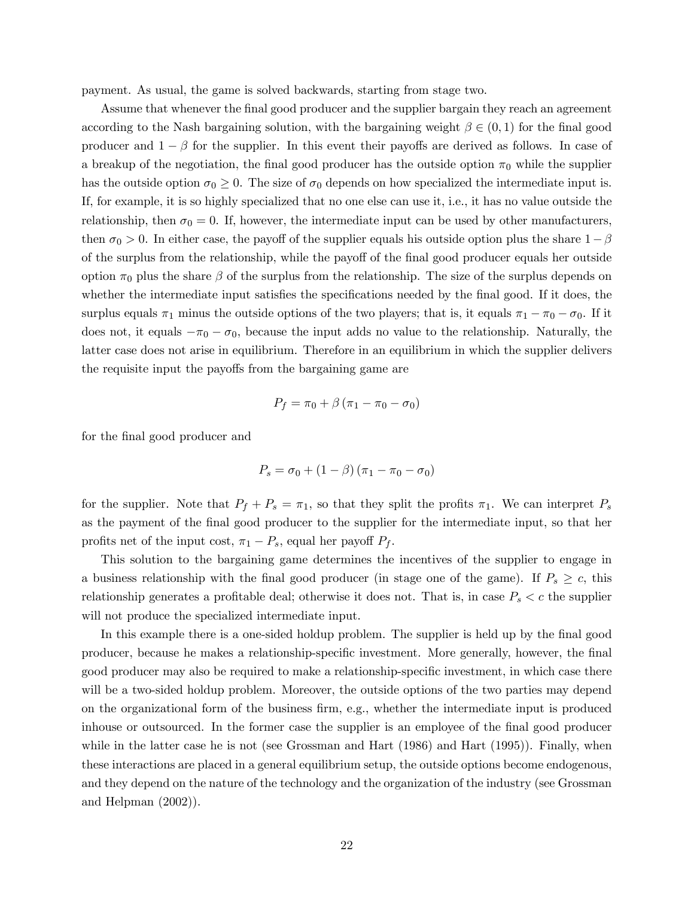payment. As usual, the game is solved backwards, starting from stage two.

Assume that whenever the final good producer and the supplier bargain they reach an agreement according to the Nash bargaining solution, with the bargaining weight  $\beta \in (0,1)$  for the final good producer and  $1 - \beta$  for the supplier. In this event their payoffs are derived as follows. In case of a breakup of the negotiation, the final good producer has the outside option  $\pi_0$  while the supplier has the outside option  $\sigma_0 \geq 0$ . The size of  $\sigma_0$  depends on how specialized the intermediate input is. If, for example, it is so highly specialized that no one else can use it, i.e., it has no value outside the relationship, then  $\sigma_0 = 0$ . If, however, the intermediate input can be used by other manufacturers, then  $\sigma_0 > 0$ . In either case, the payoff of the supplier equals his outside option plus the share  $1-\beta$ of the surplus from the relationship, while the payoff of the final good producer equals her outside option  $\pi_0$  plus the share  $\beta$  of the surplus from the relationship. The size of the surplus depends on whether the intermediate input satisfies the specifications needed by the final good. If it does, the surplus equals  $\pi_1$  minus the outside options of the two players; that is, it equals  $\pi_1 - \pi_0 - \sigma_0$ . If it does not, it equals  $-\pi_0 - \sigma_0$ , because the input adds no value to the relationship. Naturally, the latter case does not arise in equilibrium. Therefore in an equilibrium in which the supplier delivers the requisite input the payoffs from the bargaining game are

$$
P_f = \pi_0 + \beta \left( \pi_1 - \pi_0 - \sigma_0 \right)
$$

for the final good producer and

$$
P_s = \sigma_0 + (1 - \beta) (\pi_1 - \pi_0 - \sigma_0)
$$

for the supplier. Note that  $P_f + P_s = \pi_1$ , so that they split the profits  $\pi_1$ . We can interpret  $P_s$ as the payment of the final good producer to the supplier for the intermediate input, so that her profits net of the input cost,  $\pi_1 - P_s$ , equal her payoff  $P_f$ .

This solution to the bargaining game determines the incentives of the supplier to engage in a business relationship with the final good producer (in stage one of the game). If  $P_s \geq c$ , this relationship generates a profitable deal; otherwise it does not. That is, in case  $P_s < c$  the supplier will not produce the specialized intermediate input.

In this example there is a one-sided holdup problem. The supplier is held up by the final good producer, because he makes a relationship-specific investment. More generally, however, the final good producer may also be required to make a relationship-specific investment, in which case there will be a two-sided holdup problem. Moreover, the outside options of the two parties may depend on the organizational form of the business firm, e.g., whether the intermediate input is produced inhouse or outsourced. In the former case the supplier is an employee of the final good producer while in the latter case he is not (see Grossman and Hart (1986) and Hart (1995)). Finally, when these interactions are placed in a general equilibrium setup, the outside options become endogenous, and they depend on the nature of the technology and the organization of the industry (see Grossman and Helpman (2002)).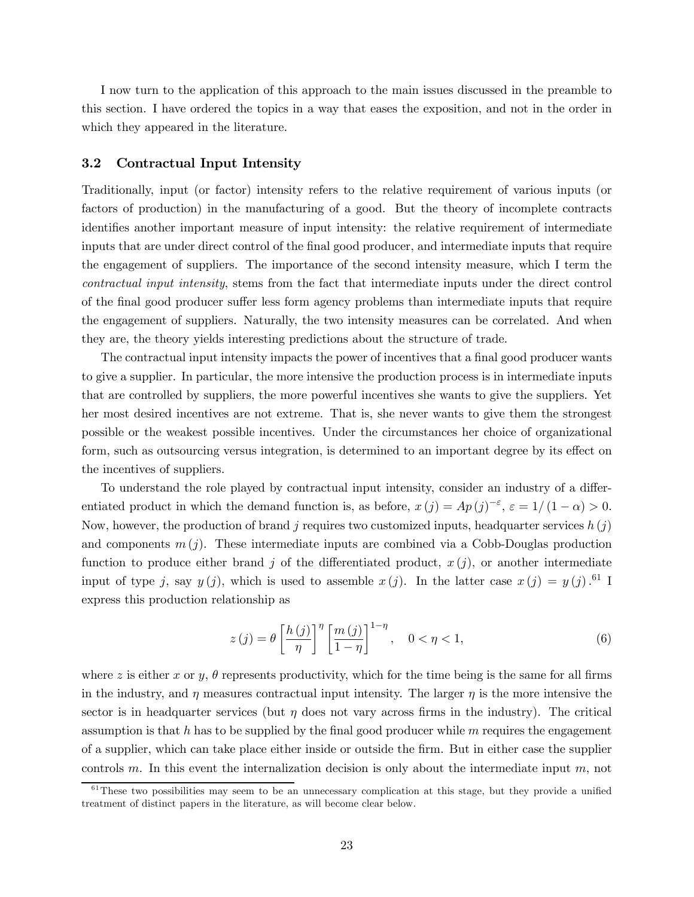I now turn to the application of this approach to the main issues discussed in the preamble to this section. I have ordered the topics in a way that eases the exposition, and not in the order in which they appeared in the literature.

### 3.2 Contractual Input Intensity

Traditionally, input (or factor) intensity refers to the relative requirement of various inputs (or factors of production) in the manufacturing of a good. But the theory of incomplete contracts identifies another important measure of input intensity: the relative requirement of intermediate inputs that are under direct control of the final good producer, and intermediate inputs that require the engagement of suppliers. The importance of the second intensity measure, which I term the contractual input intensity, stems from the fact that intermediate inputs under the direct control of the final good producer suffer less form agency problems than intermediate inputs that require the engagement of suppliers. Naturally, the two intensity measures can be correlated. And when they are, the theory yields interesting predictions about the structure of trade.

The contractual input intensity impacts the power of incentives that a final good producer wants to give a supplier. In particular, the more intensive the production process is in intermediate inputs that are controlled by suppliers, the more powerful incentives she wants to give the suppliers. Yet her most desired incentives are not extreme. That is, she never wants to give them the strongest possible or the weakest possible incentives. Under the circumstances her choice of organizational form, such as outsourcing versus integration, is determined to an important degree by its effect on the incentives of suppliers.

To understand the role played by contractual input intensity, consider an industry of a differentiated product in which the demand function is, as before,  $x(j) = Ap(j)^{-\varepsilon}, \varepsilon = 1/(1-\alpha) > 0.$ Now, however, the production of brand j requires two customized inputs, headquarter services  $h(j)$ and components  $m(j)$ . These intermediate inputs are combined via a Cobb-Douglas production function to produce either brand j of the differentiated product,  $x(j)$ , or another intermediate input of type j, say  $y(j)$ , which is used to assemble  $x(j)$ . In the latter case  $x(j) = y(j)$ .<sup>61</sup> I express this production relationship as

$$
z(j) = \theta \left[\frac{h(j)}{\eta}\right]^{\eta} \left[\frac{m(j)}{1-\eta}\right]^{1-\eta}, \quad 0 < \eta < 1,
$$
\n
$$
(6)
$$

where z is either x or y,  $\theta$  represents productivity, which for the time being is the same for all firms in the industry, and  $\eta$  measures contractual input intensity. The larger  $\eta$  is the more intensive the sector is in headquarter services (but  $\eta$  does not vary across firms in the industry). The critical assumption is that h has to be supplied by the final good producer while  $m$  requires the engagement of a supplier, which can take place either inside or outside the firm. But in either case the supplier controls m. In this event the internalization decision is only about the intermediate input  $m$ , not

 $61$ <sup>61</sup>These two possibilities may seem to be an unnecessary complication at this stage, but they provide a unified treatment of distinct papers in the literature, as will become clear below.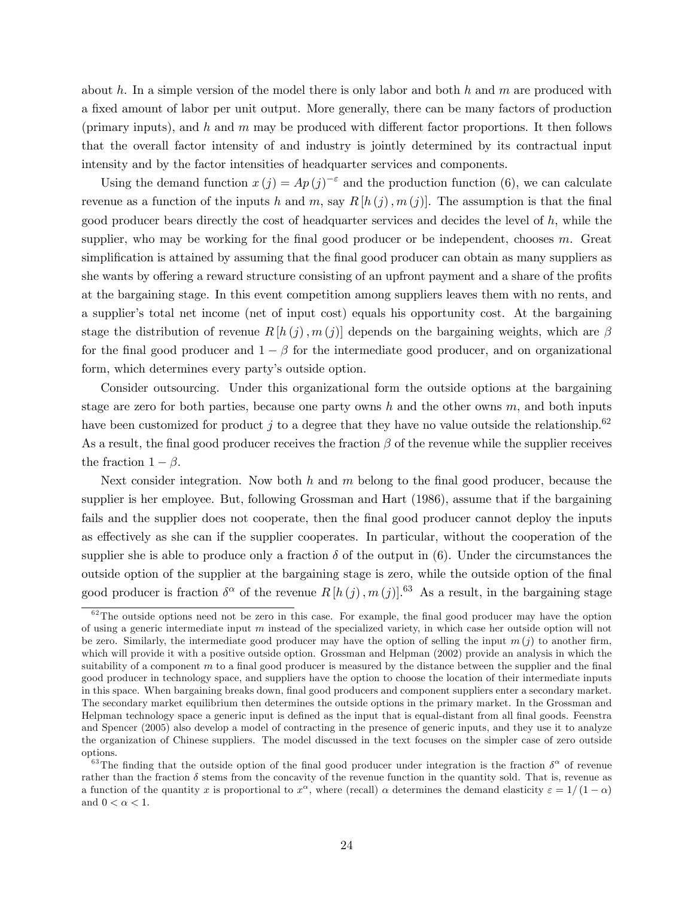about h. In a simple version of the model there is only labor and both h and m are produced with a fixed amount of labor per unit output. More generally, there can be many factors of production (primary inputs), and  $h$  and  $m$  may be produced with different factor proportions. It then follows that the overall factor intensity of and industry is jointly determined by its contractual input intensity and by the factor intensities of headquarter services and components.

Using the demand function  $x(j) = Ap(j)^{-\epsilon}$  and the production function (6), we can calculate revenue as a function of the inputs h and m, say  $R[h(j),m(j)]$ . The assumption is that the final good producer bears directly the cost of headquarter services and decides the level of h, while the supplier, who may be working for the final good producer or be independent, chooses m. Great simplification is attained by assuming that the final good producer can obtain as many suppliers as she wants by offering a reward structure consisting of an upfront payment and a share of the profits at the bargaining stage. In this event competition among suppliers leaves them with no rents, and a supplier's total net income (net of input cost) equals his opportunity cost. At the bargaining stage the distribution of revenue  $R[h(j), m(j)]$  depends on the bargaining weights, which are  $\beta$ for the final good producer and  $1 - \beta$  for the intermediate good producer, and on organizational form, which determines every party's outside option.

Consider outsourcing. Under this organizational form the outside options at the bargaining stage are zero for both parties, because one party owns h and the other owns  $m$ , and both inputs have been customized for product j to a degree that they have no value outside the relationship.<sup>62</sup> As a result, the final good producer receives the fraction  $\beta$  of the revenue while the supplier receives the fraction  $1 - \beta$ .

Next consider integration. Now both h and m belong to the final good producer, because the supplier is her employee. But, following Grossman and Hart (1986), assume that if the bargaining fails and the supplier does not cooperate, then the final good producer cannot deploy the inputs as effectively as she can if the supplier cooperates. In particular, without the cooperation of the supplier she is able to produce only a fraction  $\delta$  of the output in (6). Under the circumstances the outside option of the supplier at the bargaining stage is zero, while the outside option of the final good producer is fraction  $\delta^{\alpha}$  of the revenue  $R[h(j),m(j)]$ .<sup>63</sup> As a result, in the bargaining stage

 $62$ The outside options need not be zero in this case. For example, the final good producer may have the option of using a generic intermediate input  $m$  instead of the specialized variety, in which case her outside option will not be zero. Similarly, the intermediate good producer may have the option of selling the input  $m(j)$  to another firm, which will provide it with a positive outside option. Grossman and Helpman (2002) provide an analysis in which the suitability of a component m to a final good producer is measured by the distance between the supplier and the final good producer in technology space, and suppliers have the option to choose the location of their intermediate inputs in this space. When bargaining breaks down, final good producers and component suppliers enter a secondary market. The secondary market equilibrium then determines the outside options in the primary market. In the Grossman and Helpman technology space a generic input is defined as the input that is equal-distant from all final goods. Feenstra and Spencer (2005) also develop a model of contracting in the presence of generic inputs, and they use it to analyze the organization of Chinese suppliers. The model discussed in the text focuses on the simpler case of zero outside options.

<sup>&</sup>lt;sup>63</sup>The finding that the outside option of the final good producer under integration is the fraction  $\delta^{\alpha}$  of revenue rather than the fraction  $\delta$  stems from the concavity of the revenue function in the quantity sold. That is, revenue as a function of the quantity x is proportional to  $x^{\alpha}$ , where (recall)  $\alpha$  determines the demand elasticity  $\varepsilon = 1/(1-\alpha)$ and  $0<\alpha<1.$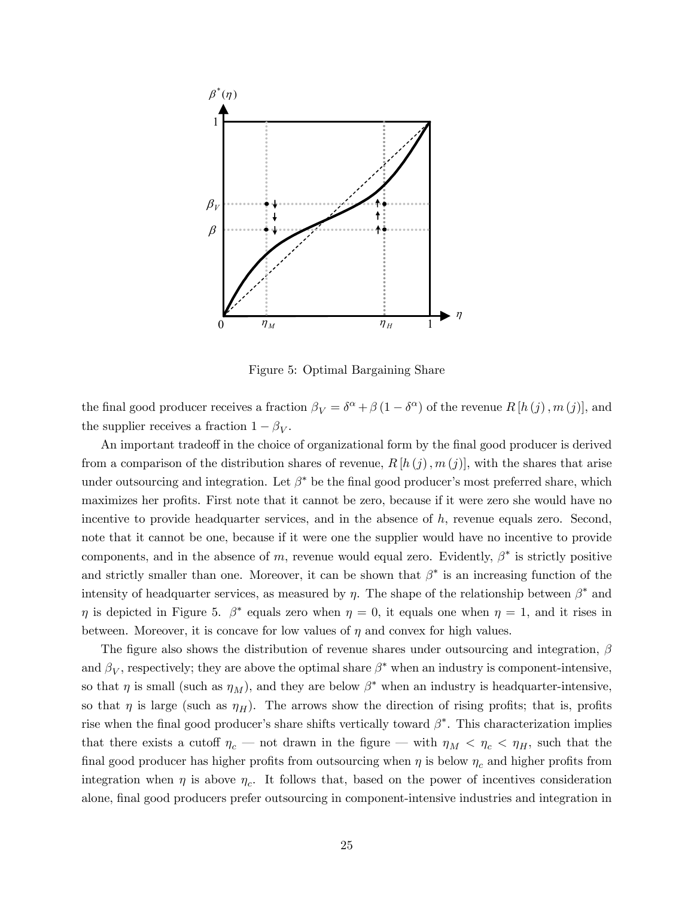

Figure 5: Optimal Bargaining Share

the final good producer receives a fraction  $\beta_V = \delta^{\alpha} + \beta (1 - \delta^{\alpha})$  of the revenue  $R[h(j), m(j)]$ , and the supplier receives a fraction  $1 - \beta_V$ .

An important tradeoff in the choice of organizational form by the final good producer is derived from a comparison of the distribution shares of revenue,  $R[h(j),m(j)]$ , with the shares that arise under outsourcing and integration. Let  $\beta^*$  be the final good producer's most preferred share, which maximizes her profits. First note that it cannot be zero, because if it were zero she would have no incentive to provide headquarter services, and in the absence of  $h$ , revenue equals zero. Second, note that it cannot be one, because if it were one the supplier would have no incentive to provide components, and in the absence of m, revenue would equal zero. Evidently,  $\beta^*$  is strictly positive and strictly smaller than one. Moreover, it can be shown that  $\beta^*$  is an increasing function of the intensity of headquarter services, as measured by  $\eta$ . The shape of the relationship between  $\beta^*$  and  $\eta$  is depicted in Figure 5.  $\beta^*$  equals zero when  $\eta = 0$ , it equals one when  $\eta = 1$ , and it rises in between. Moreover, it is concave for low values of  $\eta$  and convex for high values.

The figure also shows the distribution of revenue shares under outsourcing and integration,  $\beta$ and  $\beta_V$ , respectively; they are above the optimal share  $\beta^*$  when an industry is component-intensive, so that  $\eta$  is small (such as  $\eta_M$ ), and they are below  $\beta^*$  when an industry is headquarter-intensive, so that  $\eta$  is large (such as  $\eta$ H). The arrows show the direction of rising profits; that is, profits rise when the final good producer's share shifts vertically toward  $\beta^*$ . This characterization implies that there exists a cutoff  $\eta_c$  – not drawn in the figure – with  $\eta_M < \eta_c < \eta_H$ , such that the final good producer has higher profits from outsourcing when  $\eta$  is below  $\eta_c$  and higher profits from integration when  $\eta$  is above  $\eta_c$ . It follows that, based on the power of incentives consideration alone, final good producers prefer outsourcing in component-intensive industries and integration in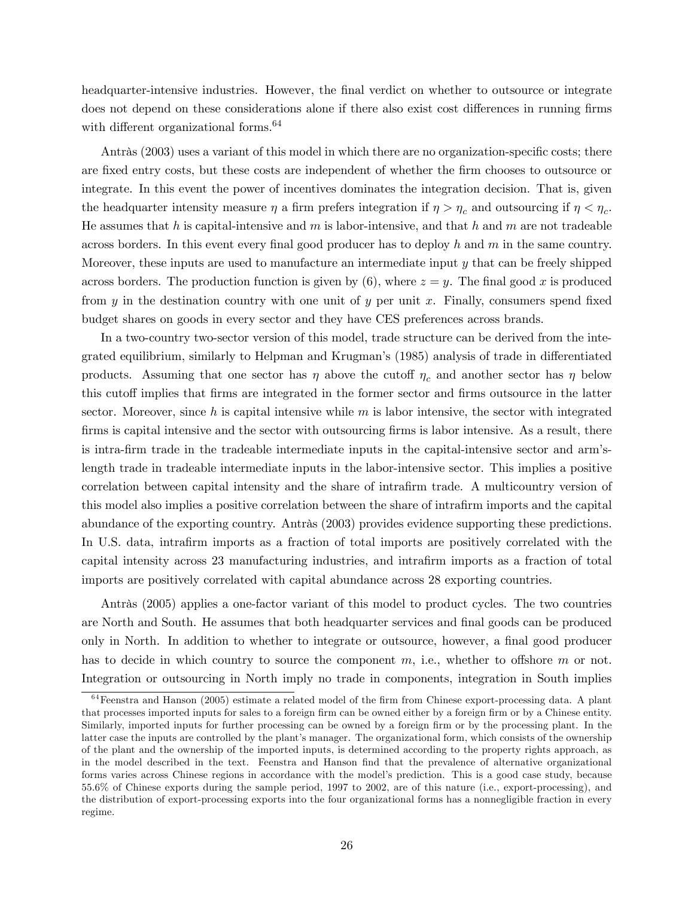headquarter-intensive industries. However, the final verdict on whether to outsource or integrate does not depend on these considerations alone if there also exist cost differences in running firms with different organizational forms.<sup>64</sup>

Antràs (2003) uses a variant of this model in which there are no organization-specific costs; there are fixed entry costs, but these costs are independent of whether the firm chooses to outsource or integrate. In this event the power of incentives dominates the integration decision. That is, given the headquarter intensity measure  $\eta$  a firm prefers integration if  $\eta > \eta_c$  and outsourcing if  $\eta < \eta_c$ . He assumes that h is capital-intensive and m is labor-intensive, and that h and m are not tradeable across borders. In this event every final good producer has to deploy h and  $m$  in the same country. Moreover, these inputs are used to manufacture an intermediate input y that can be freely shipped across borders. The production function is given by  $(6)$ , where  $z = y$ . The final good x is produced from  $y$  in the destination country with one unit of  $y$  per unit  $x$ . Finally, consumers spend fixed budget shares on goods in every sector and they have CES preferences across brands.

In a two-country two-sector version of this model, trade structure can be derived from the integrated equilibrium, similarly to Helpman and Krugman's (1985) analysis of trade in differentiated products. Assuming that one sector has  $\eta$  above the cutoff  $\eta_c$  and another sector has  $\eta$  below this cutoff implies that firms are integrated in the former sector and firms outsource in the latter sector. Moreover, since h is capital intensive while  $m$  is labor intensive, the sector with integrated firms is capital intensive and the sector with outsourcing firms is labor intensive. As a result, there is intra-firm trade in the tradeable intermediate inputs in the capital-intensive sector and arm'slength trade in tradeable intermediate inputs in the labor-intensive sector. This implies a positive correlation between capital intensity and the share of intrafirm trade. A multicountry version of this model also implies a positive correlation between the share of intrafirm imports and the capital abundance of the exporting country. Antràs (2003) provides evidence supporting these predictions. In U.S. data, intrafirm imports as a fraction of total imports are positively correlated with the capital intensity across 23 manufacturing industries, and intrafirm imports as a fraction of total imports are positively correlated with capital abundance across 28 exporting countries.

Antràs (2005) applies a one-factor variant of this model to product cycles. The two countries are North and South. He assumes that both headquarter services and final goods can be produced only in North. In addition to whether to integrate or outsource, however, a final good producer has to decide in which country to source the component  $m$ , i.e., whether to offshore  $m$  or not. Integration or outsourcing in North imply no trade in components, integration in South implies

 $64$  Feenstra and Hanson (2005) estimate a related model of the firm from Chinese export-processing data. A plant that processes imported inputs for sales to a foreign firm can be owned either by a foreign firm or by a Chinese entity. Similarly, imported inputs for further processing can be owned by a foreign firm or by the processing plant. In the latter case the inputs are controlled by the plant's manager. The organizational form, which consists of the ownership of the plant and the ownership of the imported inputs, is determined according to the property rights approach, as in the model described in the text. Feenstra and Hanson find that the prevalence of alternative organizational forms varies across Chinese regions in accordance with the model's prediction. This is a good case study, because 55.6% of Chinese exports during the sample period, 1997 to 2002, are of this nature (i.e., export-processing), and the distribution of export-processing exports into the four organizational forms has a nonnegligible fraction in every regime.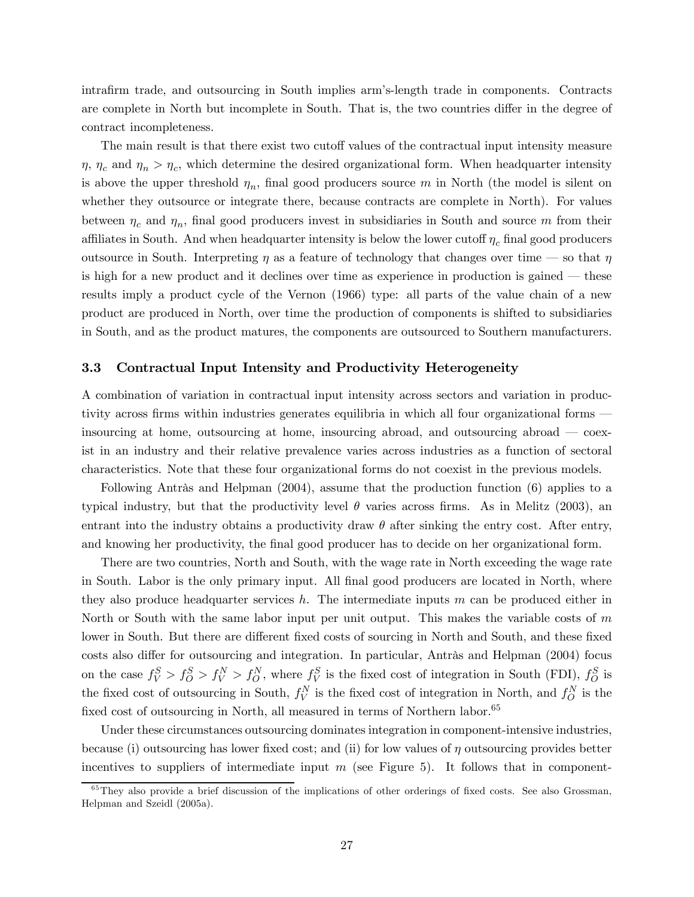intrafirm trade, and outsourcing in South implies arm's-length trade in components. Contracts are complete in North but incomplete in South. That is, the two countries differ in the degree of contract incompleteness.

The main result is that there exist two cutoff values of the contractual input intensity measure  $\eta$ ,  $\eta_c$  and  $\eta_n > \eta_c$ , which determine the desired organizational form. When headquarter intensity is above the upper threshold  $\eta_n$ , final good producers source m in North (the model is silent on whether they outsource or integrate there, because contracts are complete in North). For values between  $\eta_c$  and  $\eta_n$ , final good producers invest in subsidiaries in South and source m from their affiliates in South. And when headquarter intensity is below the lower cutoff  $\eta_c$  final good producers outsource in South. Interpreting  $\eta$  as a feature of technology that changes over time – so that  $\eta$ is high for a new product and it declines over time as experience in production is gained – these results imply a product cycle of the Vernon (1966) type: all parts of the value chain of a new product are produced in North, over time the production of components is shifted to subsidiaries in South, and as the product matures, the components are outsourced to Southern manufacturers.

### 3.3 Contractual Input Intensity and Productivity Heterogeneity

A combination of variation in contractual input intensity across sectors and variation in productivity across firms within industries generates equilibria in which all four organizational forms – insourcing at home, outsourcing at home, insourcing abroad, and outsourcing abroad – coexist in an industry and their relative prevalence varies across industries as a function of sectoral characteristics. Note that these four organizational forms do not coexist in the previous models.

Following Antràs and Helpman (2004), assume that the production function (6) applies to a typical industry, but that the productivity level  $\theta$  varies across firms. As in Melitz (2003), an entrant into the industry obtains a productivity draw  $\theta$  after sinking the entry cost. After entry, and knowing her productivity, the final good producer has to decide on her organizational form.

There are two countries, North and South, with the wage rate in North exceeding the wage rate in South. Labor is the only primary input. All final good producers are located in North, where they also produce headquarter services  $h$ . The intermediate inputs m can be produced either in North or South with the same labor input per unit output. This makes the variable costs of  $m$ lower in South. But there are different fixed costs of sourcing in North and South, and these fixed costs also differ for outsourcing and integration. In particular, Antràs and Helpman (2004) focus on the case  $f_V^S > f_O^S > f_V^N > f_O^N$ , where  $f_V^S$  is the fixed cost of integration in South (FDI),  $f_O^S$  is the fixed cost of outsourcing in South,  $f_V^N$  is the fixed cost of integration in North, and  $f_O^N$  is the fixed cost of outsourcing in North, all measured in terms of Northern labor.<sup>65</sup>

Under these circumstances outsourcing dominates integration in component-intensive industries, because (i) outsourcing has lower fixed cost; and (ii) for low values of  $\eta$  outsourcing provides better incentives to suppliers of intermediate input  $m$  (see Figure 5). It follows that in component-

 $65$ They also provide a brief discussion of the implications of other orderings of fixed costs. See also Grossman, Helpman and Szeidl (2005a).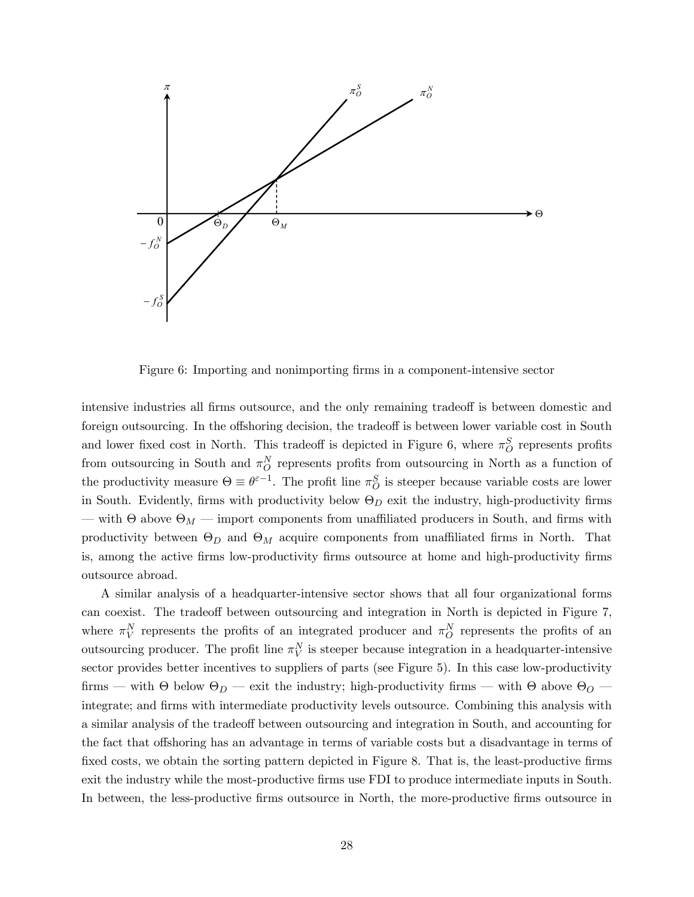

Figure 6: Importing and nonimporting firms in a component-intensive sector

intensive industries all firms outsource, and the only remaining tradeoff is between domestic and foreign outsourcing. In the offshoring decision, the tradeoff is between lower variable cost in South and lower fixed cost in North. This tradeoff is depicted in Figure 6, where  $\pi_O^S$  represents profits from outsourcing in South and  $\pi_O^N$  represents profits from outsourcing in North as a function of the productivity measure  $\Theta \equiv \theta^{\varepsilon-1}$ . The profit line  $\pi_O^S$  is steeper because variable costs are lower in South. Evidently, firms with productivity below  $\Theta_D$  exit the industry, high-productivity firms  $-$  with Θ above  $Θ_M$   $-$  import components from unaffiliated producers in South, and firms with productivity between  $\Theta_D$  and  $\Theta_M$  acquire components from unaffiliated firms in North. That is, among the active firms low-productivity firms outsource at home and high-productivity firms outsource abroad.

A similar analysis of a headquarter-intensive sector shows that all four organizational forms can coexist. The tradeoff between outsourcing and integration in North is depicted in Figure 7, where  $\pi_V^N$  represents the profits of an integrated producer and  $\pi_O^N$  represents the profits of an outsourcing producer. The profit line  $\pi_V^N$  is steeper because integration in a headquarter-intensive sector provides better incentives to suppliers of parts (see Figure 5). In this case low-productivity firms – with Θ below  $\Theta_D$  – exit the industry; high-productivity firms – with Θ above  $\Theta_O$  – integrate; and firms with intermediate productivity levels outsource. Combining this analysis with a similar analysis of the tradeoff between outsourcing and integration in South, and accounting for the fact that offshoring has an advantage in terms of variable costs but a disadvantage in terms of fixed costs, we obtain the sorting pattern depicted in Figure 8. That is, the least-productive firms exit the industry while the most-productive firms use FDI to produce intermediate inputs in South. In between, the less-productive firms outsource in North, the more-productive firms outsource in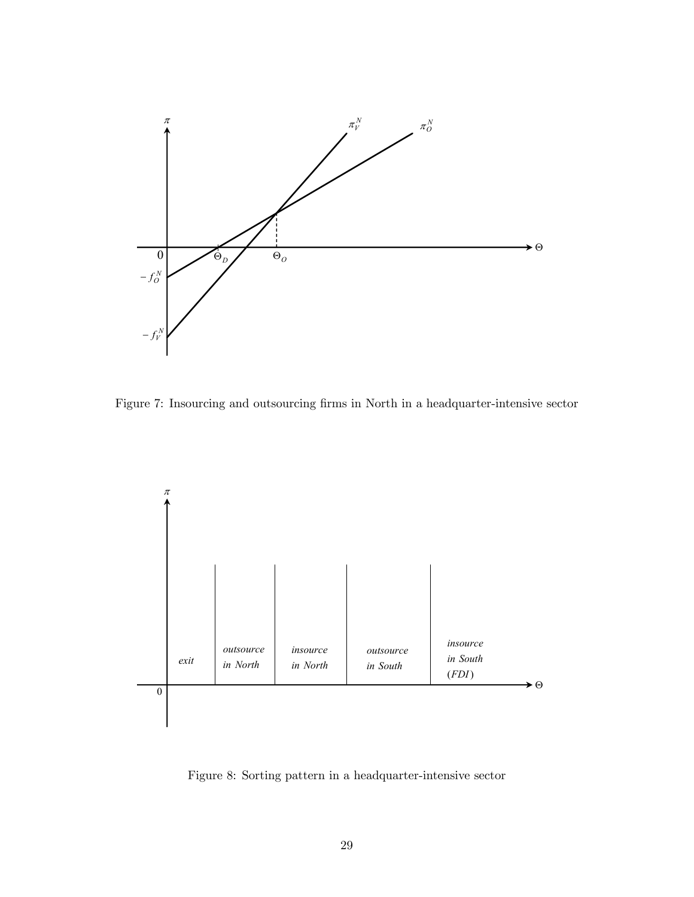

Figure 7: Insourcing and outsourcing firms in North in a headquarter-intensive sector



Figure 8: Sorting pattern in a headquarter-intensive sector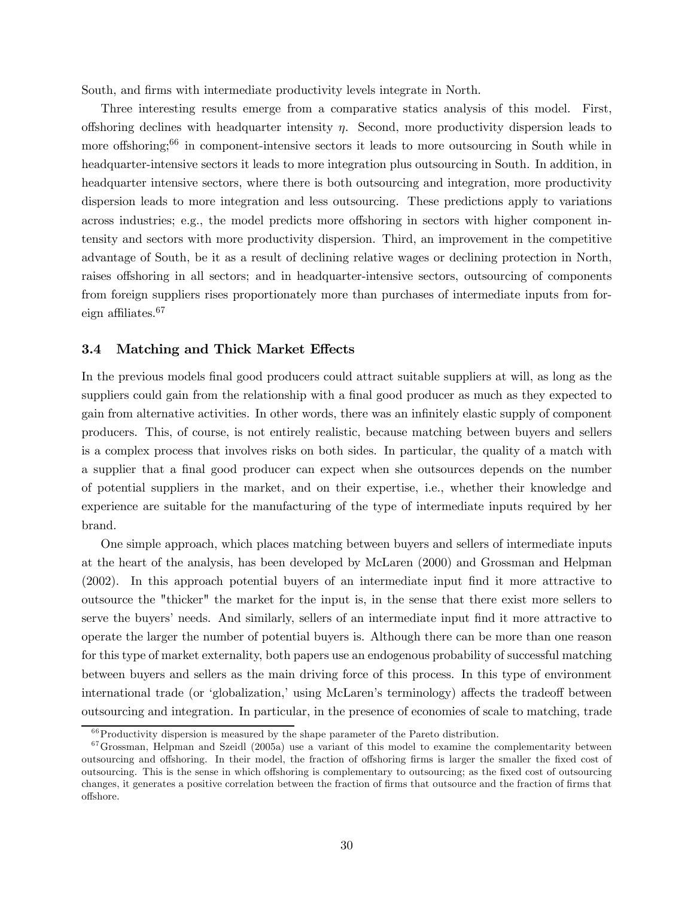South, and firms with intermediate productivity levels integrate in North.

Three interesting results emerge from a comparative statics analysis of this model. First, offshoring declines with headquarter intensity  $\eta$ . Second, more productivity dispersion leads to more offshoring;<sup>66</sup> in component-intensive sectors it leads to more outsourcing in South while in headquarter-intensive sectors it leads to more integration plus outsourcing in South. In addition, in headquarter intensive sectors, where there is both outsourcing and integration, more productivity dispersion leads to more integration and less outsourcing. These predictions apply to variations across industries; e.g., the model predicts more offshoring in sectors with higher component intensity and sectors with more productivity dispersion. Third, an improvement in the competitive advantage of South, be it as a result of declining relative wages or declining protection in North, raises offshoring in all sectors; and in headquarter-intensive sectors, outsourcing of components from foreign suppliers rises proportionately more than purchases of intermediate inputs from foreign affiliates.<sup>67</sup>

## 3.4 Matching and Thick Market Effects

In the previous models final good producers could attract suitable suppliers at will, as long as the suppliers could gain from the relationship with a final good producer as much as they expected to gain from alternative activities. In other words, there was an infinitely elastic supply of component producers. This, of course, is not entirely realistic, because matching between buyers and sellers is a complex process that involves risks on both sides. In particular, the quality of a match with a supplier that a final good producer can expect when she outsources depends on the number of potential suppliers in the market, and on their expertise, i.e., whether their knowledge and experience are suitable for the manufacturing of the type of intermediate inputs required by her brand.

One simple approach, which places matching between buyers and sellers of intermediate inputs at the heart of the analysis, has been developed by McLaren (2000) and Grossman and Helpman (2002). In this approach potential buyers of an intermediate input find it more attractive to outsource the "thicker" the market for the input is, in the sense that there exist more sellers to serve the buyers' needs. And similarly, sellers of an intermediate input find it more attractive to operate the larger the number of potential buyers is. Although there can be more than one reason for this type of market externality, both papers use an endogenous probability of successful matching between buyers and sellers as the main driving force of this process. In this type of environment international trade (or 'globalization,' using McLaren's terminology) affects the tradeoff between outsourcing and integration. In particular, in the presence of economies of scale to matching, trade

 $66$ Productivity dispersion is measured by the shape parameter of the Pareto distribution.

 $67$  Grossman, Helpman and Szeidl (2005a) use a variant of this model to examine the complementarity between outsourcing and offshoring. In their model, the fraction of offshoring firms is larger the smaller the fixed cost of outsourcing. This is the sense in which offshoring is complementary to outsourcing; as the fixed cost of outsourcing changes, it generates a positive correlation between the fraction of firms that outsource and the fraction of firms that offshore.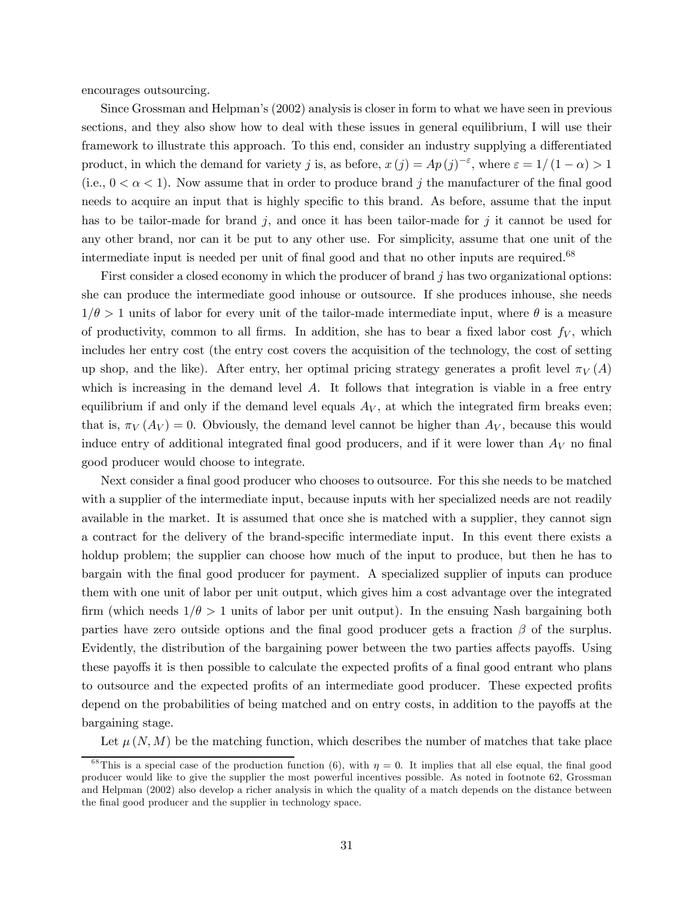encourages outsourcing.

Since Grossman and Helpman's (2002) analysis is closer in form to what we have seen in previous sections, and they also show how to deal with these issues in general equilibrium, I will use their framework to illustrate this approach. To this end, consider an industry supplying a differentiated product, in which the demand for variety j is, as before,  $x(j) = Ap(j)^{-\varepsilon}$ , where  $\varepsilon = 1/(1-\alpha) > 1$ (i.e.,  $0 < \alpha < 1$ ). Now assume that in order to produce brand j the manufacturer of the final good needs to acquire an input that is highly specific to this brand. As before, assume that the input has to be tailor-made for brand  $j$ , and once it has been tailor-made for  $j$  it cannot be used for any other brand, nor can it be put to any other use. For simplicity, assume that one unit of the intermediate input is needed per unit of final good and that no other inputs are required.<sup>68</sup>

First consider a closed economy in which the producer of brand  $j$  has two organizational options: she can produce the intermediate good inhouse or outsource. If she produces inhouse, she needs  $1/\theta > 1$  units of labor for every unit of the tailor-made intermediate input, where  $\theta$  is a measure of productivity, common to all firms. In addition, she has to bear a fixed labor cost  $f_V$ , which includes her entry cost (the entry cost covers the acquisition of the technology, the cost of setting up shop, and the like). After entry, her optimal pricing strategy generates a profit level  $\pi_V(A)$ which is increasing in the demand level  $A$ . It follows that integration is viable in a free entry equilibrium if and only if the demand level equals  $A_V$ , at which the integrated firm breaks even; that is,  $\pi_V(A_V) = 0$ . Obviously, the demand level cannot be higher than  $A_V$ , because this would induce entry of additional integrated final good producers, and if it were lower than  $A_V$  no final good producer would choose to integrate.

Next consider a final good producer who chooses to outsource. For this she needs to be matched with a supplier of the intermediate input, because inputs with her specialized needs are not readily available in the market. It is assumed that once she is matched with a supplier, they cannot sign a contract for the delivery of the brand-specific intermediate input. In this event there exists a holdup problem; the supplier can choose how much of the input to produce, but then he has to bargain with the final good producer for payment. A specialized supplier of inputs can produce them with one unit of labor per unit output, which gives him a cost advantage over the integrated firm (which needs  $1/\theta > 1$  units of labor per unit output). In the ensuing Nash bargaining both parties have zero outside options and the final good producer gets a fraction  $\beta$  of the surplus. Evidently, the distribution of the bargaining power between the two parties affects payoffs. Using these payoffs it is then possible to calculate the expected profits of a final good entrant who plans to outsource and the expected profits of an intermediate good producer. These expected profits depend on the probabilities of being matched and on entry costs, in addition to the payoffs at the bargaining stage.

Let  $\mu(N,M)$  be the matching function, which describes the number of matches that take place

<sup>&</sup>lt;sup>68</sup>This is a special case of the production function (6), with  $\eta = 0$ . It implies that all else equal, the final good producer would like to give the supplier the most powerful incentives possible. As noted in footnote 62, Grossman and Helpman (2002) also develop a richer analysis in which the quality of a match depends on the distance between the final good producer and the supplier in technology space.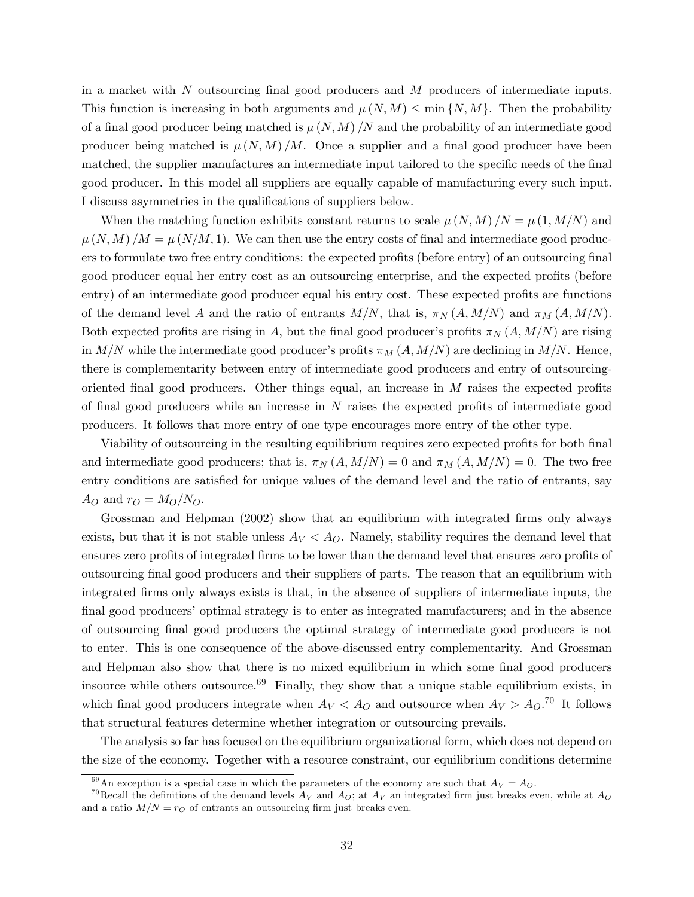in a market with N outsourcing final good producers and M producers of intermediate inputs. This function is increasing in both arguments and  $\mu(N,M) \leq \min\{N,M\}$ . Then the probability of a final good producer being matched is  $\mu(N,M)/N$  and the probability of an intermediate good producer being matched is  $\mu(N,M)/M$ . Once a supplier and a final good producer have been matched, the supplier manufactures an intermediate input tailored to the specific needs of the final good producer. In this model all suppliers are equally capable of manufacturing every such input. I discuss asymmetries in the qualifications of suppliers below.

When the matching function exhibits constant returns to scale  $\mu(N,M)/N = \mu(1,M/N)$  and  $\mu(N,M)/M = \mu(N/M,1)$ . We can then use the entry costs of final and intermediate good producers to formulate two free entry conditions: the expected profits (before entry) of an outsourcing final good producer equal her entry cost as an outsourcing enterprise, and the expected profits (before entry) of an intermediate good producer equal his entry cost. These expected profits are functions of the demand level A and the ratio of entrants  $M/N$ , that is,  $\pi_N(A, M/N)$  and  $\pi_M(A, M/N)$ . Both expected profits are rising in A, but the final good producer's profits  $\pi_N(A, M/N)$  are rising in  $M/N$  while the intermediate good producer's profits  $\pi_M(A, M/N)$  are declining in  $M/N$ . Hence, there is complementarity between entry of intermediate good producers and entry of outsourcingoriented final good producers. Other things equal, an increase in  $M$  raises the expected profits of final good producers while an increase in N raises the expected profits of intermediate good producers. It follows that more entry of one type encourages more entry of the other type.

Viability of outsourcing in the resulting equilibrium requires zero expected profits for both final and intermediate good producers; that is,  $\pi_N(A, M/N)=0$  and  $\pi_M(A, M/N)=0$ . The two free entry conditions are satisfied for unique values of the demand level and the ratio of entrants, say  $A_O$  and  $r_O = M_O/N_O$ .

Grossman and Helpman (2002) show that an equilibrium with integrated firms only always exists, but that it is not stable unless  $A_V < A_O$ . Namely, stability requires the demand level that ensures zero profits of integrated firms to be lower than the demand level that ensures zero profits of outsourcing final good producers and their suppliers of parts. The reason that an equilibrium with integrated firms only always exists is that, in the absence of suppliers of intermediate inputs, the final good producers' optimal strategy is to enter as integrated manufacturers; and in the absence of outsourcing final good producers the optimal strategy of intermediate good producers is not to enter. This is one consequence of the above-discussed entry complementarity. And Grossman and Helpman also show that there is no mixed equilibrium in which some final good producers insource while others outsource. $69$  Finally, they show that a unique stable equilibrium exists, in which final good producers integrate when  $A_V < A_O$  and outsource when  $A_V > A_O$ .<sup>70</sup> It follows that structural features determine whether integration or outsourcing prevails.

The analysis so far has focused on the equilibrium organizational form, which does not depend on the size of the economy. Together with a resource constraint, our equilibrium conditions determine

<sup>&</sup>lt;sup>69</sup>An exception is a special case in which the parameters of the economy are such that  $A_V = A_O$ .

<sup>&</sup>lt;sup>70</sup>Recall the definitions of the demand levels  $A_V$  and  $A_O$ ; at  $A_V$  an integrated firm just breaks even, while at  $A_O$ and a ratio  $M/N = r_O$  of entrants an outsourcing firm just breaks even.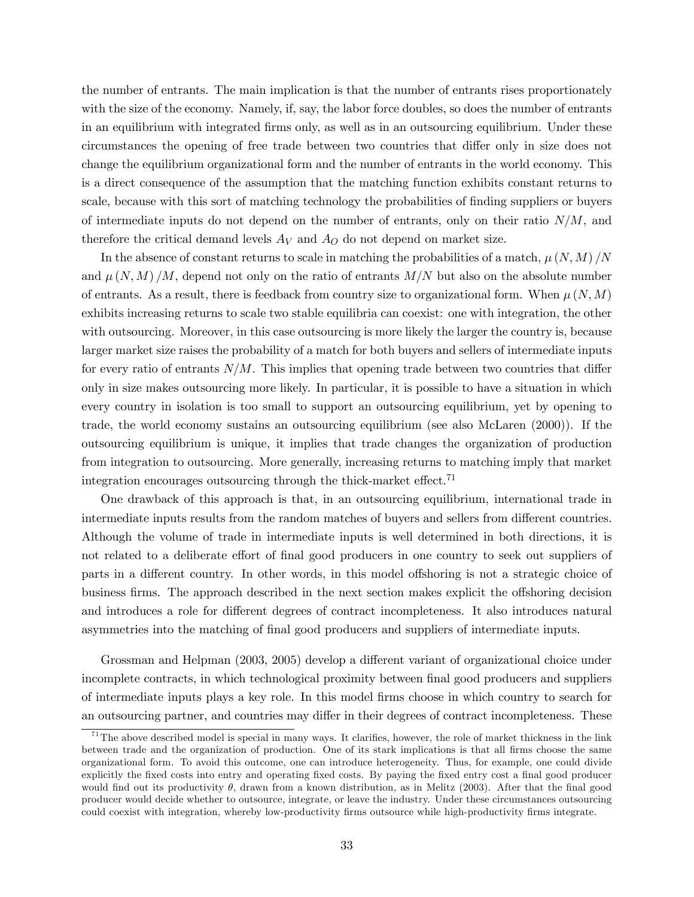the number of entrants. The main implication is that the number of entrants rises proportionately with the size of the economy. Namely, if, say, the labor force doubles, so does the number of entrants in an equilibrium with integrated firms only, as well as in an outsourcing equilibrium. Under these circumstances the opening of free trade between two countries that differ only in size does not change the equilibrium organizational form and the number of entrants in the world economy. This is a direct consequence of the assumption that the matching function exhibits constant returns to scale, because with this sort of matching technology the probabilities of finding suppliers or buyers of intermediate inputs do not depend on the number of entrants, only on their ratio  $N/M$ , and therefore the critical demand levels  $A_V$  and  $A_O$  do not depend on market size.

In the absence of constant returns to scale in matching the probabilities of a match,  $\mu(N, M)/N$ and  $\mu(N,M)/M$ , depend not only on the ratio of entrants  $M/N$  but also on the absolute number of entrants. As a result, there is feedback from country size to organizational form. When  $\mu(N,M)$ exhibits increasing returns to scale two stable equilibria can coexist: one with integration, the other with outsourcing. Moreover, in this case outsourcing is more likely the larger the country is, because larger market size raises the probability of a match for both buyers and sellers of intermediate inputs for every ratio of entrants  $N/M$ . This implies that opening trade between two countries that differ only in size makes outsourcing more likely. In particular, it is possible to have a situation in which every country in isolation is too small to support an outsourcing equilibrium, yet by opening to trade, the world economy sustains an outsourcing equilibrium (see also McLaren (2000)). If the outsourcing equilibrium is unique, it implies that trade changes the organization of production from integration to outsourcing. More generally, increasing returns to matching imply that market integration encourages outsourcing through the thick-market effect.<sup>71</sup>

One drawback of this approach is that, in an outsourcing equilibrium, international trade in intermediate inputs results from the random matches of buyers and sellers from different countries. Although the volume of trade in intermediate inputs is well determined in both directions, it is not related to a deliberate effort of final good producers in one country to seek out suppliers of parts in a different country. In other words, in this model offshoring is not a strategic choice of business firms. The approach described in the next section makes explicit the offshoring decision and introduces a role for different degrees of contract incompleteness. It also introduces natural asymmetries into the matching of final good producers and suppliers of intermediate inputs.

Grossman and Helpman (2003, 2005) develop a different variant of organizational choice under incomplete contracts, in which technological proximity between final good producers and suppliers of intermediate inputs plays a key role. In this model firms choose in which country to search for an outsourcing partner, and countries may differ in their degrees of contract incompleteness. These

 $71$ The above described model is special in many ways. It clarifies, however, the role of market thickness in the link between trade and the organization of production. One of its stark implications is that all firms choose the same organizational form. To avoid this outcome, one can introduce heterogeneity. Thus, for example, one could divide explicitly the fixed costs into entry and operating fixed costs. By paying the fixed entry cost a final good producer would find out its productivity  $\theta$ , drawn from a known distribution, as in Melitz (2003). After that the final good producer would decide whether to outsource, integrate, or leave the industry. Under these circumstances outsourcing could coexist with integration, whereby low-productivity firms outsource while high-productivity firms integrate.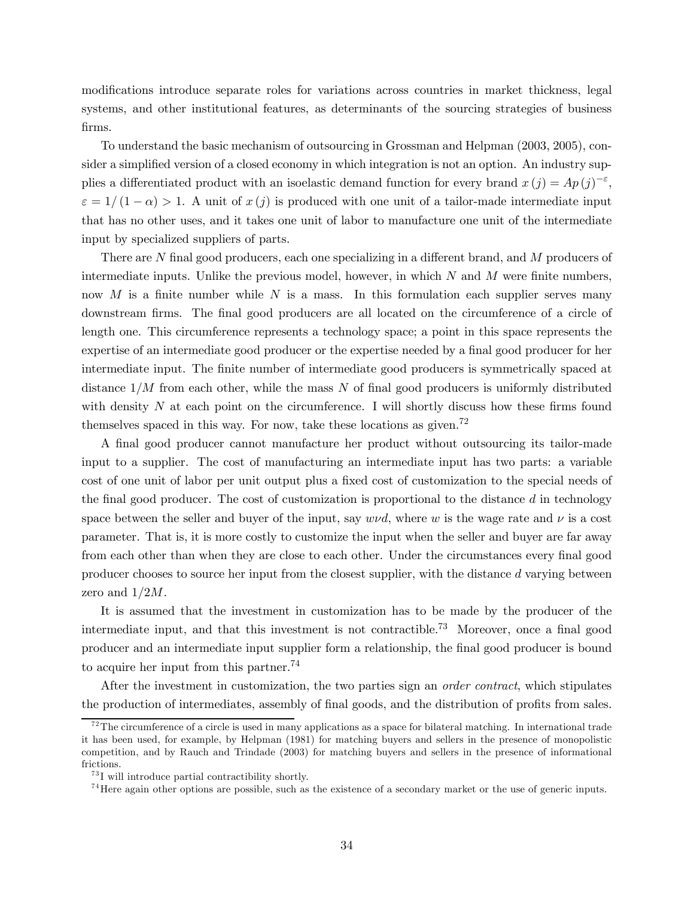modifications introduce separate roles for variations across countries in market thickness, legal systems, and other institutional features, as determinants of the sourcing strategies of business firms.

To understand the basic mechanism of outsourcing in Grossman and Helpman (2003, 2005), consider a simplified version of a closed economy in which integration is not an option. An industry supplies a differentiated product with an isoelastic demand function for every brand  $x(j) = Ap(j)^{-\epsilon}$ ,  $\varepsilon = 1/(1-\alpha) > 1$ . A unit of  $x(i)$  is produced with one unit of a tailor-made intermediate input that has no other uses, and it takes one unit of labor to manufacture one unit of the intermediate input by specialized suppliers of parts.

There are N final good producers, each one specializing in a different brand, and M producers of intermediate inputs. Unlike the previous model, however, in which  $N$  and  $M$  were finite numbers, now  $M$  is a finite number while  $N$  is a mass. In this formulation each supplier serves many downstream firms. The final good producers are all located on the circumference of a circle of length one. This circumference represents a technology space; a point in this space represents the expertise of an intermediate good producer or the expertise needed by a final good producer for her intermediate input. The finite number of intermediate good producers is symmetrically spaced at distance  $1/M$  from each other, while the mass N of final good producers is uniformly distributed with density  $N$  at each point on the circumference. I will shortly discuss how these firms found themselves spaced in this way. For now, take these locations as given.72

A final good producer cannot manufacture her product without outsourcing its tailor-made input to a supplier. The cost of manufacturing an intermediate input has two parts: a variable cost of one unit of labor per unit output plus a fixed cost of customization to the special needs of the final good producer. The cost of customization is proportional to the distance  $d$  in technology space between the seller and buyer of the input, say  $w\nu d$ , where w is the wage rate and  $\nu$  is a cost parameter. That is, it is more costly to customize the input when the seller and buyer are far away from each other than when they are close to each other. Under the circumstances every final good producer chooses to source her input from the closest supplier, with the distance d varying between zero and  $1/2M$ .

It is assumed that the investment in customization has to be made by the producer of the intermediate input, and that this investment is not contractible.73 Moreover, once a final good producer and an intermediate input supplier form a relationship, the final good producer is bound to acquire her input from this partner.<sup>74</sup>

After the investment in customization, the two parties sign an *order contract*, which stipulates the production of intermediates, assembly of final goods, and the distribution of profits from sales.

 $72$ The circumference of a circle is used in many applications as a space for bilateral matching. In international trade it has been used, for example, by Helpman (1981) for matching buyers and sellers in the presence of monopolistic competition, and by Rauch and Trindade (2003) for matching buyers and sellers in the presence of informational frictions.

 ${}^{73}{\rm I}$  will introduce partial contractibility shortly.

<sup>&</sup>lt;sup>74</sup> Here again other options are possible, such as the existence of a secondary market or the use of generic inputs.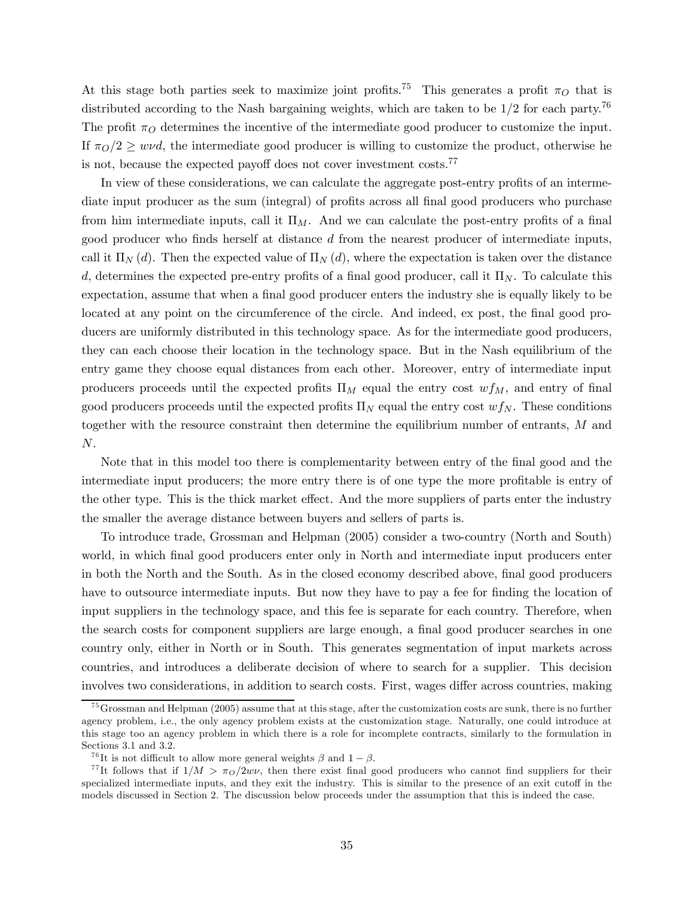At this stage both parties seek to maximize joint profits.<sup>75</sup> This generates a profit  $\pi$ <sup>O</sup> that is distributed according to the Nash bargaining weights, which are taken to be  $1/2$  for each party.<sup>76</sup> The profit  $\pi_O$  determines the incentive of the intermediate good producer to customize the input. If  $\pi_0/2 \geq w \nu d$ , the intermediate good producer is willing to customize the product, otherwise he is not, because the expected payoff does not cover investment costs.<sup>77</sup>

In view of these considerations, we can calculate the aggregate post-entry profits of an intermediate input producer as the sum (integral) of profits across all final good producers who purchase from him intermediate inputs, call it  $\Pi_M$ . And we can calculate the post-entry profits of a final good producer who finds herself at distance  $d$  from the nearest producer of intermediate inputs, call it  $\Pi_N(d)$ . Then the expected value of  $\Pi_N(d)$ , where the expectation is taken over the distance d, determines the expected pre-entry profits of a final good producer, call it  $\Pi_N$ . To calculate this expectation, assume that when a final good producer enters the industry she is equally likely to be located at any point on the circumference of the circle. And indeed, ex post, the final good producers are uniformly distributed in this technology space. As for the intermediate good producers, they can each choose their location in the technology space. But in the Nash equilibrium of the entry game they choose equal distances from each other. Moreover, entry of intermediate input producers proceeds until the expected profits  $\Pi_M$  equal the entry cost  $wf_M$ , and entry of final good producers proceeds until the expected profits  $\Pi_N$  equal the entry cost  $wf_N$ . These conditions together with the resource constraint then determine the equilibrium number of entrants, M and N.

Note that in this model too there is complementarity between entry of the final good and the intermediate input producers; the more entry there is of one type the more profitable is entry of the other type. This is the thick market effect. And the more suppliers of parts enter the industry the smaller the average distance between buyers and sellers of parts is.

To introduce trade, Grossman and Helpman (2005) consider a two-country (North and South) world, in which final good producers enter only in North and intermediate input producers enter in both the North and the South. As in the closed economy described above, final good producers have to outsource intermediate inputs. But now they have to pay a fee for finding the location of input suppliers in the technology space, and this fee is separate for each country. Therefore, when the search costs for component suppliers are large enough, a final good producer searches in one country only, either in North or in South. This generates segmentation of input markets across countries, and introduces a deliberate decision of where to search for a supplier. This decision involves two considerations, in addition to search costs. First, wages differ across countries, making

<sup>&</sup>lt;sup>75</sup> Grossman and Helpman (2005) assume that at this stage, after the customization costs are sunk, there is no further agency problem, i.e., the only agency problem exists at the customization stage. Naturally, one could introduce at this stage too an agency problem in which there is a role for incomplete contracts, similarly to the formulation in Sections 3.1 and 3.2.

<sup>&</sup>lt;sup>76</sup>It is not difficult to allow more general weights  $\beta$  and  $1 - \beta$ .<br><sup>77</sup>It follows that if  $1/M > \pi_O/2w\nu$ , then there exist final good producers who cannot find suppliers for their specialized intermediate inputs, and they exit the industry. This is similar to the presence of an exit cutoff in the models discussed in Section 2. The discussion below proceeds under the assumption that this is indeed the case.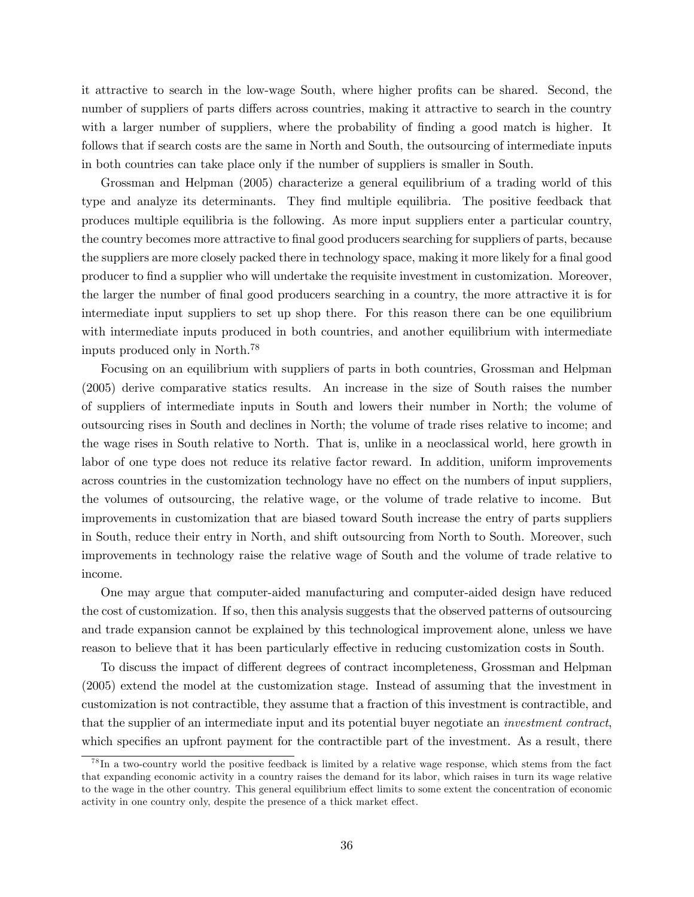it attractive to search in the low-wage South, where higher profits can be shared. Second, the number of suppliers of parts differs across countries, making it attractive to search in the country with a larger number of suppliers, where the probability of finding a good match is higher. It follows that if search costs are the same in North and South, the outsourcing of intermediate inputs in both countries can take place only if the number of suppliers is smaller in South.

Grossman and Helpman (2005) characterize a general equilibrium of a trading world of this type and analyze its determinants. They find multiple equilibria. The positive feedback that produces multiple equilibria is the following. As more input suppliers enter a particular country, the country becomes more attractive to final good producers searching for suppliers of parts, because the suppliers are more closely packed there in technology space, making it more likely for a final good producer to find a supplier who will undertake the requisite investment in customization. Moreover, the larger the number of final good producers searching in a country, the more attractive it is for intermediate input suppliers to set up shop there. For this reason there can be one equilibrium with intermediate inputs produced in both countries, and another equilibrium with intermediate inputs produced only in North.78

Focusing on an equilibrium with suppliers of parts in both countries, Grossman and Helpman (2005) derive comparative statics results. An increase in the size of South raises the number of suppliers of intermediate inputs in South and lowers their number in North; the volume of outsourcing rises in South and declines in North; the volume of trade rises relative to income; and the wage rises in South relative to North. That is, unlike in a neoclassical world, here growth in labor of one type does not reduce its relative factor reward. In addition, uniform improvements across countries in the customization technology have no effect on the numbers of input suppliers, the volumes of outsourcing, the relative wage, or the volume of trade relative to income. But improvements in customization that are biased toward South increase the entry of parts suppliers in South, reduce their entry in North, and shift outsourcing from North to South. Moreover, such improvements in technology raise the relative wage of South and the volume of trade relative to income.

One may argue that computer-aided manufacturing and computer-aided design have reduced the cost of customization. If so, then this analysis suggests that the observed patterns of outsourcing and trade expansion cannot be explained by this technological improvement alone, unless we have reason to believe that it has been particularly effective in reducing customization costs in South.

To discuss the impact of different degrees of contract incompleteness, Grossman and Helpman (2005) extend the model at the customization stage. Instead of assuming that the investment in customization is not contractible, they assume that a fraction of this investment is contractible, and that the supplier of an intermediate input and its potential buyer negotiate an investment contract, which specifies an upfront payment for the contractible part of the investment. As a result, there

 $^{78}$ In a two-country world the positive feedback is limited by a relative wage response, which stems from the fact that expanding economic activity in a country raises the demand for its labor, which raises in turn its wage relative to the wage in the other country. This general equilibrium effect limits to some extent the concentration of economic activity in one country only, despite the presence of a thick market effect.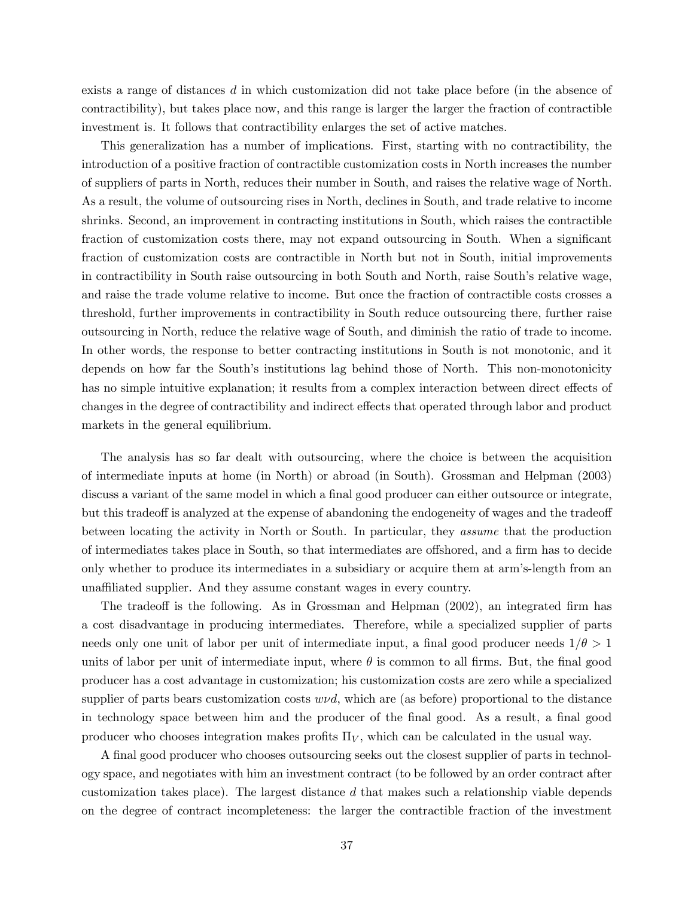exists a range of distances d in which customization did not take place before (in the absence of contractibility), but takes place now, and this range is larger the larger the fraction of contractible investment is. It follows that contractibility enlarges the set of active matches.

This generalization has a number of implications. First, starting with no contractibility, the introduction of a positive fraction of contractible customization costs in North increases the number of suppliers of parts in North, reduces their number in South, and raises the relative wage of North. As a result, the volume of outsourcing rises in North, declines in South, and trade relative to income shrinks. Second, an improvement in contracting institutions in South, which raises the contractible fraction of customization costs there, may not expand outsourcing in South. When a significant fraction of customization costs are contractible in North but not in South, initial improvements in contractibility in South raise outsourcing in both South and North, raise South's relative wage, and raise the trade volume relative to income. But once the fraction of contractible costs crosses a threshold, further improvements in contractibility in South reduce outsourcing there, further raise outsourcing in North, reduce the relative wage of South, and diminish the ratio of trade to income. In other words, the response to better contracting institutions in South is not monotonic, and it depends on how far the South's institutions lag behind those of North. This non-monotonicity has no simple intuitive explanation; it results from a complex interaction between direct effects of changes in the degree of contractibility and indirect effects that operated through labor and product markets in the general equilibrium.

The analysis has so far dealt with outsourcing, where the choice is between the acquisition of intermediate inputs at home (in North) or abroad (in South). Grossman and Helpman (2003) discuss a variant of the same model in which a final good producer can either outsource or integrate, but this tradeoff is analyzed at the expense of abandoning the endogeneity of wages and the tradeoff between locating the activity in North or South. In particular, they assume that the production of intermediates takes place in South, so that intermediates are offshored, and a firm has to decide only whether to produce its intermediates in a subsidiary or acquire them at arm's-length from an unaffiliated supplier. And they assume constant wages in every country.

The tradeoff is the following. As in Grossman and Helpman (2002), an integrated firm has a cost disadvantage in producing intermediates. Therefore, while a specialized supplier of parts needs only one unit of labor per unit of intermediate input, a final good producer needs  $1/\theta > 1$ units of labor per unit of intermediate input, where  $\theta$  is common to all firms. But, the final good producer has a cost advantage in customization; his customization costs are zero while a specialized supplier of parts bears customization costs  $w\nu d$ , which are (as before) proportional to the distance in technology space between him and the producer of the final good. As a result, a final good producer who chooses integration makes profits  $\Pi_V$ , which can be calculated in the usual way.

A final good producer who chooses outsourcing seeks out the closest supplier of parts in technology space, and negotiates with him an investment contract (to be followed by an order contract after customization takes place). The largest distance  $d$  that makes such a relationship viable depends on the degree of contract incompleteness: the larger the contractible fraction of the investment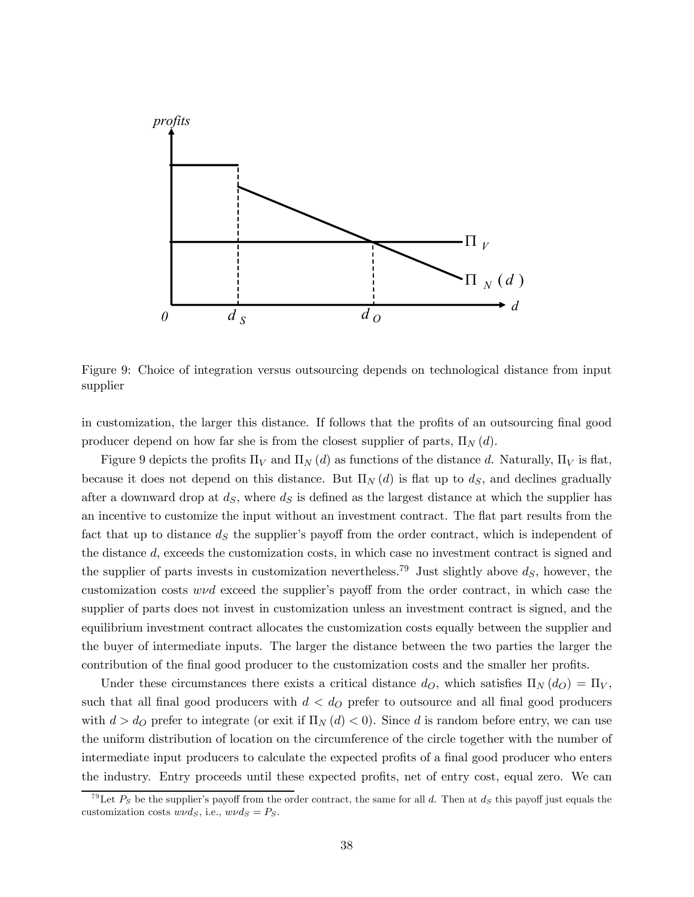

Figure 9: Choice of integration versus outsourcing depends on technological distance from input supplier

in customization, the larger this distance. If follows that the profits of an outsourcing final good producer depend on how far she is from the closest supplier of parts,  $\Pi_N(d)$ .

Figure 9 depicts the profits  $\Pi_V$  and  $\Pi_N$  (d) as functions of the distance d. Naturally,  $\Pi_V$  is flat, because it does not depend on this distance. But  $\Pi_N(d)$  is flat up to  $d_S$ , and declines gradually after a downward drop at  $d<sub>S</sub>$ , where  $d<sub>S</sub>$  is defined as the largest distance at which the supplier has an incentive to customize the input without an investment contract. The flat part results from the fact that up to distance  $d<sub>S</sub>$  the supplier's payoff from the order contract, which is independent of the distance d, exceeds the customization costs, in which case no investment contract is signed and the supplier of parts invests in customization nevertheless.<sup>79</sup> Just slightly above  $d<sub>S</sub>$ , however, the customization costs wνd exceed the supplier's payoff from the order contract, in which case the supplier of parts does not invest in customization unless an investment contract is signed, and the equilibrium investment contract allocates the customization costs equally between the supplier and the buyer of intermediate inputs. The larger the distance between the two parties the larger the contribution of the final good producer to the customization costs and the smaller her profits.

Under these circumstances there exists a critical distance  $d_O$ , which satisfies  $\Pi_N(d_O) = \Pi_V$ , such that all final good producers with  $d < d<sub>O</sub>$  prefer to outsource and all final good producers with  $d>d_O$  prefer to integrate (or exit if  $\Pi_N(d) < 0$ ). Since d is random before entry, we can use the uniform distribution of location on the circumference of the circle together with the number of intermediate input producers to calculate the expected profits of a final good producer who enters the industry. Entry proceeds until these expected profits, net of entry cost, equal zero. We can

<sup>&</sup>lt;sup>79</sup>Let  $P_S$  be the supplier's payoff from the order contract, the same for all d. Then at  $d_S$  this payoff just equals the customization costs  $w\nu ds$ , i.e.,  $w\nu ds = Ps$ .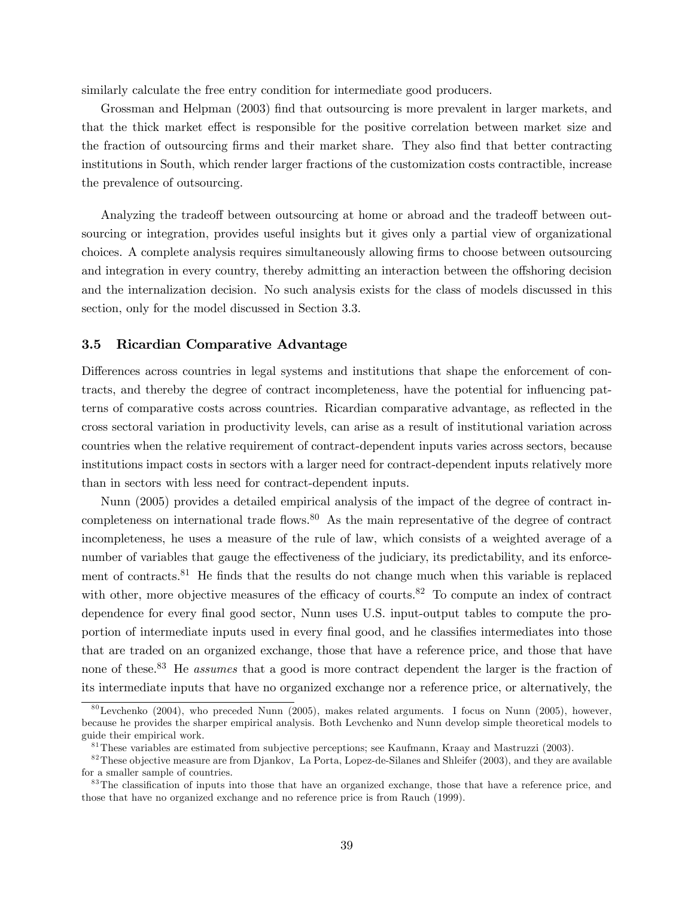similarly calculate the free entry condition for intermediate good producers.

Grossman and Helpman (2003) find that outsourcing is more prevalent in larger markets, and that the thick market effect is responsible for the positive correlation between market size and the fraction of outsourcing firms and their market share. They also find that better contracting institutions in South, which render larger fractions of the customization costs contractible, increase the prevalence of outsourcing.

Analyzing the tradeoff between outsourcing at home or abroad and the tradeoff between outsourcing or integration, provides useful insights but it gives only a partial view of organizational choices. A complete analysis requires simultaneously allowing firms to choose between outsourcing and integration in every country, thereby admitting an interaction between the offshoring decision and the internalization decision. No such analysis exists for the class of models discussed in this section, only for the model discussed in Section 3.3.

### 3.5 Ricardian Comparative Advantage

Differences across countries in legal systems and institutions that shape the enforcement of contracts, and thereby the degree of contract incompleteness, have the potential for influencing patterns of comparative costs across countries. Ricardian comparative advantage, as reflected in the cross sectoral variation in productivity levels, can arise as a result of institutional variation across countries when the relative requirement of contract-dependent inputs varies across sectors, because institutions impact costs in sectors with a larger need for contract-dependent inputs relatively more than in sectors with less need for contract-dependent inputs.

Nunn (2005) provides a detailed empirical analysis of the impact of the degree of contract incompleteness on international trade flows.<sup>80</sup> As the main representative of the degree of contract incompleteness, he uses a measure of the rule of law, which consists of a weighted average of a number of variables that gauge the effectiveness of the judiciary, its predictability, and its enforcement of contracts.<sup>81</sup> He finds that the results do not change much when this variable is replaced with other, more objective measures of the efficacy of courts.<sup>82</sup> To compute an index of contract dependence for every final good sector, Nunn uses U.S. input-output tables to compute the proportion of intermediate inputs used in every final good, and he classifies intermediates into those that are traded on an organized exchange, those that have a reference price, and those that have none of these.<sup>83</sup> He *assumes* that a good is more contract dependent the larger is the fraction of its intermediate inputs that have no organized exchange nor a reference price, or alternatively, the

 $80$ Levchenko (2004), who preceded Nunn (2005), makes related arguments. I focus on Nunn (2005), however, because he provides the sharper empirical analysis. Both Levchenko and Nunn develop simple theoretical models to guide their empirical work.

<sup>8 1</sup>These variables are estimated from subjective perceptions; see Kaufmann, Kraay and Mastruzzi (2003).

 $82$ These objective measure are from Djankov, La Porta, Lopez-de-Silanes and Shleifer (2003), and they are available for a smaller sample of countries.

<sup>&</sup>lt;sup>83</sup>The classification of inputs into those that have an organized exchange, those that have a reference price, and those that have no organized exchange and no reference price is from Rauch (1999).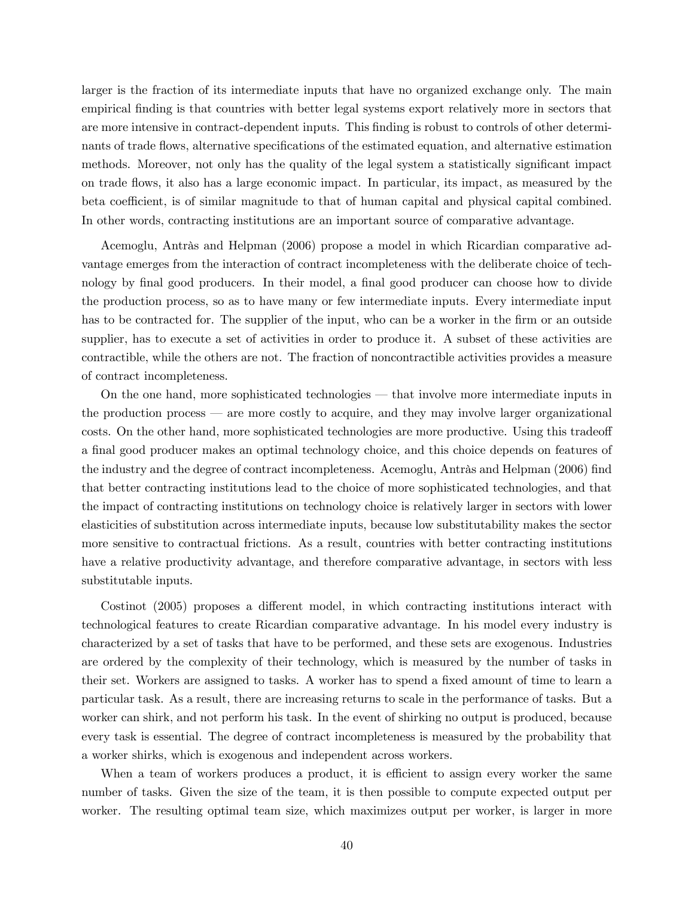larger is the fraction of its intermediate inputs that have no organized exchange only. The main empirical finding is that countries with better legal systems export relatively more in sectors that are more intensive in contract-dependent inputs. This finding is robust to controls of other determinants of trade flows, alternative specifications of the estimated equation, and alternative estimation methods. Moreover, not only has the quality of the legal system a statistically significant impact on trade flows, it also has a large economic impact. In particular, its impact, as measured by the beta coefficient, is of similar magnitude to that of human capital and physical capital combined. In other words, contracting institutions are an important source of comparative advantage.

Acemoglu, Antràs and Helpman (2006) propose a model in which Ricardian comparative advantage emerges from the interaction of contract incompleteness with the deliberate choice of technology by final good producers. In their model, a final good producer can choose how to divide the production process, so as to have many or few intermediate inputs. Every intermediate input has to be contracted for. The supplier of the input, who can be a worker in the firm or an outside supplier, has to execute a set of activities in order to produce it. A subset of these activities are contractible, while the others are not. The fraction of noncontractible activities provides a measure of contract incompleteness.

On the one hand, more sophisticated technologies – that involve more intermediate inputs in the production process – are more costly to acquire, and they may involve larger organizational costs. On the other hand, more sophisticated technologies are more productive. Using this tradeoff a final good producer makes an optimal technology choice, and this choice depends on features of the industry and the degree of contract incompleteness. Acemoglu, Antràs and Helpman (2006) find that better contracting institutions lead to the choice of more sophisticated technologies, and that the impact of contracting institutions on technology choice is relatively larger in sectors with lower elasticities of substitution across intermediate inputs, because low substitutability makes the sector more sensitive to contractual frictions. As a result, countries with better contracting institutions have a relative productivity advantage, and therefore comparative advantage, in sectors with less substitutable inputs.

Costinot (2005) proposes a different model, in which contracting institutions interact with technological features to create Ricardian comparative advantage. In his model every industry is characterized by a set of tasks that have to be performed, and these sets are exogenous. Industries are ordered by the complexity of their technology, which is measured by the number of tasks in their set. Workers are assigned to tasks. A worker has to spend a fixed amount of time to learn a particular task. As a result, there are increasing returns to scale in the performance of tasks. But a worker can shirk, and not perform his task. In the event of shirking no output is produced, because every task is essential. The degree of contract incompleteness is measured by the probability that a worker shirks, which is exogenous and independent across workers.

When a team of workers produces a product, it is efficient to assign every worker the same number of tasks. Given the size of the team, it is then possible to compute expected output per worker. The resulting optimal team size, which maximizes output per worker, is larger in more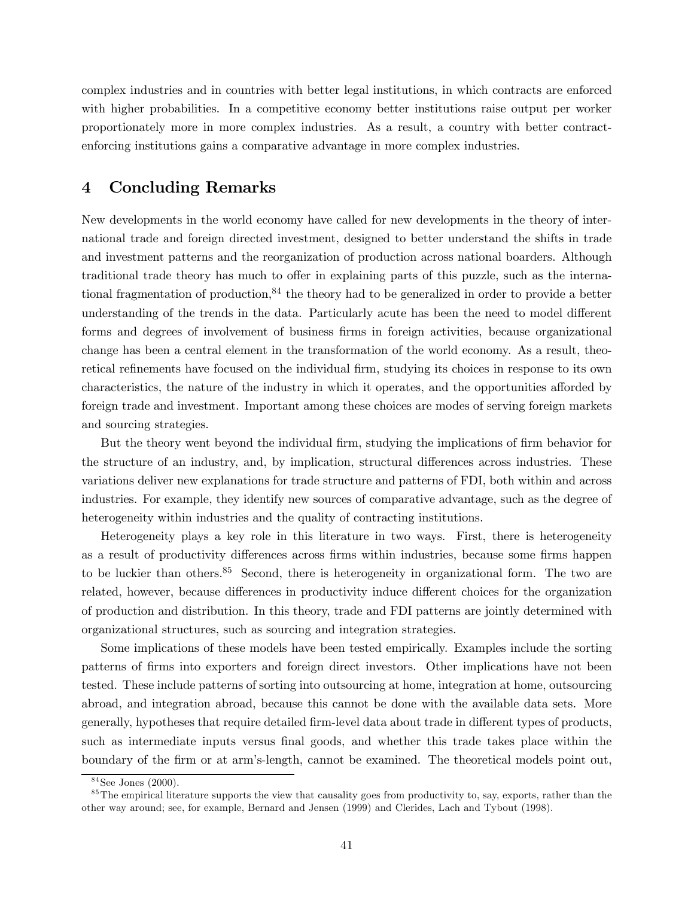complex industries and in countries with better legal institutions, in which contracts are enforced with higher probabilities. In a competitive economy better institutions raise output per worker proportionately more in more complex industries. As a result, a country with better contractenforcing institutions gains a comparative advantage in more complex industries.

## 4 Concluding Remarks

New developments in the world economy have called for new developments in the theory of international trade and foreign directed investment, designed to better understand the shifts in trade and investment patterns and the reorganization of production across national boarders. Although traditional trade theory has much to offer in explaining parts of this puzzle, such as the international fragmentation of production,<sup>84</sup> the theory had to be generalized in order to provide a better understanding of the trends in the data. Particularly acute has been the need to model different forms and degrees of involvement of business firms in foreign activities, because organizational change has been a central element in the transformation of the world economy. As a result, theoretical refinements have focused on the individual firm, studying its choices in response to its own characteristics, the nature of the industry in which it operates, and the opportunities afforded by foreign trade and investment. Important among these choices are modes of serving foreign markets and sourcing strategies.

But the theory went beyond the individual firm, studying the implications of firm behavior for the structure of an industry, and, by implication, structural differences across industries. These variations deliver new explanations for trade structure and patterns of FDI, both within and across industries. For example, they identify new sources of comparative advantage, such as the degree of heterogeneity within industries and the quality of contracting institutions.

Heterogeneity plays a key role in this literature in two ways. First, there is heterogeneity as a result of productivity differences across firms within industries, because some firms happen to be luckier than others.<sup>85</sup> Second, there is heterogeneity in organizational form. The two are related, however, because differences in productivity induce different choices for the organization of production and distribution. In this theory, trade and FDI patterns are jointly determined with organizational structures, such as sourcing and integration strategies.

Some implications of these models have been tested empirically. Examples include the sorting patterns of firms into exporters and foreign direct investors. Other implications have not been tested. These include patterns of sorting into outsourcing at home, integration at home, outsourcing abroad, and integration abroad, because this cannot be done with the available data sets. More generally, hypotheses that require detailed firm-level data about trade in different types of products, such as intermediate inputs versus final goods, and whether this trade takes place within the boundary of the firm or at arm's-length, cannot be examined. The theoretical models point out,

 $84$ See Jones (2000).

 $85$ The empirical literature supports the view that causality goes from productivity to, say, exports, rather than the other way around; see, for example, Bernard and Jensen (1999) and Clerides, Lach and Tybout (1998).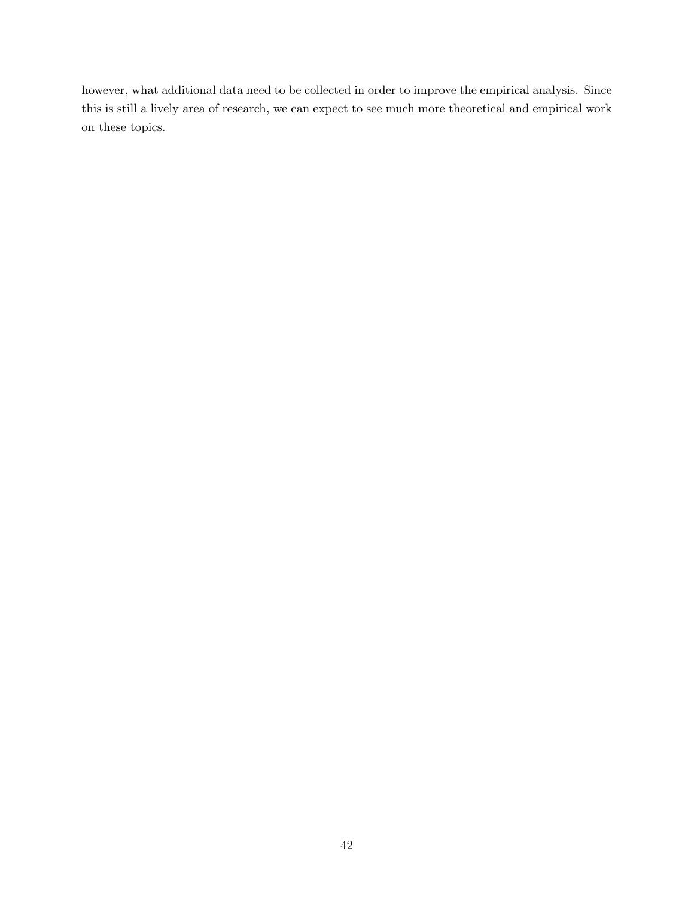however, what additional data need to be collected in order to improve the empirical analysis. Since this is still a lively area of research, we can expect to see much more theoretical and empirical work on these topics.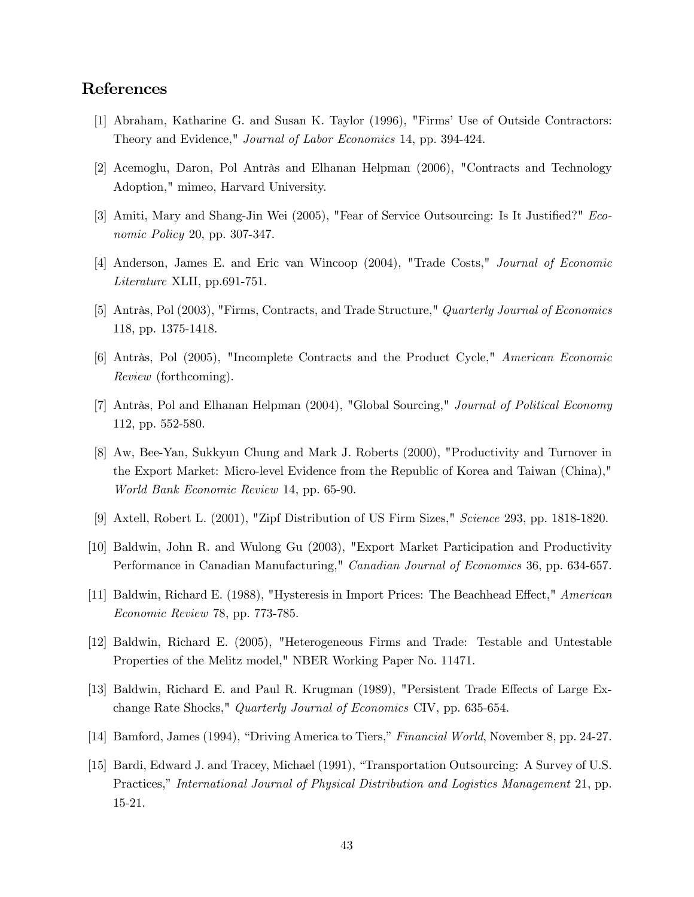# References

- [1] Abraham, Katharine G. and Susan K. Taylor (1996), "Firms' Use of Outside Contractors: Theory and Evidence," Journal of Labor Economics 14, pp. 394-424.
- [2] Acemoglu, Daron, Pol Antràs and Elhanan Helpman (2006), "Contracts and Technology Adoption," mimeo, Harvard University.
- [3] Amiti, Mary and Shang-Jin Wei (2005), "Fear of Service Outsourcing: Is It Justified?" Economic Policy 20, pp. 307-347.
- [4] Anderson, James E. and Eric van Wincoop (2004), "Trade Costs," Journal of Economic Literature XLII, pp.691-751.
- [5] Antràs, Pol (2003), "Firms, Contracts, and Trade Structure," Quarterly Journal of Economics 118, pp. 1375-1418.
- [6] Antràs, Pol (2005), "Incomplete Contracts and the Product Cycle," American Economic Review (forthcoming).
- [7] Antràs, Pol and Elhanan Helpman (2004), "Global Sourcing," Journal of Political Economy 112, pp. 552-580.
- [8] Aw, Bee-Yan, Sukkyun Chung and Mark J. Roberts (2000), "Productivity and Turnover in the Export Market: Micro-level Evidence from the Republic of Korea and Taiwan (China)," World Bank Economic Review 14, pp. 65-90.
- [9] Axtell, Robert L. (2001), "Zipf Distribution of US Firm Sizes," Science 293, pp. 1818-1820.
- [10] Baldwin, John R. and Wulong Gu (2003), "Export Market Participation and Productivity Performance in Canadian Manufacturing," Canadian Journal of Economics 36, pp. 634-657.
- [11] Baldwin, Richard E. (1988), "Hysteresis in Import Prices: The Beachhead Effect," American Economic Review 78, pp. 773-785.
- [12] Baldwin, Richard E. (2005), "Heterogeneous Firms and Trade: Testable and Untestable Properties of the Melitz model," NBER Working Paper No. 11471.
- [13] Baldwin, Richard E. and Paul R. Krugman (1989), "Persistent Trade Effects of Large Exchange Rate Shocks," Quarterly Journal of Economics CIV, pp. 635-654.
- [14] Bamford, James (1994), "Driving America to Tiers," Financial World, November 8, pp. 24-27.
- [15] Bardi, Edward J. and Tracey, Michael (1991), "Transportation Outsourcing: A Survey of U.S. Practices," International Journal of Physical Distribution and Logistics Management 21, pp. 15-21.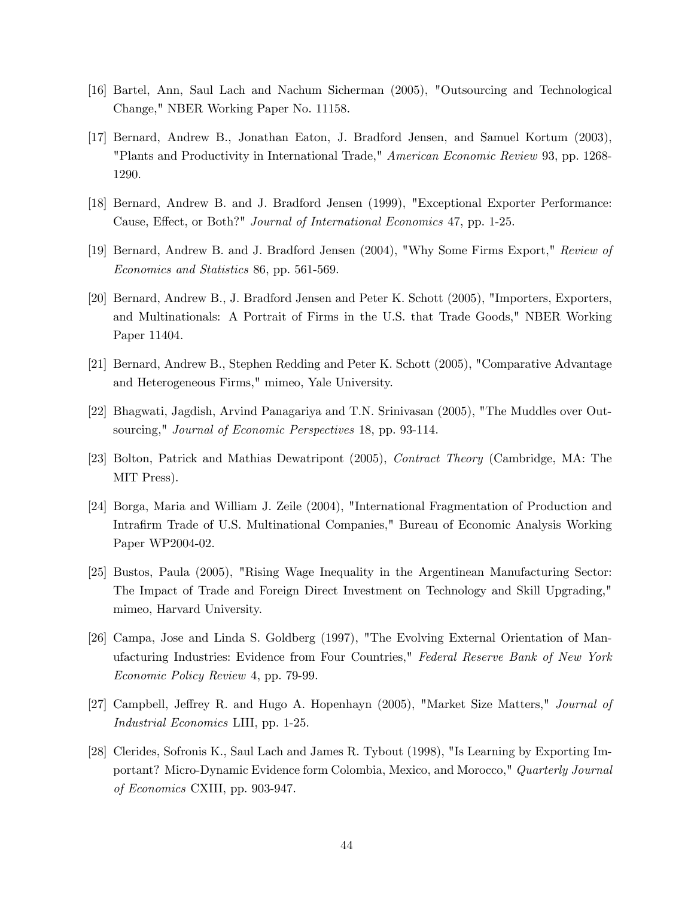- [16] Bartel, Ann, Saul Lach and Nachum Sicherman (2005), "Outsourcing and Technological Change," NBER Working Paper No. 11158.
- [17] Bernard, Andrew B., Jonathan Eaton, J. Bradford Jensen, and Samuel Kortum (2003), "Plants and Productivity in International Trade," American Economic Review 93, pp. 1268- 1290.
- [18] Bernard, Andrew B. and J. Bradford Jensen (1999), "Exceptional Exporter Performance: Cause, Effect, or Both?" Journal of International Economics 47, pp. 1-25.
- [19] Bernard, Andrew B. and J. Bradford Jensen (2004), "Why Some Firms Export," Review of Economics and Statistics 86, pp. 561-569.
- [20] Bernard, Andrew B., J. Bradford Jensen and Peter K. Schott (2005), "Importers, Exporters, and Multinationals: A Portrait of Firms in the U.S. that Trade Goods," NBER Working Paper 11404.
- [21] Bernard, Andrew B., Stephen Redding and Peter K. Schott (2005), "Comparative Advantage and Heterogeneous Firms," mimeo, Yale University.
- [22] Bhagwati, Jagdish, Arvind Panagariya and T.N. Srinivasan (2005), "The Muddles over Outsourcing," Journal of Economic Perspectives 18, pp. 93-114.
- [23] Bolton, Patrick and Mathias Dewatripont (2005), Contract Theory (Cambridge, MA: The MIT Press).
- [24] Borga, Maria and William J. Zeile (2004), "International Fragmentation of Production and Intrafirm Trade of U.S. Multinational Companies," Bureau of Economic Analysis Working Paper WP2004-02.
- [25] Bustos, Paula (2005), "Rising Wage Inequality in the Argentinean Manufacturing Sector: The Impact of Trade and Foreign Direct Investment on Technology and Skill Upgrading," mimeo, Harvard University.
- [26] Campa, Jose and Linda S. Goldberg (1997), "The Evolving External Orientation of Manufacturing Industries: Evidence from Four Countries," Federal Reserve Bank of New York Economic Policy Review 4, pp. 79-99.
- [27] Campbell, Jeffrey R. and Hugo A. Hopenhayn (2005), "Market Size Matters," Journal of Industrial Economics LIII, pp. 1-25.
- [28] Clerides, Sofronis K., Saul Lach and James R. Tybout (1998), "Is Learning by Exporting Important? Micro-Dynamic Evidence form Colombia, Mexico, and Morocco," Quarterly Journal of Economics CXIII, pp. 903-947.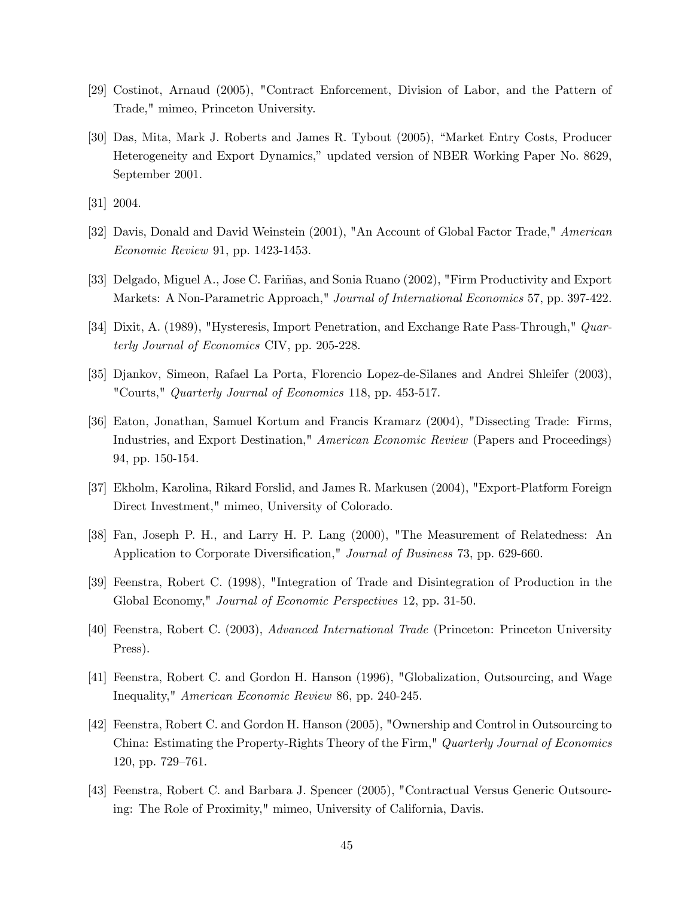- [29] Costinot, Arnaud (2005), "Contract Enforcement, Division of Labor, and the Pattern of Trade," mimeo, Princeton University.
- [30] Das, Mita, Mark J. Roberts and James R. Tybout (2005), "Market Entry Costs, Producer Heterogeneity and Export Dynamics," updated version of NBER Working Paper No. 8629, September 2001.
- [31] 2004.
- [32] Davis, Donald and David Weinstein (2001), "An Account of Global Factor Trade," American Economic Review 91, pp. 1423-1453.
- [33] Delgado, Miguel A., Jose C. Fariñas, and Sonia Ruano (2002), "Firm Productivity and Export Markets: A Non-Parametric Approach," Journal of International Economics 57, pp. 397-422.
- [34] Dixit, A. (1989), "Hysteresis, Import Penetration, and Exchange Rate Pass-Through," Quarterly Journal of Economics CIV, pp. 205-228.
- [35] Djankov, Simeon, Rafael La Porta, Florencio Lopez-de-Silanes and Andrei Shleifer (2003), "Courts," Quarterly Journal of Economics 118, pp. 453-517.
- [36] Eaton, Jonathan, Samuel Kortum and Francis Kramarz (2004), "Dissecting Trade: Firms, Industries, and Export Destination," American Economic Review (Papers and Proceedings) 94, pp. 150-154.
- [37] Ekholm, Karolina, Rikard Forslid, and James R. Markusen (2004), "Export-Platform Foreign Direct Investment," mimeo, University of Colorado.
- [38] Fan, Joseph P. H., and Larry H. P. Lang (2000), "The Measurement of Relatedness: An Application to Corporate Diversification," Journal of Business 73, pp. 629-660.
- [39] Feenstra, Robert C. (1998), "Integration of Trade and Disintegration of Production in the Global Economy," Journal of Economic Perspectives 12, pp. 31-50.
- [40] Feenstra, Robert C. (2003), Advanced International Trade (Princeton: Princeton University Press).
- [41] Feenstra, Robert C. and Gordon H. Hanson (1996), "Globalization, Outsourcing, and Wage Inequality," American Economic Review 86, pp. 240-245.
- [42] Feenstra, Robert C. and Gordon H. Hanson (2005), "Ownership and Control in Outsourcing to China: Estimating the Property-Rights Theory of the Firm," Quarterly Journal of Economics 120, pp. 729—761.
- [43] Feenstra, Robert C. and Barbara J. Spencer (2005), "Contractual Versus Generic Outsourcing: The Role of Proximity," mimeo, University of California, Davis.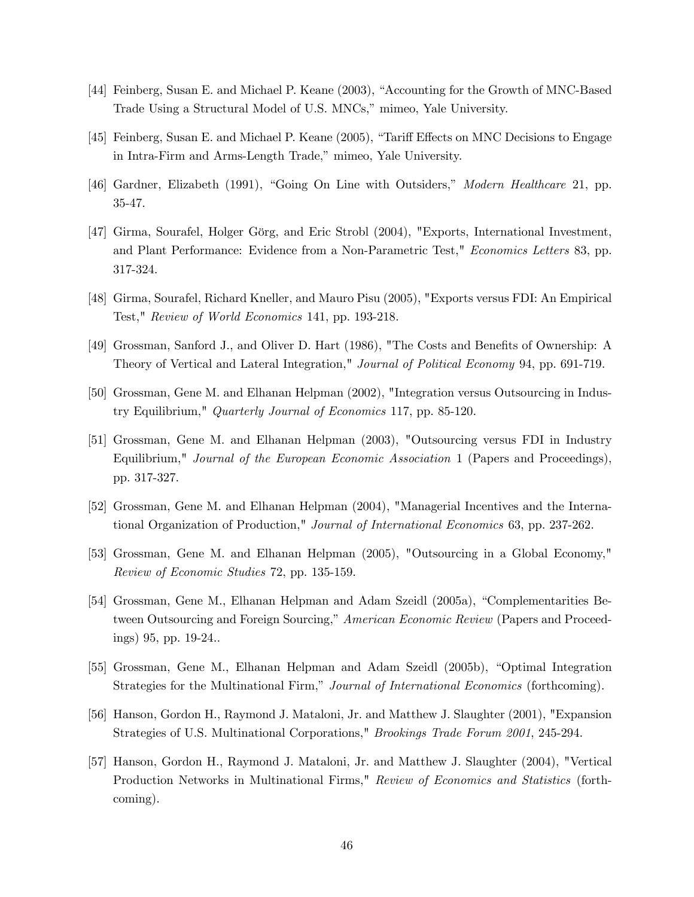- [44] Feinberg, Susan E. and Michael P. Keane (2003), "Accounting for the Growth of MNC-Based Trade Using a Structural Model of U.S. MNCs," mimeo, Yale University.
- [45] Feinberg, Susan E. and Michael P. Keane (2005), "Tariff Effects on MNC Decisions to Engage in Intra-Firm and Arms-Length Trade," mimeo, Yale University.
- [46] Gardner, Elizabeth (1991), "Going On Line with Outsiders," Modern Healthcare 21, pp. 35-47.
- [47] Girma, Sourafel, Holger Görg, and Eric Strobl (2004), "Exports, International Investment, and Plant Performance: Evidence from a Non-Parametric Test," Economics Letters 83, pp. 317-324.
- [48] Girma, Sourafel, Richard Kneller, and Mauro Pisu (2005), "Exports versus FDI: An Empirical Test," Review of World Economics 141, pp. 193-218.
- [49] Grossman, Sanford J., and Oliver D. Hart (1986), "The Costs and Benefits of Ownership: A Theory of Vertical and Lateral Integration," Journal of Political Economy 94, pp. 691-719.
- [50] Grossman, Gene M. and Elhanan Helpman (2002), "Integration versus Outsourcing in Industry Equilibrium," Quarterly Journal of Economics 117, pp. 85-120.
- [51] Grossman, Gene M. and Elhanan Helpman (2003), "Outsourcing versus FDI in Industry Equilibrium," *Journal of the European Economic Association* 1 (Papers and Proceedings), pp. 317-327.
- [52] Grossman, Gene M. and Elhanan Helpman (2004), "Managerial Incentives and the International Organization of Production," Journal of International Economics 63, pp. 237-262.
- [53] Grossman, Gene M. and Elhanan Helpman (2005), "Outsourcing in a Global Economy," Review of Economic Studies 72, pp. 135-159.
- [54] Grossman, Gene M., Elhanan Helpman and Adam Szeidl (2005a), "Complementarities Between Outsourcing and Foreign Sourcing," American Economic Review (Papers and Proceedings) 95, pp. 19-24..
- [55] Grossman, Gene M., Elhanan Helpman and Adam Szeidl (2005b), "Optimal Integration Strategies for the Multinational Firm," Journal of International Economics (forthcoming).
- [56] Hanson, Gordon H., Raymond J. Mataloni, Jr. and Matthew J. Slaughter (2001), "Expansion Strategies of U.S. Multinational Corporations," Brookings Trade Forum 2001, 245-294.
- [57] Hanson, Gordon H., Raymond J. Mataloni, Jr. and Matthew J. Slaughter (2004), "Vertical Production Networks in Multinational Firms," Review of Economics and Statistics (forthcoming).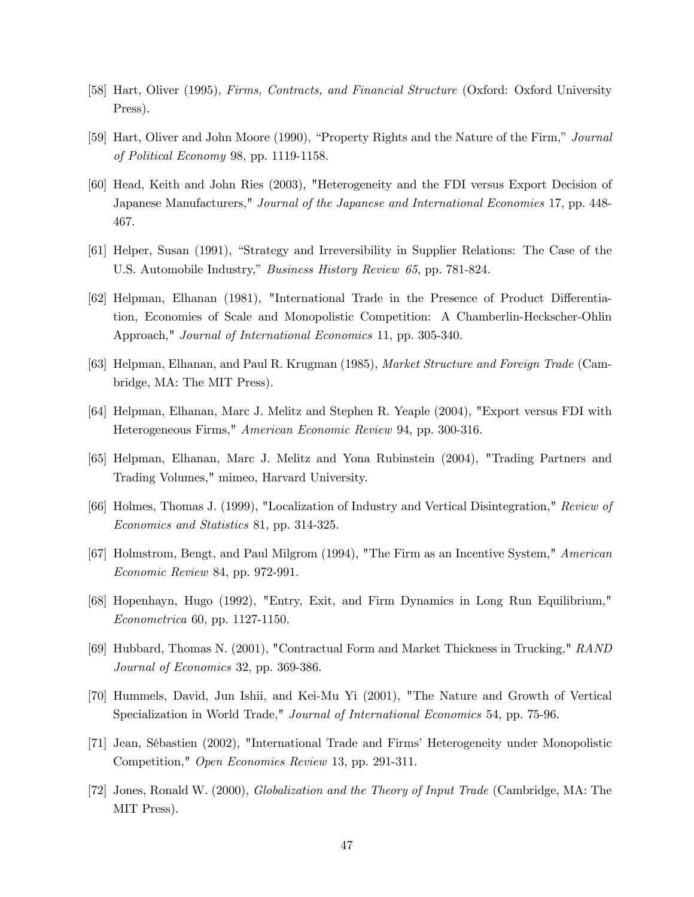- [58] Hart, Oliver (1995), Firms, Contracts, and Financial Structure (Oxford: Oxford University Press).
- [59] Hart, Oliver and John Moore (1990), "Property Rights and the Nature of the Firm," Journal of Political Economy 98, pp. 1119-1158.
- [60] Head, Keith and John Ries (2003), "Heterogeneity and the FDI versus Export Decision of Japanese Manufacturers," Journal of the Japanese and International Economies 17, pp. 448- 467.
- [61] Helper, Susan (1991), "Strategy and Irreversibility in Supplier Relations: The Case of the U.S. Automobile Industry," Business History Review 65, pp. 781-824.
- [62] Helpman, Elhanan (1981), "International Trade in the Presence of Product Differentiation, Economies of Scale and Monopolistic Competition: A Chamberlin-Heckscher-Ohlin Approach," Journal of International Economics 11, pp. 305-340.
- [63] Helpman, Elhanan, and Paul R. Krugman (1985), Market Structure and Foreign Trade (Cambridge, MA: The MIT Press).
- [64] Helpman, Elhanan, Marc J. Melitz and Stephen R. Yeaple (2004), "Export versus FDI with Heterogeneous Firms," American Economic Review 94, pp. 300-316.
- [65] Helpman, Elhanan, Marc J. Melitz and Yona Rubinstein (2004), "Trading Partners and Trading Volumes," mimeo, Harvard University.
- [66] Holmes, Thomas J. (1999), "Localization of Industry and Vertical Disintegration," Review of Economics and Statistics 81, pp. 314-325.
- [67] Holmstrom, Bengt, and Paul Milgrom (1994), "The Firm as an Incentive System," American Economic Review 84, pp. 972-991.
- [68] Hopenhayn, Hugo (1992), "Entry, Exit, and Firm Dynamics in Long Run Equilibrium," Econometrica 60, pp. 1127-1150.
- [69] Hubbard, Thomas N. (2001), "Contractual Form and Market Thickness in Trucking," RAND Journal of Economics 32, pp. 369-386.
- [70] Hummels, David, Jun Ishii, and Kei-Mu Yi (2001), "The Nature and Growth of Vertical Specialization in World Trade," Journal of International Economics 54, pp. 75-96.
- [71] Jean, Sébastien (2002), "International Trade and Firms' Heterogeneity under Monopolistic Competition," Open Economies Review 13, pp. 291-311.
- [72] Jones, Ronald W. (2000), Globalization and the Theory of Input Trade (Cambridge, MA: The MIT Press).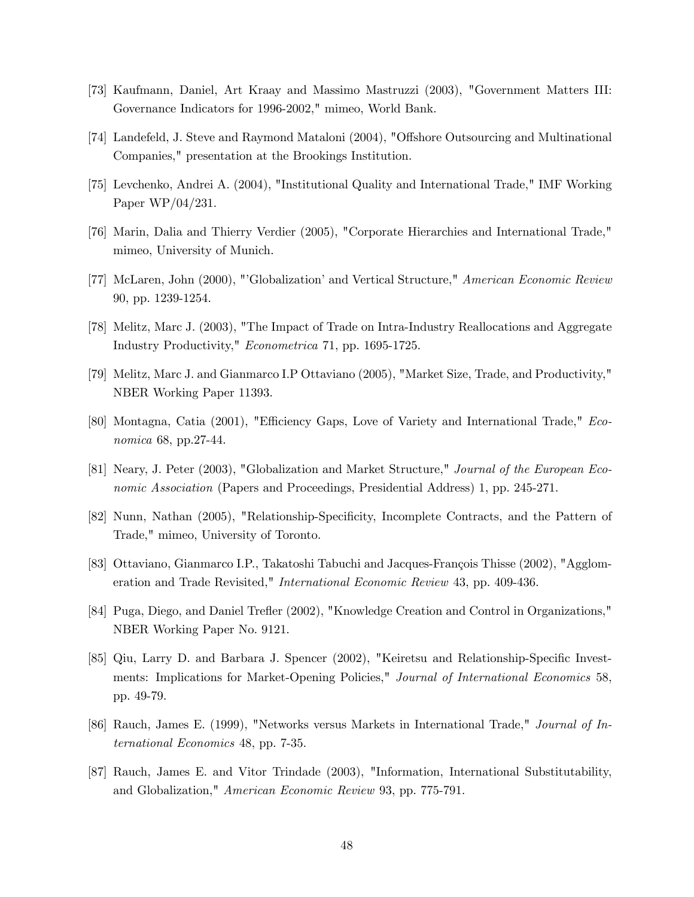- [73] Kaufmann, Daniel, Art Kraay and Massimo Mastruzzi (2003), "Government Matters III: Governance Indicators for 1996-2002," mimeo, World Bank.
- [74] Landefeld, J. Steve and Raymond Mataloni (2004), "Offshore Outsourcing and Multinational Companies," presentation at the Brookings Institution.
- [75] Levchenko, Andrei A. (2004), "Institutional Quality and International Trade," IMF Working Paper WP/04/231.
- [76] Marin, Dalia and Thierry Verdier (2005), "Corporate Hierarchies and International Trade," mimeo, University of Munich.
- [77] McLaren, John (2000), "'Globalization' and Vertical Structure," American Economic Review 90, pp. 1239-1254.
- [78] Melitz, Marc J. (2003), "The Impact of Trade on Intra-Industry Reallocations and Aggregate Industry Productivity," Econometrica 71, pp. 1695-1725.
- [79] Melitz, Marc J. and Gianmarco I.P Ottaviano (2005), "Market Size, Trade, and Productivity," NBER Working Paper 11393.
- [80] Montagna, Catia (2001), "Efficiency Gaps, Love of Variety and International Trade," Economica 68, pp.27-44.
- [81] Neary, J. Peter (2003), "Globalization and Market Structure," Journal of the European Economic Association (Papers and Proceedings, Presidential Address) 1, pp. 245-271.
- [82] Nunn, Nathan (2005), "Relationship-Specificity, Incomplete Contracts, and the Pattern of Trade," mimeo, University of Toronto.
- [83] Ottaviano, Gianmarco I.P., Takatoshi Tabuchi and Jacques-François Thisse (2002), "Agglomeration and Trade Revisited," International Economic Review 43, pp. 409-436.
- [84] Puga, Diego, and Daniel Trefler (2002), "Knowledge Creation and Control in Organizations," NBER Working Paper No. 9121.
- [85] Qiu, Larry D. and Barbara J. Spencer (2002), "Keiretsu and Relationship-Specific Investments: Implications for Market-Opening Policies," Journal of International Economics 58, pp. 49-79.
- [86] Rauch, James E. (1999), "Networks versus Markets in International Trade," Journal of International Economics 48, pp. 7-35.
- [87] Rauch, James E. and Vitor Trindade (2003), "Information, International Substitutability, and Globalization," American Economic Review 93, pp. 775-791.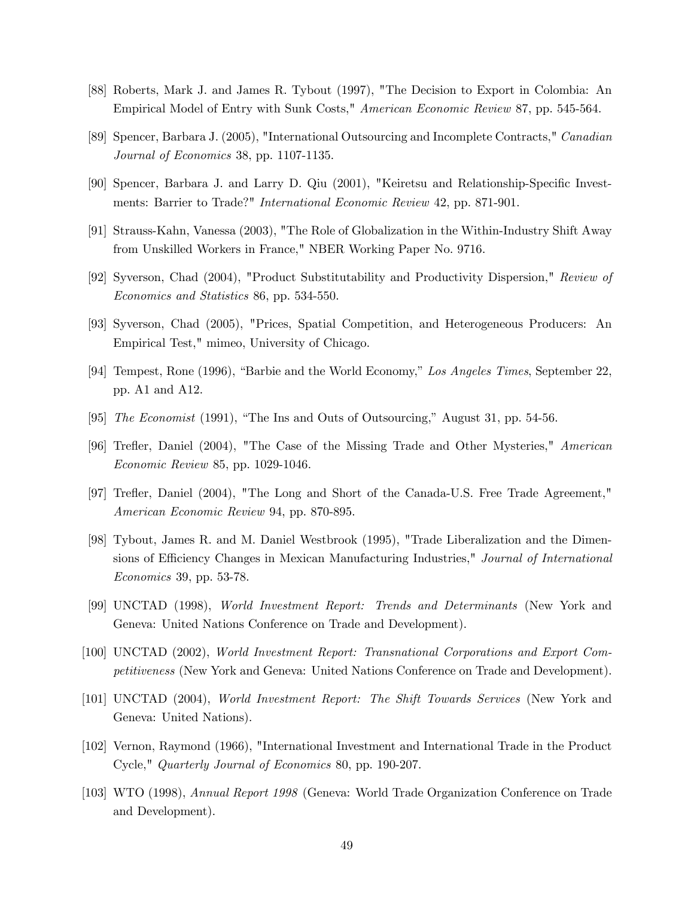- [88] Roberts, Mark J. and James R. Tybout (1997), "The Decision to Export in Colombia: An Empirical Model of Entry with Sunk Costs," American Economic Review 87, pp. 545-564.
- [89] Spencer, Barbara J. (2005), "International Outsourcing and Incomplete Contracts," Canadian Journal of Economics 38, pp. 1107-1135.
- [90] Spencer, Barbara J. and Larry D. Qiu (2001), "Keiretsu and Relationship-Specific Investments: Barrier to Trade?" International Economic Review 42, pp. 871-901.
- [91] Strauss-Kahn, Vanessa (2003), "The Role of Globalization in the Within-Industry Shift Away from Unskilled Workers in France," NBER Working Paper No. 9716.
- [92] Syverson, Chad (2004), "Product Substitutability and Productivity Dispersion," Review of Economics and Statistics 86, pp. 534-550.
- [93] Syverson, Chad (2005), "Prices, Spatial Competition, and Heterogeneous Producers: An Empirical Test," mimeo, University of Chicago.
- [94] Tempest, Rone (1996), "Barbie and the World Economy," Los Angeles Times, September 22, pp. A1 and A12.
- [95] The Economist (1991), "The Ins and Outs of Outsourcing," August 31, pp. 54-56.
- [96] Trefler, Daniel (2004), "The Case of the Missing Trade and Other Mysteries," American Economic Review 85, pp. 1029-1046.
- [97] Trefler, Daniel (2004), "The Long and Short of the Canada-U.S. Free Trade Agreement," American Economic Review 94, pp. 870-895.
- [98] Tybout, James R. and M. Daniel Westbrook (1995), "Trade Liberalization and the Dimensions of Efficiency Changes in Mexican Manufacturing Industries," Journal of International Economics 39, pp. 53-78.
- [99] UNCTAD (1998), World Investment Report: Trends and Determinants (New York and Geneva: United Nations Conference on Trade and Development).
- [100] UNCTAD (2002), World Investment Report: Transnational Corporations and Export Competitiveness (New York and Geneva: United Nations Conference on Trade and Development).
- [101] UNCTAD (2004), World Investment Report: The Shift Towards Services (New York and Geneva: United Nations).
- [102] Vernon, Raymond (1966), "International Investment and International Trade in the Product Cycle," Quarterly Journal of Economics 80, pp. 190-207.
- [103] WTO (1998), Annual Report 1998 (Geneva: World Trade Organization Conference on Trade and Development).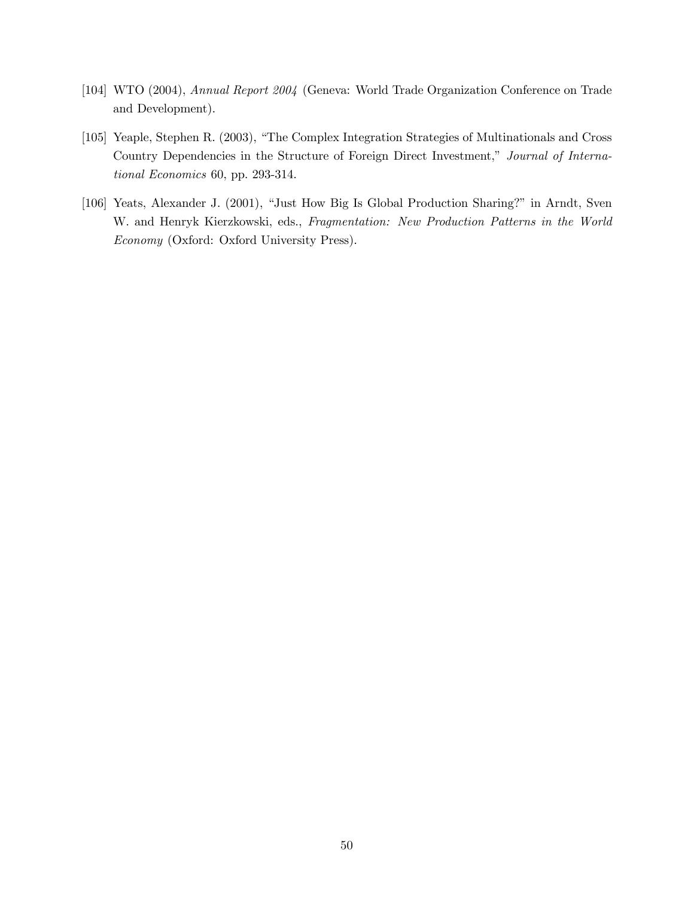- [104] WTO (2004), Annual Report 2004 (Geneva: World Trade Organization Conference on Trade and Development).
- [105] Yeaple, Stephen R. (2003), "The Complex Integration Strategies of Multinationals and Cross Country Dependencies in the Structure of Foreign Direct Investment," Journal of International Economics 60, pp. 293-314.
- [106] Yeats, Alexander J. (2001), "Just How Big Is Global Production Sharing?" in Arndt, Sven W. and Henryk Kierzkowski, eds., Fragmentation: New Production Patterns in the World Economy (Oxford: Oxford University Press).